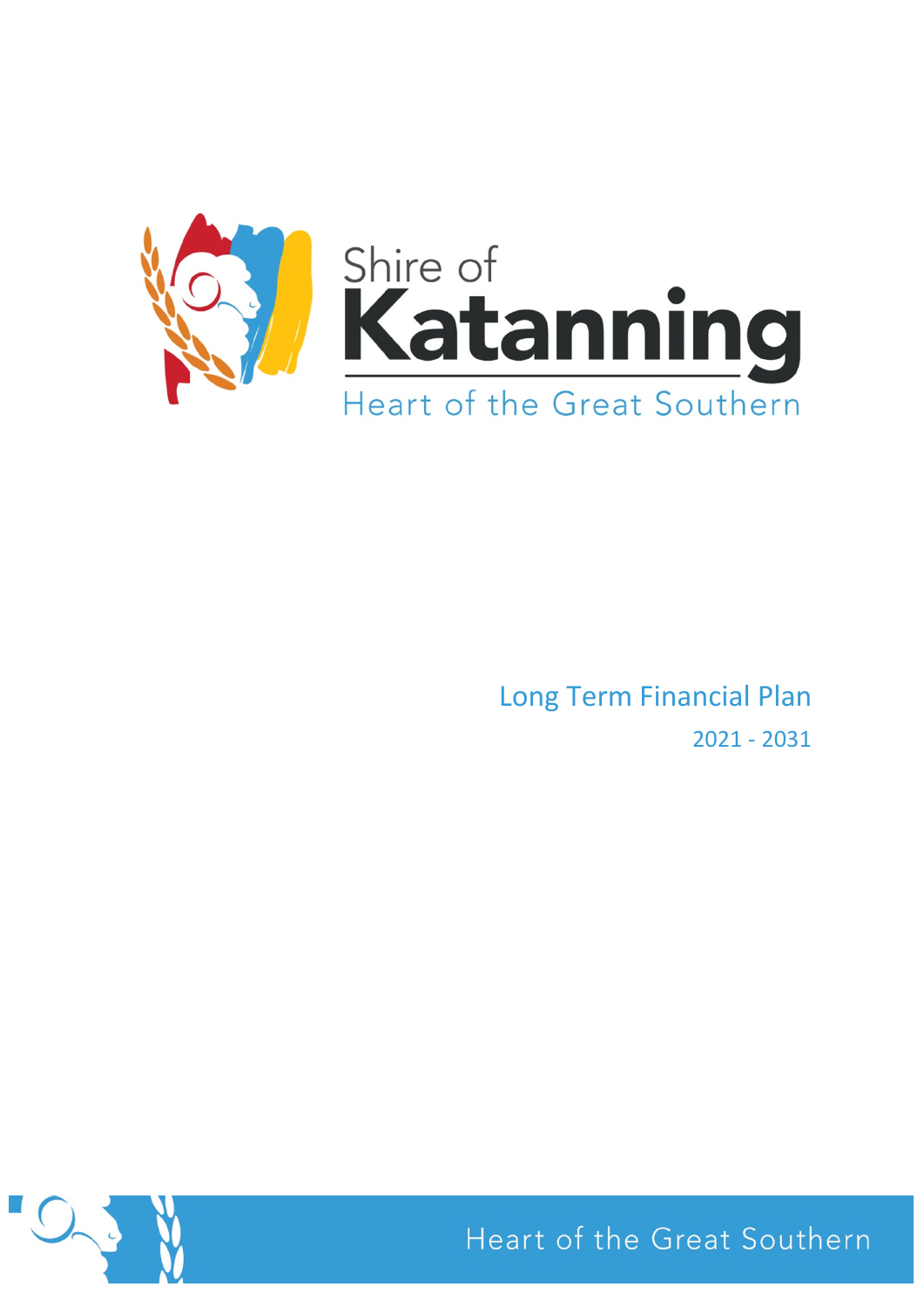



Long Term Financial Plan 2021 - 2031



Heart of the Great Southern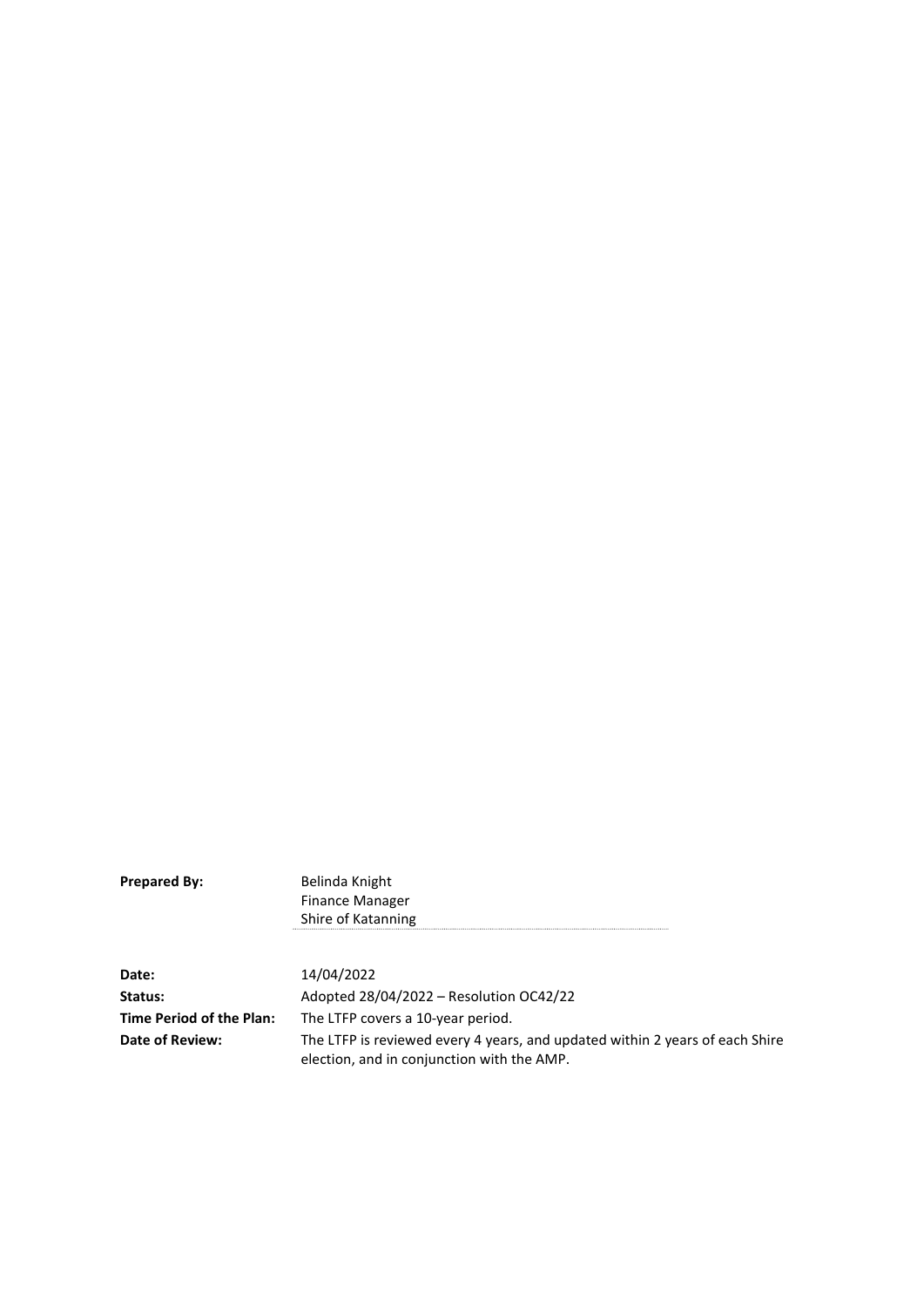| <b>Prepared By:</b>      | Belinda Knight                                                                                                             |
|--------------------------|----------------------------------------------------------------------------------------------------------------------------|
|                          | <b>Finance Manager</b>                                                                                                     |
|                          | Shire of Katanning                                                                                                         |
|                          |                                                                                                                            |
| Date:                    | 14/04/2022                                                                                                                 |
| Status:                  | Adopted $28/04/2022$ – Resolution OC42/22                                                                                  |
| Time Period of the Plan: | The LTFP covers a 10-year period.                                                                                          |
| Date of Review:          | The LTFP is reviewed every 4 years, and updated within 2 years of each Shire<br>election, and in conjunction with the AMP. |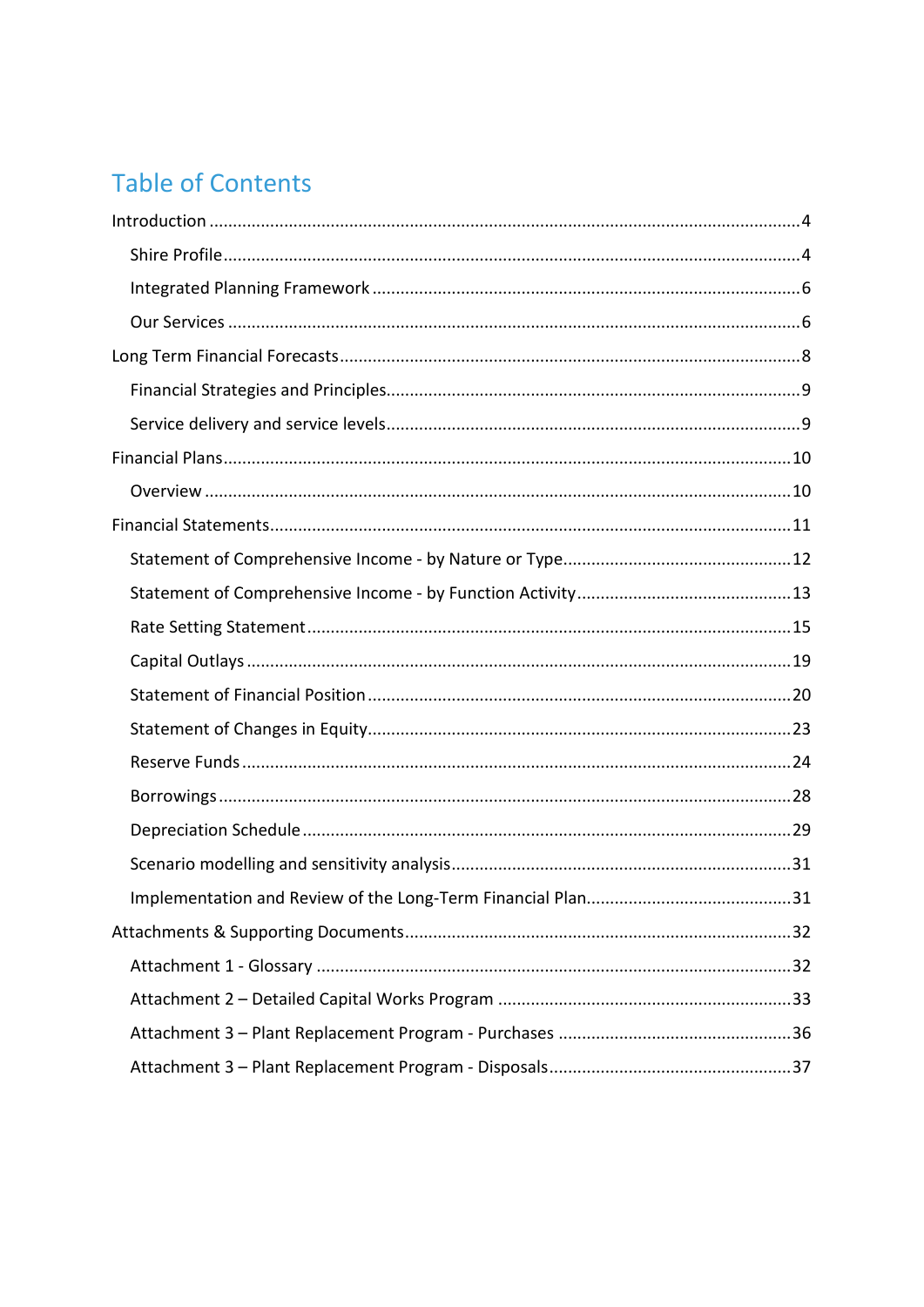# **Table of Contents**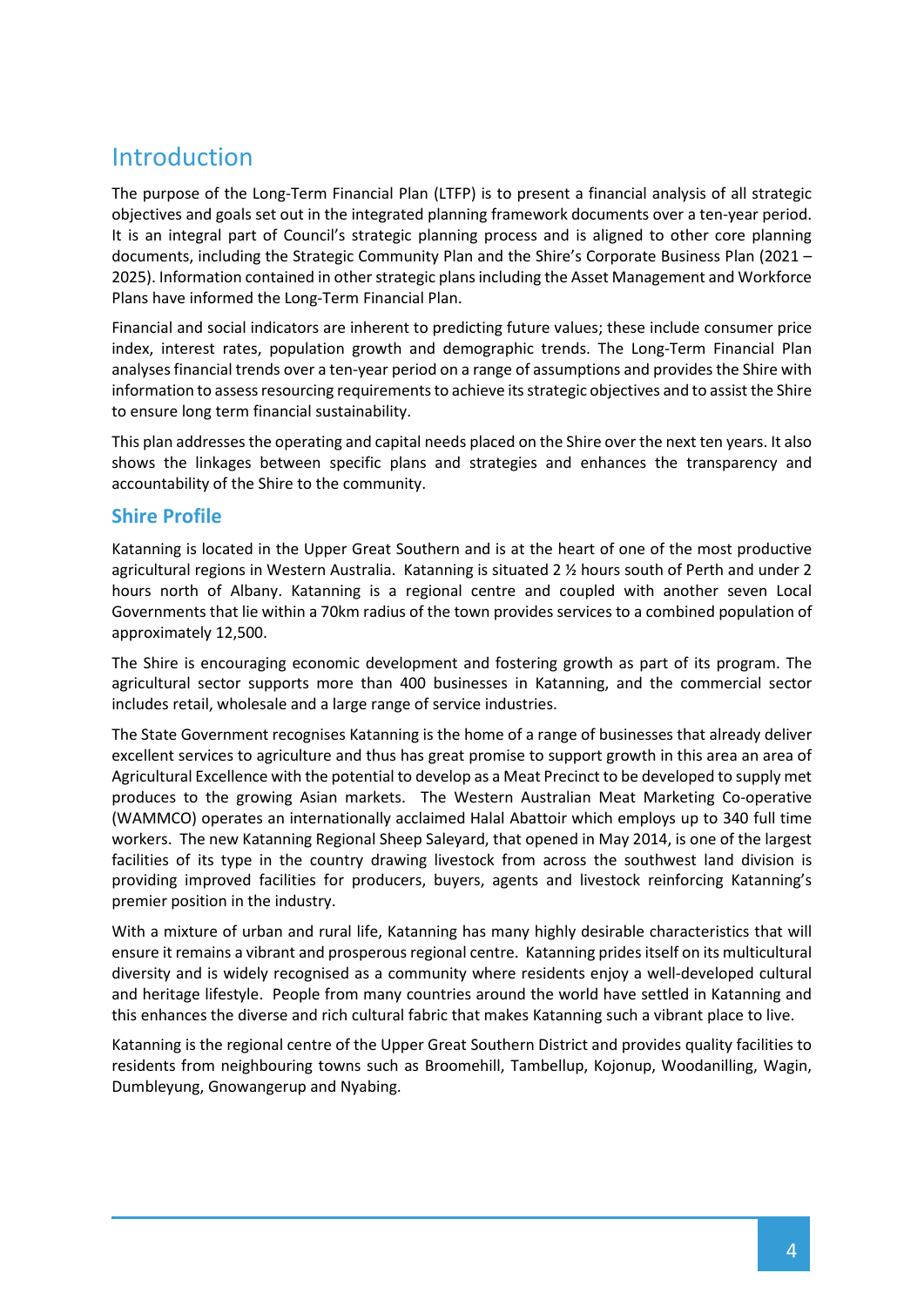# <span id="page-3-0"></span>Introduction

The purpose of the Long-Term Financial Plan (LTFP) is to present a financial analysis of all strategic objectives and goals set out in the integrated planning framework documents over a ten-year period. It is an integral part of Council's strategic planning process and is aligned to other core planning documents, including the Strategic Community Plan and the Shire's Corporate Business Plan (2021 – 2025). Information contained in other strategic plans including the Asset Management and Workforce Plans have informed the Long-Term Financial Plan.

Financial and social indicators are inherent to predicting future values; these include consumer price index, interest rates, population growth and demographic trends. The Long-Term Financial Plan analyses financial trends over a ten-year period on a range of assumptions and provides the Shire with information to assess resourcing requirements to achieve its strategic objectives and to assist the Shire to ensure long term financial sustainability.

This plan addresses the operating and capital needs placed on the Shire over the next ten years. It also shows the linkages between specific plans and strategies and enhances the transparency and accountability of the Shire to the community.

### <span id="page-3-1"></span>**Shire Profile**

Katanning is located in the Upper Great Southern and is at the heart of one of the most productive agricultural regions in Western Australia. Katanning is situated 2 ½ hours south of Perth and under 2 hours north of Albany. Katanning is a regional centre and coupled with another seven Local Governments that lie within a 70km radius of the town provides services to a combined population of approximately 12,500.

The Shire is encouraging economic development and fostering growth as part of its program. The agricultural sector supports more than 400 businesses in Katanning, and the commercial sector includes retail, wholesale and a large range of service industries.

The State Government recognises Katanning is the home of a range of businesses that already deliver excellent services to agriculture and thus has great promise to support growth in this area an area of Agricultural Excellence with the potential to develop as a Meat Precinct to be developed to supply met produces to the growing Asian markets. The Western Australian Meat Marketing Co-operative (WAMMCO) operates an internationally acclaimed Halal Abattoir which employs up to 340 full time workers. The new Katanning Regional Sheep Saleyard, that opened in May 2014, is one of the largest facilities of its type in the country drawing livestock from across the southwest land division is providing improved facilities for producers, buyers, agents and livestock reinforcing Katanning's premier position in the industry.

With a mixture of urban and rural life, Katanning has many highly desirable characteristics that will ensure it remains a vibrant and prosperous regional centre. Katanning prides itself on its multicultural diversity and is widely recognised as a community where residents enjoy a well-developed cultural and heritage lifestyle. People from many countries around the world have settled in Katanning and this enhances the diverse and rich cultural fabric that makes Katanning such a vibrant place to live.

Katanning is the regional centre of the Upper Great Southern District and provides quality facilities to residents from neighbouring towns such as Broomehill, Tambellup, Kojonup, Woodanilling, Wagin, Dumbleyung, Gnowangerup and Nyabing.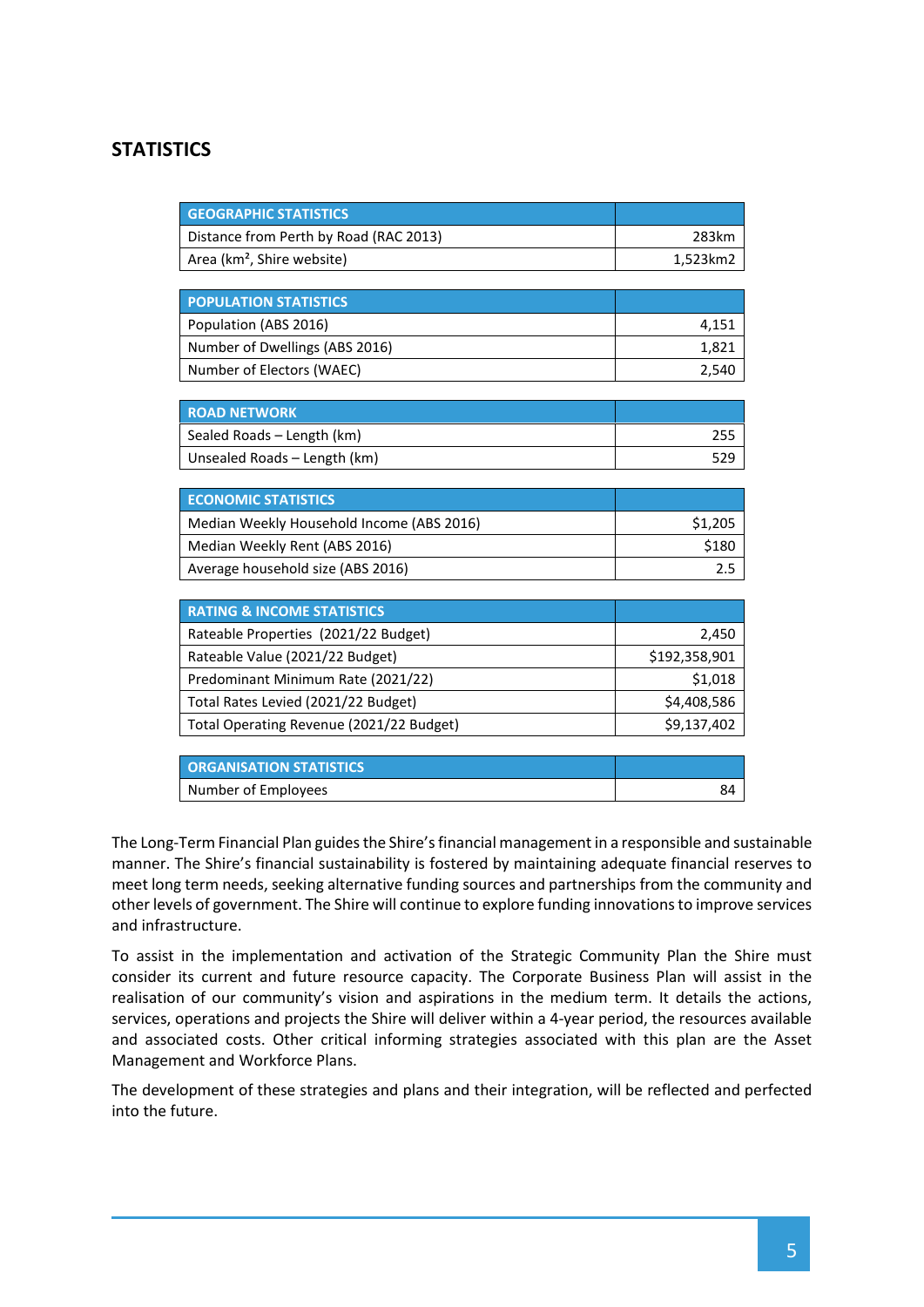## **STATISTICS**

| <b>GEOGRAPHIC STATISTICS</b>              |               |
|-------------------------------------------|---------------|
| Distance from Perth by Road (RAC 2013)    | 283km         |
| Area (km <sup>2</sup> , Shire website)    | 1,523km2      |
|                                           |               |
| <b>POPULATION STATISTICS</b>              |               |
| Population (ABS 2016)                     | 4,151         |
| Number of Dwellings (ABS 2016)            | 1,821         |
| Number of Electors (WAEC)                 | 2,540         |
|                                           |               |
| <b>ROAD NETWORK</b>                       |               |
| Sealed Roads - Length (km)                | 255           |
| Unsealed Roads - Length (km)              | 529           |
|                                           |               |
| <b>ECONOMIC STATISTICS</b>                |               |
| Median Weekly Household Income (ABS 2016) | \$1,205       |
| Median Weekly Rent (ABS 2016)             | \$180         |
| Average household size (ABS 2016)         | 2.5           |
|                                           |               |
| <b>RATING &amp; INCOME STATISTICS</b>     |               |
| Rateable Properties (2021/22 Budget)      | 2,450         |
| Rateable Value (2021/22 Budget)           | \$192,358,901 |
| Predominant Minimum Rate (2021/22)        | \$1,018       |
| Total Rates Levied (2021/22 Budget)       | \$4,408,586   |
| Total Operating Revenue (2021/22 Budget)  | \$9,137,402   |

| <b>ORGANISATION STATISTICS</b> |  |
|--------------------------------|--|
| Number of Employees            |  |

The Long-Term Financial Plan guides the Shire's financial management in a responsible and sustainable manner. The Shire's financial sustainability is fostered by maintaining adequate financial reserves to meet long term needs, seeking alternative funding sources and partnerships from the community and other levels of government. The Shire will continue to explore funding innovations to improve services and infrastructure.

To assist in the implementation and activation of the Strategic Community Plan the Shire must consider its current and future resource capacity. The Corporate Business Plan will assist in the realisation of our community's vision and aspirations in the medium term. It details the actions, services, operations and projects the Shire will deliver within a 4-year period, the resources available and associated costs. Other critical informing strategies associated with this plan are the Asset Management and Workforce Plans.

The development of these strategies and plans and their integration, will be reflected and perfected into the future.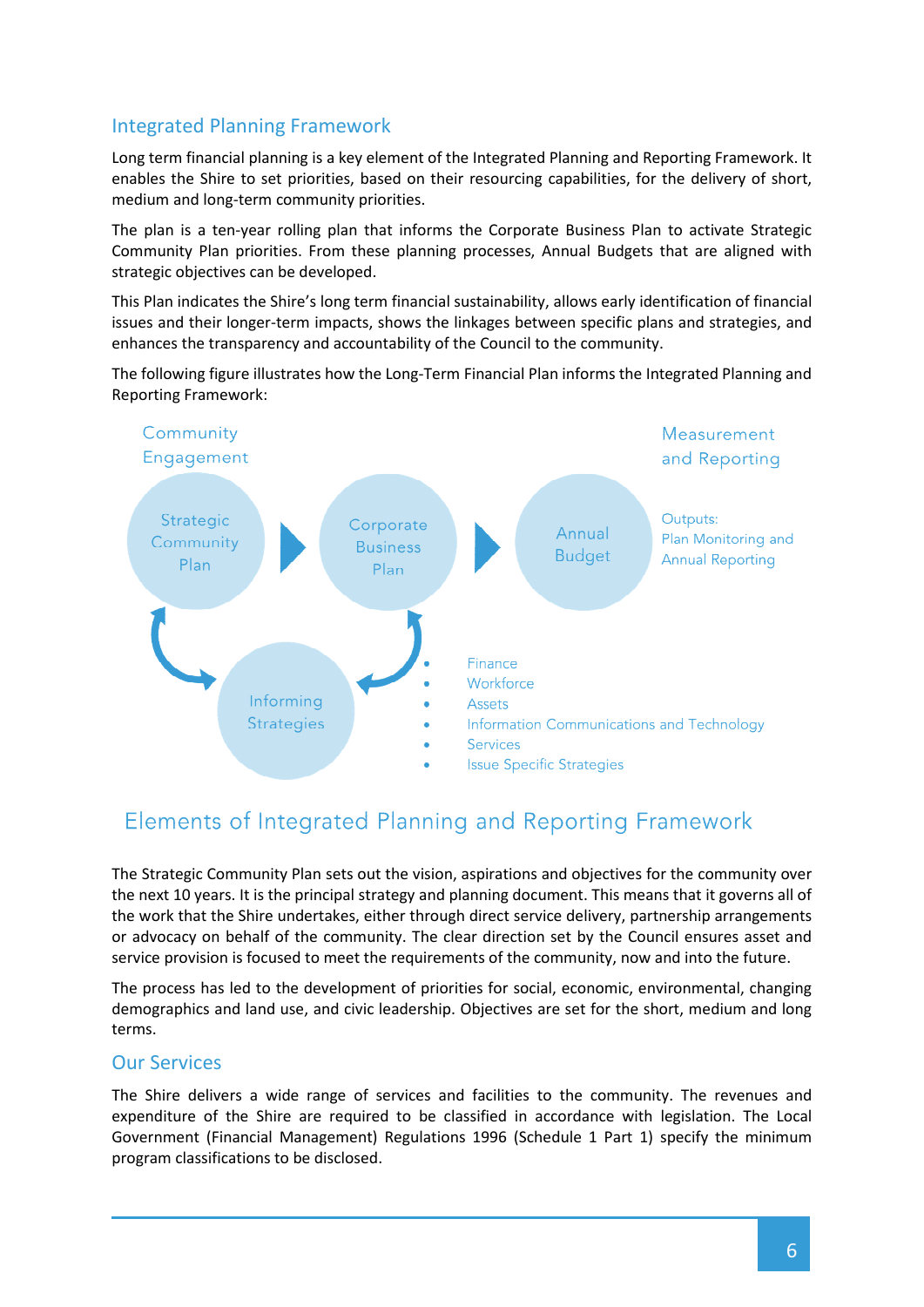## <span id="page-5-0"></span>Integrated Planning Framework

Long term financial planning is a key element of the Integrated Planning and Reporting Framework. It enables the Shire to set priorities, based on their resourcing capabilities, for the delivery of short, medium and long-term community priorities.

The plan is a ten-year rolling plan that informs the Corporate Business Plan to activate Strategic Community Plan priorities. From these planning processes, Annual Budgets that are aligned with strategic objectives can be developed.

This Plan indicates the Shire's long term financial sustainability, allows early identification of financial issues and their longer-term impacts, shows the linkages between specific plans and strategies, and enhances the transparency and accountability of the Council to the community.

The following figure illustrates how the Long-Term Financial Plan informs the Integrated Planning and Reporting Framework:



## Elements of Integrated Planning and Reporting Framework

The Strategic Community Plan sets out the vision, aspirations and objectives for the community over the next 10 years. It is the principal strategy and planning document. This means that it governs all of the work that the Shire undertakes, either through direct service delivery, partnership arrangements or advocacy on behalf of the community. The clear direction set by the Council ensures asset and service provision is focused to meet the requirements of the community, now and into the future.

The process has led to the development of priorities for social, economic, environmental, changing demographics and land use, and civic leadership. Objectives are set for the short, medium and long terms.

### <span id="page-5-1"></span>Our Services

The Shire delivers a wide range of services and facilities to the community. The revenues and expenditure of the Shire are required to be classified in accordance with legislation. The Local Government (Financial Management) Regulations 1996 (Schedule 1 Part 1) specify the minimum program classifications to be disclosed.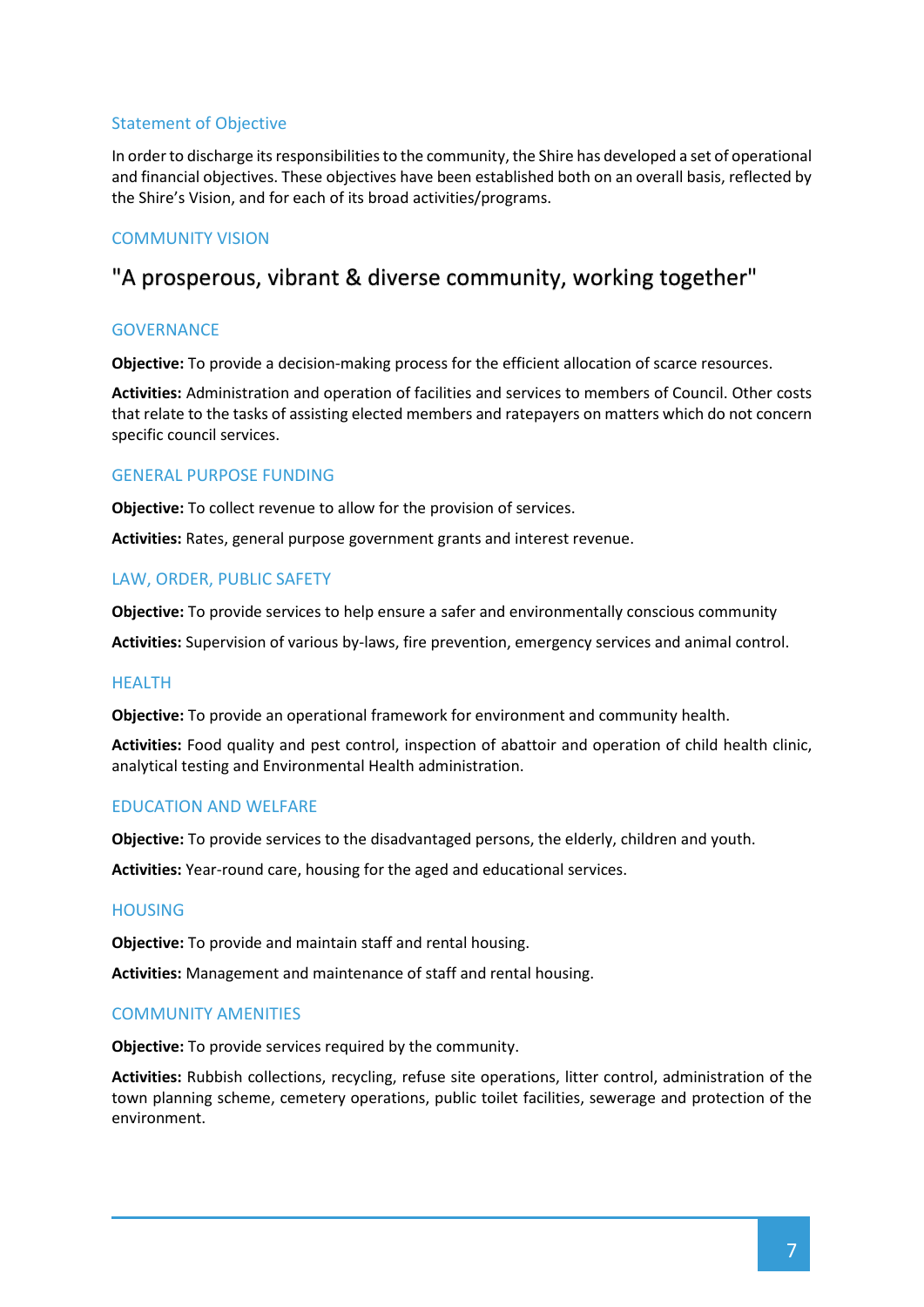### Statement of Objective

In order to discharge its responsibilities to the community, the Shire has developed a set of operational and financial objectives. These objectives have been established both on an overall basis, reflected by the Shire's Vision, and for each of its broad activities/programs.

### COMMUNITY VISION

## "A prosperous, vibrant & diverse community, working together"

### **GOVERNANCE**

**Objective:** To provide a decision-making process for the efficient allocation of scarce resources.

**Activities:** Administration and operation of facilities and services to members of Council. Other costs that relate to the tasks of assisting elected members and ratepayers on matters which do not concern specific council services.

#### GENERAL PURPOSE FUNDING

**Objective:** To collect revenue to allow for the provision of services.

**Activities:** Rates, general purpose government grants and interest revenue.

#### LAW, ORDER, PUBLIC SAFETY

**Objective:** To provide services to help ensure a safer and environmentally conscious community

**Activities:** Supervision of various by-laws, fire prevention, emergency services and animal control.

#### HEALTH

**Objective:** To provide an operational framework for environment and community health.

**Activities:** Food quality and pest control, inspection of abattoir and operation of child health clinic, analytical testing and Environmental Health administration.

### EDUCATION AND WELFARE

**Objective:** To provide services to the disadvantaged persons, the elderly, children and youth.

**Activities:** Year-round care, housing for the aged and educational services.

#### HOUSING

**Objective:** To provide and maintain staff and rental housing.

**Activities:** Management and maintenance of staff and rental housing.

#### COMMUNITY AMENITIES

**Objective:** To provide services required by the community.

**Activities:** Rubbish collections, recycling, refuse site operations, litter control, administration of the town planning scheme, cemetery operations, public toilet facilities, sewerage and protection of the environment.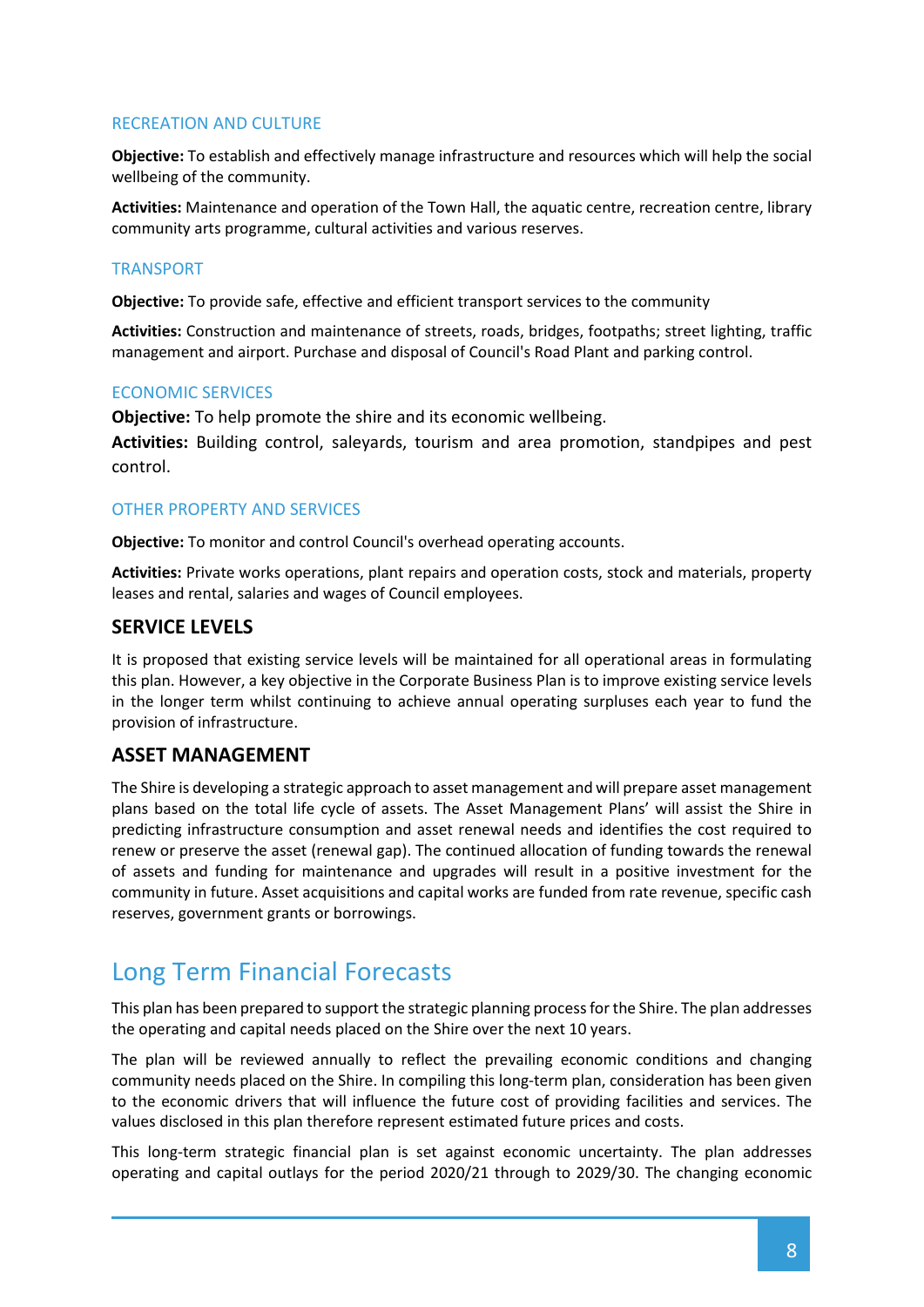### RECREATION AND CULTURE

**Objective:** To establish and effectively manage infrastructure and resources which will help the social wellbeing of the community.

**Activities:** Maintenance and operation of the Town Hall, the aquatic centre, recreation centre, library community arts programme, cultural activities and various reserves.

#### TRANSPORT

**Objective:** To provide safe, effective and efficient transport services to the community

**Activities:** Construction and maintenance of streets, roads, bridges, footpaths; street lighting, traffic management and airport. Purchase and disposal of Council's Road Plant and parking control.

#### ECONOMIC SERVICES

**Objective:** To help promote the shire and its economic wellbeing.

**Activities:** Building control, saleyards, tourism and area promotion, standpipes and pest control.

#### OTHER PROPERTY AND SERVICES

**Objective:** To monitor and control Council's overhead operating accounts.

**Activities:** Private works operations, plant repairs and operation costs, stock and materials, property leases and rental, salaries and wages of Council employees.

### **SERVICE LEVELS**

It is proposed that existing service levels will be maintained for all operational areas in formulating this plan. However, a key objective in the Corporate Business Plan is to improve existing service levels in the longer term whilst continuing to achieve annual operating surpluses each year to fund the provision of infrastructure.

### **ASSET MANAGEMENT**

The Shire is developing a strategic approach to asset management and will prepare asset management plans based on the total life cycle of assets. The Asset Management Plans' will assist the Shire in predicting infrastructure consumption and asset renewal needs and identifies the cost required to renew or preserve the asset (renewal gap). The continued allocation of funding towards the renewal of assets and funding for maintenance and upgrades will result in a positive investment for the community in future. Asset acquisitions and capital works are funded from rate revenue, specific cash reserves, government grants or borrowings.

## <span id="page-7-0"></span>Long Term Financial Forecasts

This plan has been prepared to support the strategic planning process for the Shire. The plan addresses the operating and capital needs placed on the Shire over the next 10 years.

The plan will be reviewed annually to reflect the prevailing economic conditions and changing community needs placed on the Shire. In compiling this long-term plan, consideration has been given to the economic drivers that will influence the future cost of providing facilities and services. The values disclosed in this plan therefore represent estimated future prices and costs.

This long-term strategic financial plan is set against economic uncertainty. The plan addresses operating and capital outlays for the period 2020/21 through to 2029/30. The changing economic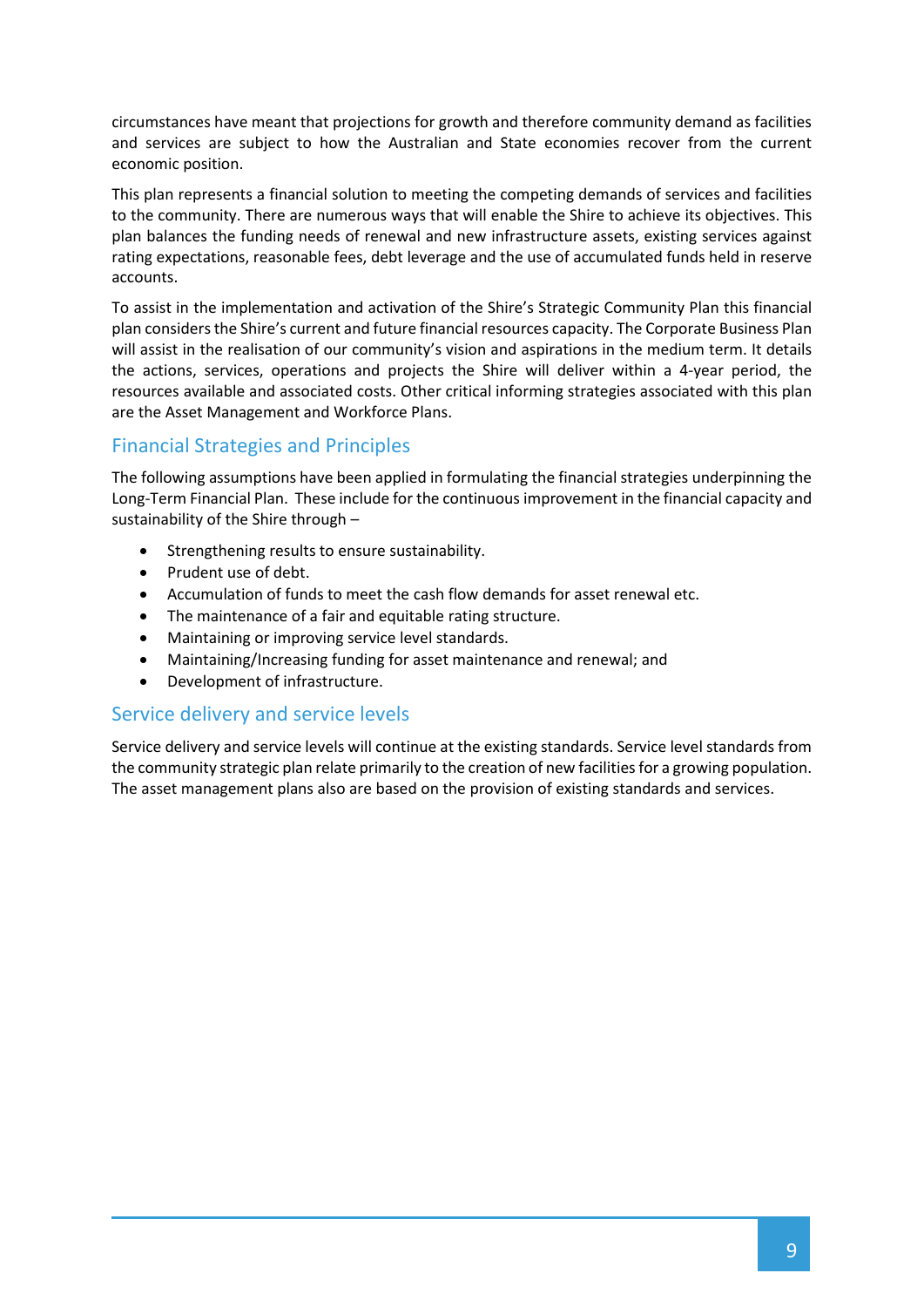circumstances have meant that projections for growth and therefore community demand as facilities and services are subject to how the Australian and State economies recover from the current economic position.

This plan represents a financial solution to meeting the competing demands of services and facilities to the community. There are numerous ways that will enable the Shire to achieve its objectives. This plan balances the funding needs of renewal and new infrastructure assets, existing services against rating expectations, reasonable fees, debt leverage and the use of accumulated funds held in reserve accounts.

To assist in the implementation and activation of the Shire's Strategic Community Plan this financial plan considers the Shire's current and future financial resources capacity. The Corporate Business Plan will assist in the realisation of our community's vision and aspirations in the medium term. It details the actions, services, operations and projects the Shire will deliver within a 4-year period, the resources available and associated costs. Other critical informing strategies associated with this plan are the Asset Management and Workforce Plans.

## <span id="page-8-0"></span>Financial Strategies and Principles

The following assumptions have been applied in formulating the financial strategies underpinning the Long-Term Financial Plan. These include for the continuous improvement in the financial capacity and sustainability of the Shire through –

- Strengthening results to ensure sustainability.
- Prudent use of debt.
- Accumulation of funds to meet the cash flow demands for asset renewal etc.
- The maintenance of a fair and equitable rating structure.
- Maintaining or improving service level standards.
- Maintaining/Increasing funding for asset maintenance and renewal; and
- Development of infrastructure.

### <span id="page-8-1"></span>Service delivery and service levels

Service delivery and service levels will continue at the existing standards. Service level standards from the community strategic plan relate primarily to the creation of new facilities for a growing population. The asset management plans also are based on the provision of existing standards and services.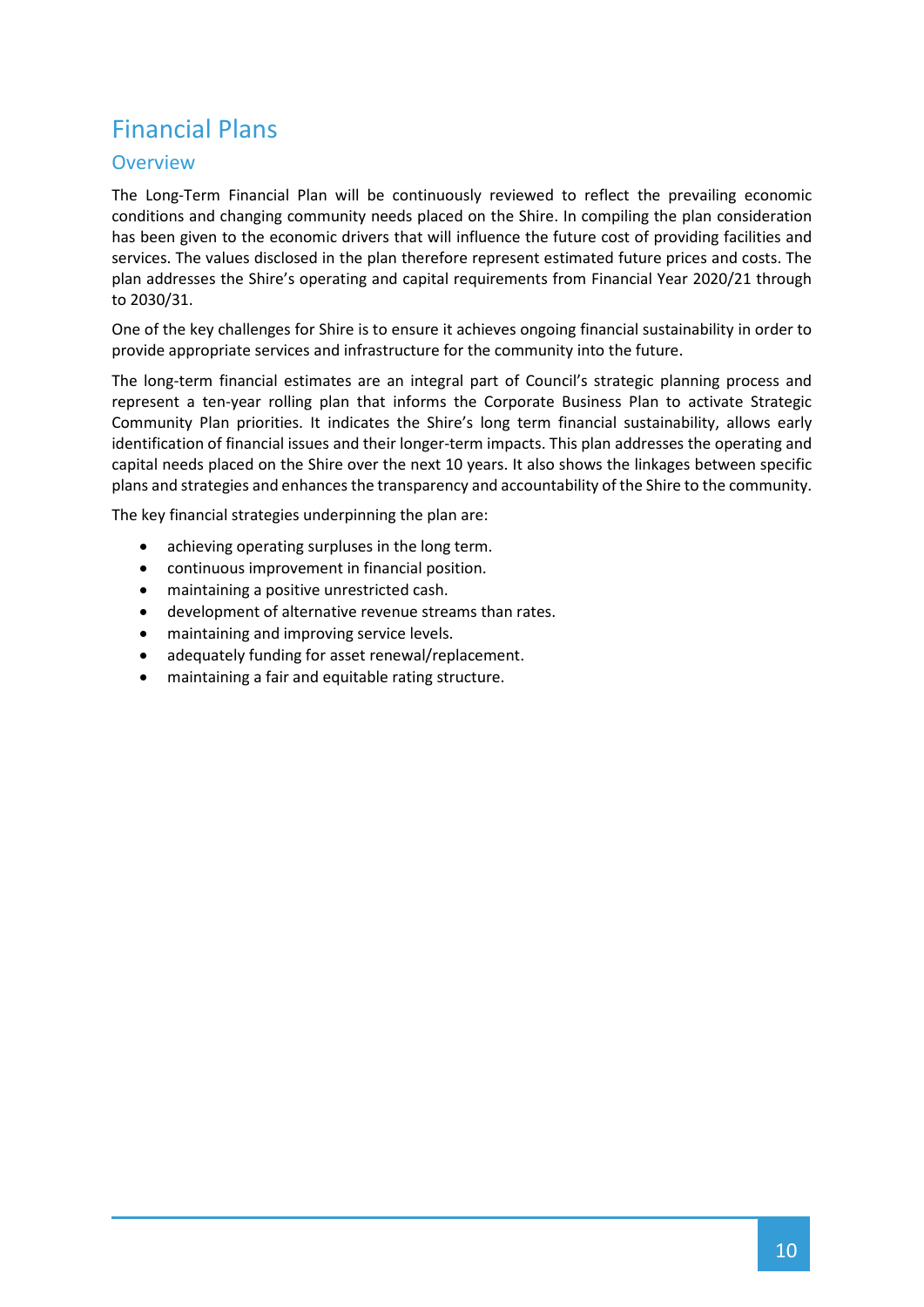# <span id="page-9-0"></span>Financial Plans

### <span id="page-9-1"></span>**Overview**

The Long-Term Financial Plan will be continuously reviewed to reflect the prevailing economic conditions and changing community needs placed on the Shire. In compiling the plan consideration has been given to the economic drivers that will influence the future cost of providing facilities and services. The values disclosed in the plan therefore represent estimated future prices and costs. The plan addresses the Shire's operating and capital requirements from Financial Year 2020/21 through to 2030/31.

One of the key challenges for Shire is to ensure it achieves ongoing financial sustainability in order to provide appropriate services and infrastructure for the community into the future.

The long-term financial estimates are an integral part of Council's strategic planning process and represent a ten-year rolling plan that informs the Corporate Business Plan to activate Strategic Community Plan priorities. It indicates the Shire's long term financial sustainability, allows early identification of financial issues and their longer-term impacts. This plan addresses the operating and capital needs placed on the Shire over the next 10 years. It also shows the linkages between specific plans and strategies and enhances the transparency and accountability of the Shire to the community.

The key financial strategies underpinning the plan are:

- achieving operating surpluses in the long term.
- continuous improvement in financial position.
- maintaining a positive unrestricted cash.
- development of alternative revenue streams than rates.
- maintaining and improving service levels.
- adequately funding for asset renewal/replacement.
- maintaining a fair and equitable rating structure.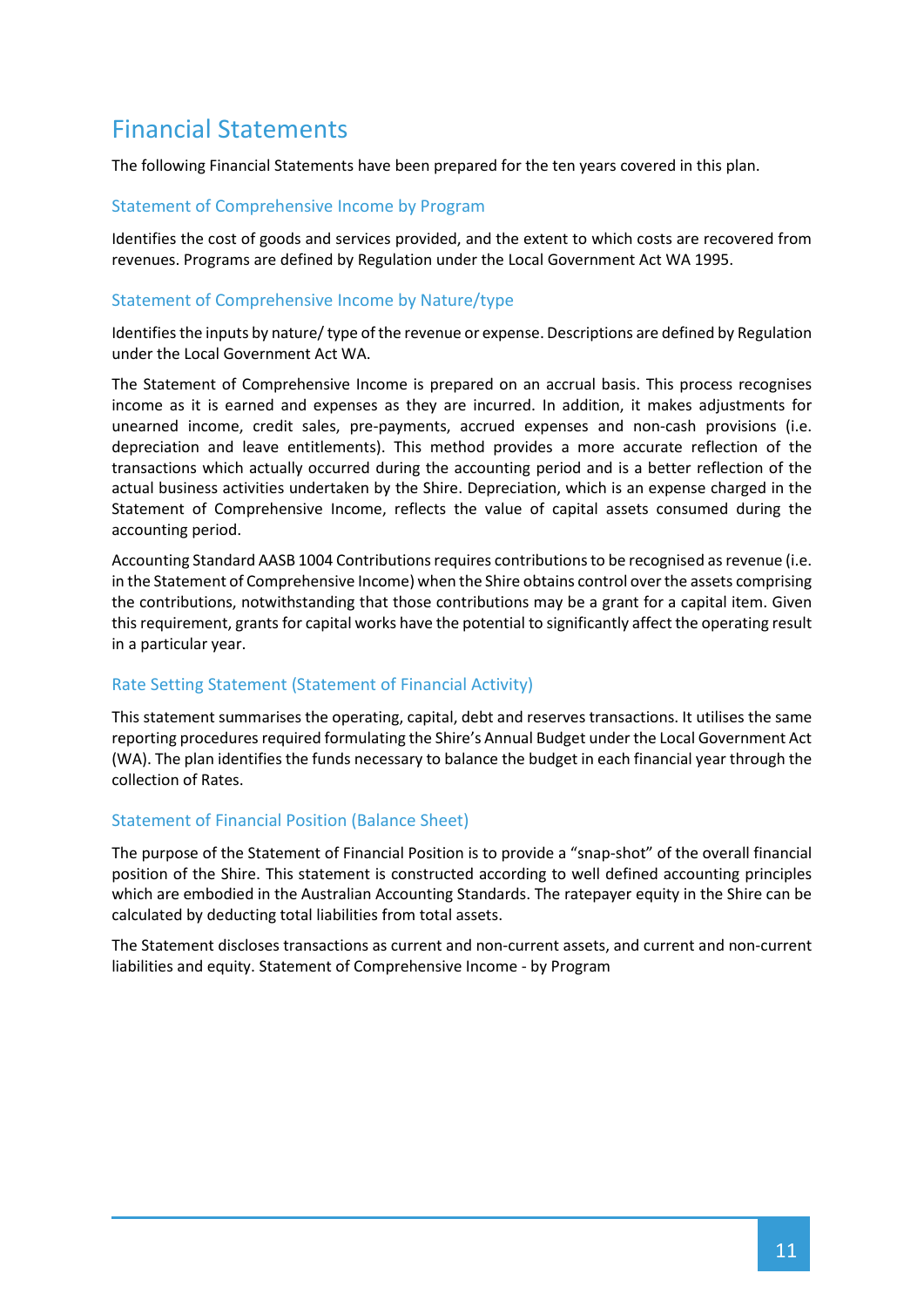# <span id="page-10-0"></span>Financial Statements

The following Financial Statements have been prepared for the ten years covered in this plan.

### Statement of Comprehensive Income by Program

Identifies the cost of goods and services provided, and the extent to which costs are recovered from revenues. Programs are defined by Regulation under the Local Government Act WA 1995.

### Statement of Comprehensive Income by Nature/type

Identifies the inputs by nature/ type of the revenue or expense. Descriptions are defined by Regulation under the Local Government Act WA.

The Statement of Comprehensive Income is prepared on an accrual basis. This process recognises income as it is earned and expenses as they are incurred. In addition, it makes adjustments for unearned income, credit sales, pre-payments, accrued expenses and non-cash provisions (i.e. depreciation and leave entitlements). This method provides a more accurate reflection of the transactions which actually occurred during the accounting period and is a better reflection of the actual business activities undertaken by the Shire. Depreciation, which is an expense charged in the Statement of Comprehensive Income, reflects the value of capital assets consumed during the accounting period.

Accounting Standard AASB 1004 Contributions requires contributions to be recognised as revenue (i.e. in the Statement of Comprehensive Income) when the Shire obtains control over the assets comprising the contributions, notwithstanding that those contributions may be a grant for a capital item. Given this requirement, grants for capital works have the potential to significantly affect the operating result in a particular year.

### Rate Setting Statement (Statement of Financial Activity)

This statement summarises the operating, capital, debt and reserves transactions. It utilises the same reporting procedures required formulating the Shire's Annual Budget under the Local Government Act (WA). The plan identifies the funds necessary to balance the budget in each financial year through the collection of Rates.

### Statement of Financial Position (Balance Sheet)

The purpose of the Statement of Financial Position is to provide a "snap-shot" of the overall financial position of the Shire. This statement is constructed according to well defined accounting principles which are embodied in the Australian Accounting Standards. The ratepayer equity in the Shire can be calculated by deducting total liabilities from total assets.

The Statement discloses transactions as current and non-current assets, and current and non-current liabilities and equity. Statement of Comprehensive Income - by Program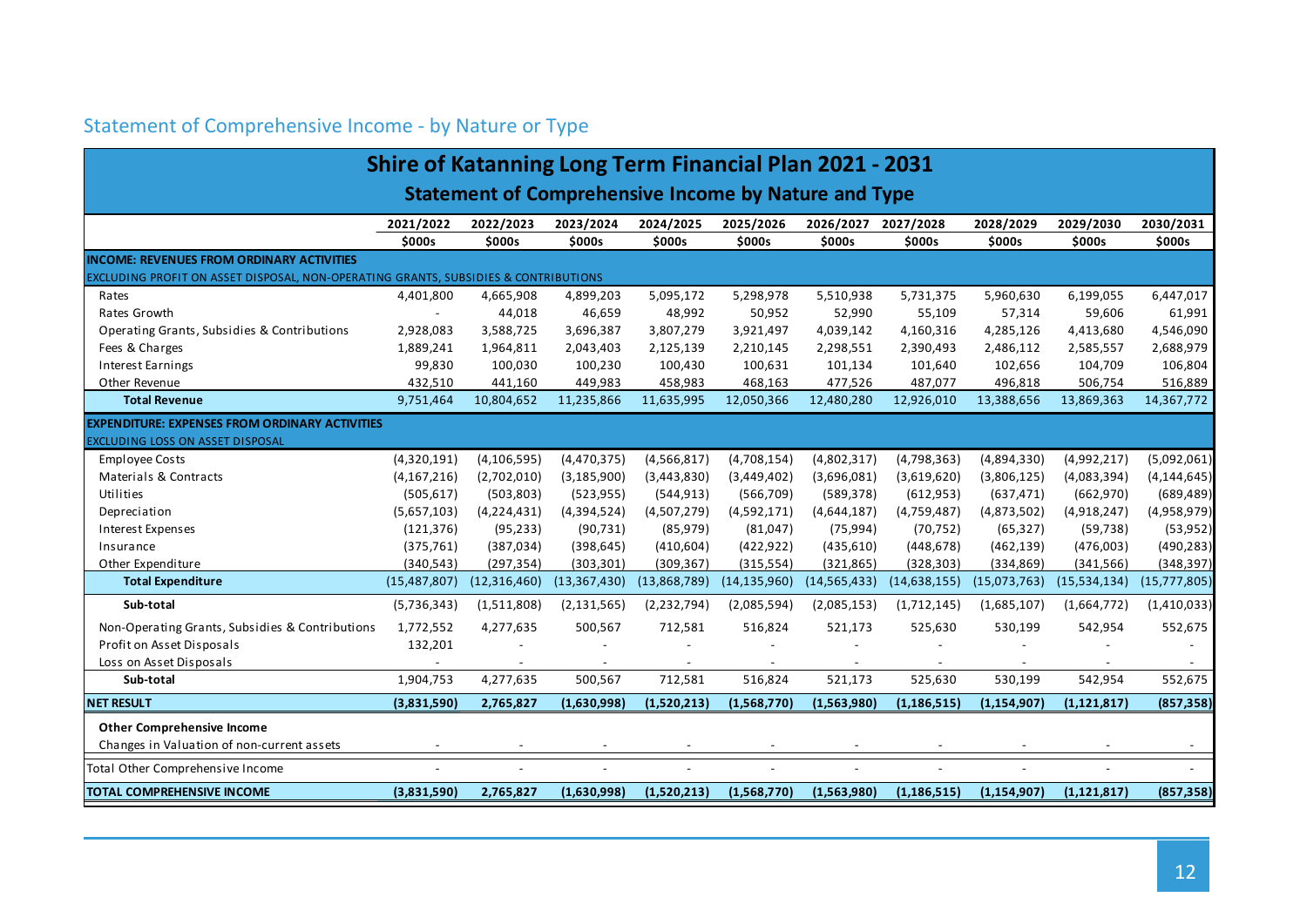<span id="page-11-0"></span>

|                                                                                     | <b>Shire of Katanning Long Term Financial Plan 2021 - 2031</b> |               |                |                                                             |                |                |               |               |               |                |  |  |
|-------------------------------------------------------------------------------------|----------------------------------------------------------------|---------------|----------------|-------------------------------------------------------------|----------------|----------------|---------------|---------------|---------------|----------------|--|--|
|                                                                                     |                                                                |               |                | <b>Statement of Comprehensive Income by Nature and Type</b> |                |                |               |               |               |                |  |  |
|                                                                                     | 2021/2022                                                      | 2022/2023     | 2023/2024      | 2024/2025                                                   | 2025/2026      | 2026/2027      | 2027/2028     | 2028/2029     | 2029/2030     | 2030/2031      |  |  |
|                                                                                     | \$000s                                                         | \$000s        | \$000s         | \$000s                                                      | \$000s         | \$000s         | \$000s        | \$000s        | \$000s        | \$000s         |  |  |
| <b>INCOME: REVENUES FROM ORDINARY ACTIVITIES</b>                                    |                                                                |               |                |                                                             |                |                |               |               |               |                |  |  |
| EXCLUDING PROFIT ON ASSET DISPOSAL, NON-OPERATING GRANTS, SUBSIDIES & CONTRIBUTIONS |                                                                |               |                |                                                             |                |                |               |               |               |                |  |  |
| Rates                                                                               | 4,401,800                                                      | 4,665,908     | 4,899,203      | 5,095,172                                                   | 5,298,978      | 5,510,938      | 5,731,375     | 5,960,630     | 6,199,055     | 6,447,017      |  |  |
| Rates Growth                                                                        |                                                                | 44,018        | 46,659         | 48,992                                                      | 50,952         | 52,990         | 55,109        | 57,314        | 59,606        | 61,991         |  |  |
| Operating Grants, Subsidies & Contributions                                         | 2,928,083                                                      | 3,588,725     | 3,696,387      | 3,807,279                                                   | 3,921,497      | 4,039,142      | 4,160,316     | 4,285,126     | 4,413,680     | 4,546,090      |  |  |
| Fees & Charges                                                                      | 1,889,241                                                      | 1,964,811     | 2,043,403      | 2,125,139                                                   | 2,210,145      | 2,298,551      | 2,390,493     | 2,486,112     | 2,585,557     | 2,688,979      |  |  |
| Interest Earnings                                                                   | 99,830                                                         | 100,030       | 100,230        | 100,430                                                     | 100,631        | 101,134        | 101,640       | 102,656       | 104,709       | 106,804        |  |  |
| Other Revenue                                                                       | 432,510                                                        | 441,160       | 449,983        | 458,983                                                     | 468,163        | 477,526        | 487,077       | 496,818       | 506,754       | 516,889        |  |  |
| <b>Total Revenue</b>                                                                | 9,751,464                                                      | 10,804,652    | 11,235,866     | 11,635,995                                                  | 12,050,366     | 12,480,280     | 12,926,010    | 13,388,656    | 13,869,363    | 14,367,772     |  |  |
| <b>EXPENDITURE: EXPENSES FROM ORDINARY ACTIVITIES</b>                               |                                                                |               |                |                                                             |                |                |               |               |               |                |  |  |
| EXCLUDING LOSS ON ASSET DISPOSAL                                                    |                                                                |               |                |                                                             |                |                |               |               |               |                |  |  |
| <b>Employee Costs</b>                                                               | (4,320,191)                                                    | (4, 106, 595) | (4,470,375)    | (4, 566, 817)                                               | (4,708,154)    | (4,802,317)    | (4,798,363)   | (4,894,330)   | (4,992,217)   | (5,092,061)    |  |  |
| <b>Materials &amp; Contracts</b>                                                    | (4, 167, 216)                                                  | (2,702,010)   | (3, 185, 900)  | (3,443,830)                                                 | (3,449,402)    | (3,696,081)    | (3,619,620)   | (3,806,125)   | (4,083,394)   | (4, 144, 645)  |  |  |
| Utilities                                                                           | (505, 617)                                                     | (503, 803)    | (523, 955)     | (544, 913)                                                  | (566, 709)     | (589, 378)     | (612, 953)    | (637, 471)    | (662, 970)    | (689, 489)     |  |  |
| Depreciation                                                                        | (5,657,103)                                                    | (4, 224, 431) | (4,394,524)    | (4,507,279)                                                 | (4,592,171)    | (4,644,187)    | (4,759,487)   | (4,873,502)   | (4,918,247)   | (4,958,979)    |  |  |
| Interest Expenses                                                                   | (121, 376)                                                     | (95, 233)     | (90, 731)      | (85, 979)                                                   | (81,047)       | (75, 994)      | (70, 752)     | (65, 327)     | (59, 738)     | (53, 952)      |  |  |
| Insurance                                                                           | (375, 761)                                                     | (387, 034)    | (398, 645)     | (410, 604)                                                  | (422, 922)     | (435, 610)     | (448, 678)    | (462, 139)    | (476,003)     | (490, 283)     |  |  |
| Other Expenditure                                                                   | (340, 543)                                                     | (297, 354)    | (303, 301)     | (309, 367)                                                  | (315, 554)     | (321, 865)     | (328, 303)    | (334, 869)    | (341, 566)    | (348, 397)     |  |  |
| <b>Total Expenditure</b>                                                            | (15, 487, 807)                                                 | (12,316,460)  | (13, 367, 430) | (13,868,789)                                                | (14, 135, 960) | (14, 565, 433) | (14,638,155)  | (15,073,763)  | (15,534,134)  | (15, 777, 805) |  |  |
| Sub-total                                                                           | (5,736,343)                                                    | (1,511,808)   | (2, 131, 565)  | (2, 232, 794)                                               | (2,085,594)    | (2,085,153)    | (1,712,145)   | (1,685,107)   | (1,664,772)   | (1,410,033)    |  |  |
| Non-Operating Grants, Subsidies & Contributions                                     | 1,772,552                                                      | 4,277,635     | 500,567        | 712,581                                                     | 516,824        | 521,173        | 525,630       | 530,199       | 542,954       | 552,675        |  |  |
| Profit on Asset Disposals                                                           | 132,201                                                        |               |                |                                                             |                |                |               |               |               |                |  |  |
| Loss on Asset Disposals                                                             |                                                                |               |                |                                                             |                |                |               |               |               |                |  |  |
| Sub-total                                                                           | 1,904,753                                                      | 4,277,635     | 500,567        | 712,581                                                     | 516,824        | 521,173        | 525,630       | 530,199       | 542,954       | 552,675        |  |  |
| <b>NET RESULT</b>                                                                   | (3,831,590)                                                    | 2,765,827     | (1,630,998)    | (1,520,213)                                                 | (1,568,770)    | (1,563,980)    | (1, 186, 515) | (1, 154, 907) | (1, 121, 817) | (857, 358)     |  |  |
| <b>Other Comprehensive Income</b>                                                   |                                                                |               |                |                                                             |                |                |               |               |               |                |  |  |
| Changes in Valuation of non-current assets                                          |                                                                |               |                |                                                             |                |                |               |               |               |                |  |  |
| Total Other Comprehensive Income                                                    |                                                                |               |                |                                                             |                |                |               |               |               |                |  |  |
| <b>TOTAL COMPREHENSIVE INCOME</b>                                                   | (3,831,590)                                                    | 2,765,827     | (1,630,998)    | (1,520,213)                                                 | (1,568,770)    | (1,563,980)    | (1, 186, 515) | (1, 154, 907) | (1, 121, 817) | (857, 358)     |  |  |

# Statement of Comprehensive Income - by Nature or Type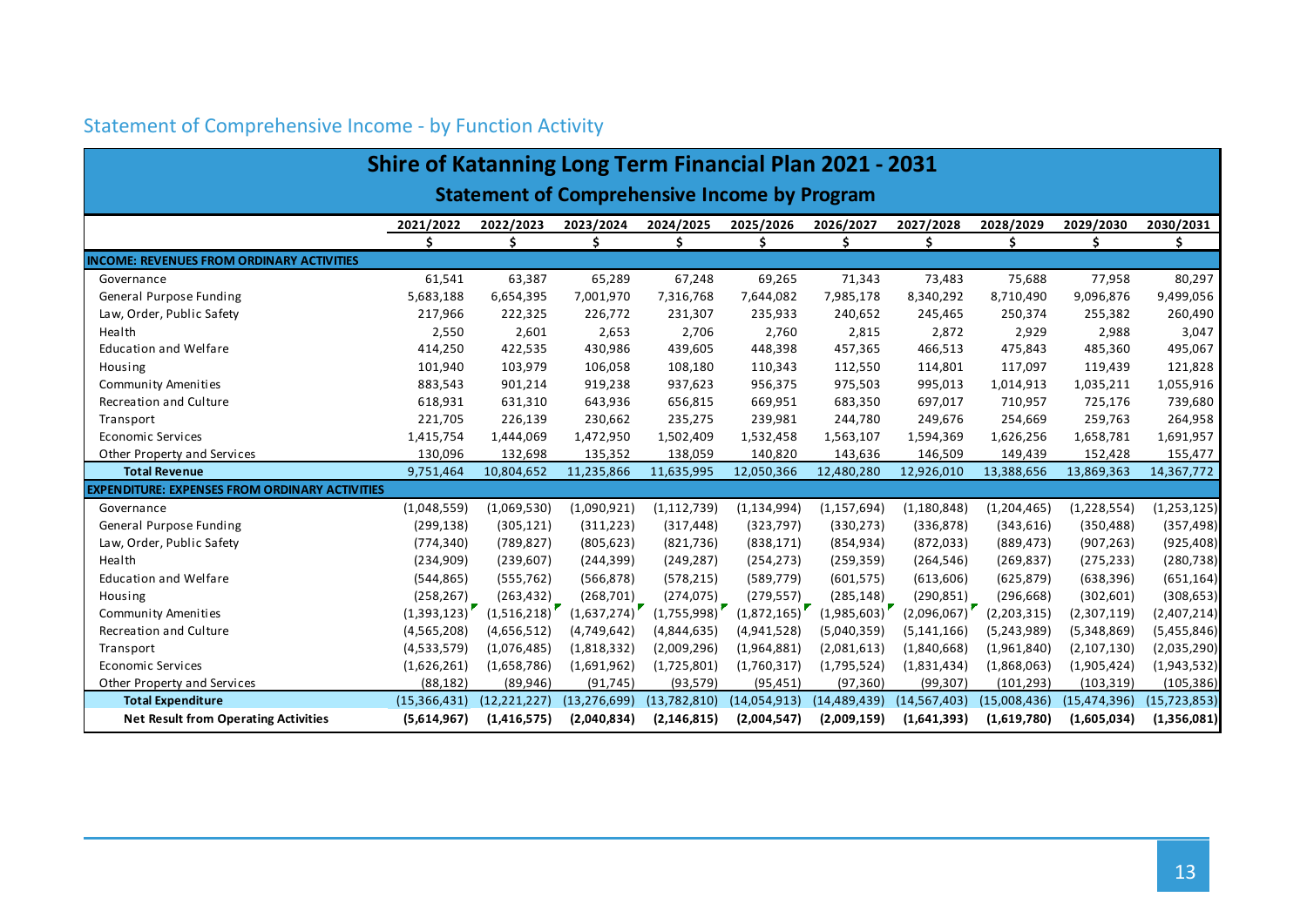<span id="page-12-0"></span>

| <b>Shire of Katanning Long Term Financial Plan 2021 - 2031</b> |                                                     |                |                |               |               |                |                |               |                |                |  |  |  |
|----------------------------------------------------------------|-----------------------------------------------------|----------------|----------------|---------------|---------------|----------------|----------------|---------------|----------------|----------------|--|--|--|
|                                                                | <b>Statement of Comprehensive Income by Program</b> |                |                |               |               |                |                |               |                |                |  |  |  |
|                                                                | 2021/2022                                           | 2022/2023      | 2023/2024      | 2024/2025     | 2025/2026     | 2026/2027      | 2027/2028      | 2028/2029     | 2029/2030      | 2030/2031      |  |  |  |
|                                                                | Ś                                                   | \$             | \$             | Ś.            | \$            | \$             | \$             | \$            | \$             | \$             |  |  |  |
| <b>INCOME: REVENUES FROM ORDINARY ACTIVITIES</b>               |                                                     |                |                |               |               |                |                |               |                |                |  |  |  |
| Governance                                                     | 61,541                                              | 63,387         | 65,289         | 67,248        | 69,265        | 71,343         | 73,483         | 75,688        | 77,958         | 80,297         |  |  |  |
| General Purpose Funding                                        | 5,683,188                                           | 6,654,395      | 7,001,970      | 7,316,768     | 7,644,082     | 7,985,178      | 8,340,292      | 8,710,490     | 9,096,876      | 9,499,056      |  |  |  |
| Law, Order, Public Safety                                      | 217,966                                             | 222,325        | 226,772        | 231,307       | 235,933       | 240,652        | 245,465        | 250,374       | 255,382        | 260,490        |  |  |  |
| Health                                                         | 2,550                                               | 2,601          | 2,653          | 2,706         | 2,760         | 2,815          | 2,872          | 2,929         | 2,988          | 3,047          |  |  |  |
| <b>Education and Welfare</b>                                   | 414,250                                             | 422,535        | 430,986        | 439,605       | 448,398       | 457,365        | 466,513        | 475,843       | 485,360        | 495,067        |  |  |  |
| Housing                                                        | 101,940                                             | 103,979        | 106,058        | 108,180       | 110,343       | 112,550        | 114,801        | 117,097       | 119,439        | 121,828        |  |  |  |
| Community Amenities                                            | 883,543                                             | 901,214        | 919,238        | 937,623       | 956,375       | 975,503        | 995,013        | 1,014,913     | 1,035,211      | 1,055,916      |  |  |  |
| Recreation and Culture                                         | 618,931                                             | 631,310        | 643,936        | 656,815       | 669,951       | 683,350        | 697,017        | 710,957       | 725,176        | 739,680        |  |  |  |
| Transport                                                      | 221,705                                             | 226,139        | 230,662        | 235,275       | 239,981       | 244,780        | 249,676        | 254,669       | 259,763        | 264,958        |  |  |  |
| <b>Economic Services</b>                                       | 1,415,754                                           | 1,444,069      | 1,472,950      | 1,502,409     | 1,532,458     | 1,563,107      | 1,594,369      | 1,626,256     | 1,658,781      | 1,691,957      |  |  |  |
| Other Property and Services                                    | 130,096                                             | 132,698        | 135,352        | 138,059       | 140,820       | 143,636        | 146,509        | 149,439       | 152,428        | 155,477        |  |  |  |
| <b>Total Revenue</b>                                           | 9,751,464                                           | 10,804,652     | 11,235,866     | 11,635,995    | 12,050,366    | 12,480,280     | 12,926,010     | 13,388,656    | 13,869,363     | 14,367,772     |  |  |  |
| <b>EXPENDITURE: EXPENSES FROM ORDINARY ACTIVITIES</b>          |                                                     |                |                |               |               |                |                |               |                |                |  |  |  |
| Governance                                                     | (1,048,559)                                         | (1,069,530)    | (1,090,921)    | (1, 112, 739) | (1, 134, 994) | (1, 157, 694)  | (1, 180, 848)  | (1,204,465)   | (1,228,554)    | (1, 253, 125)  |  |  |  |
| General Purpose Funding                                        | (299, 138)                                          | (305, 121)     | (311, 223)     | (317, 448)    | (323, 797)    | (330, 273)     | (336, 878)     | (343, 616)    | (350, 488)     | (357, 498)     |  |  |  |
| Law, Order, Public Safety                                      | (774, 340)                                          | (789, 827)     | (805, 623)     | (821, 736)    | (838, 171)    | (854, 934)     | (872, 033)     | (889, 473)    | (907, 263)     | (925, 408)     |  |  |  |
| Health                                                         | (234,909)                                           | (239, 607)     | (244, 399)     | (249, 287)    | (254, 273)    | (259, 359)     | (264, 546)     | (269, 837)    | (275, 233)     | (280, 738)     |  |  |  |
| <b>Education and Welfare</b>                                   | (544, 865)                                          | (555, 762)     | (566, 878)     | (578, 215)    | (589, 779)    | (601, 575)     | (613,606)      | (625, 879)    | (638, 396)     | (651, 164)     |  |  |  |
| Housing                                                        | (258, 267)                                          | (263, 432)     | (268, 701)     | (274, 075)    | (279, 557)    | (285, 148)     | (290, 851)     | (296, 668)    | (302, 601)     | (308, 653)     |  |  |  |
| Community Amenities                                            | (1,393,123)                                         | (1,516,218)    | (1,637,274)    | (1,755,998)   | (1,872,165)   | (1,985,603)    | (2,096,067)    | (2, 203, 315) | (2,307,119)    | (2,407,214)    |  |  |  |
| <b>Recreation and Culture</b>                                  | (4,565,208)                                         | (4,656,512)    | (4,749,642)    | (4,844,635)   | (4,941,528)   | (5,040,359)    | (5, 141, 166)  | (5,243,989)   | (5,348,869)    | (5,455,846)    |  |  |  |
| Transport                                                      | (4,533,579)                                         | (1,076,485)    | (1,818,332)    | (2,009,296)   | (1,964,881)   | (2,081,613)    | (1,840,668)    | (1,961,840)   | (2,107,130)    | (2,035,290)    |  |  |  |
| <b>Economic Services</b>                                       | (1,626,261)                                         | (1,658,786)    | (1,691,962)    | (1,725,801)   | (1,760,317)   | (1,795,524)    | (1,831,434)    | (1,868,063)   | (1,905,424)    | (1,943,532)    |  |  |  |
| Other Property and Services                                    | (88, 182)                                           | (89, 946)      | (91, 745)      | (93, 579)     | (95, 451)     | (97, 360)      | (99, 307)      | (101, 293)    | (103, 319)     | (105, 386)     |  |  |  |
| <b>Total Expenditure</b>                                       | (15,366,431)                                        | (12, 221, 227) | (13, 276, 699) | (13,782,810)  | (14,054,913)  | (14, 489, 439) | (14, 567, 403) | (15,008,436)  | (15, 474, 396) | (15, 723, 853) |  |  |  |
| <b>Net Result from Operating Activities</b>                    | (5,614,967)                                         | (1,416,575)    | (2,040,834)    | (2, 146, 815) | (2,004,547)   | (2,009,159)    | (1,641,393)    | (1,619,780)   | (1,605,034)    | (1,356,081)    |  |  |  |

# Statement of Comprehensive Income - by Function Activity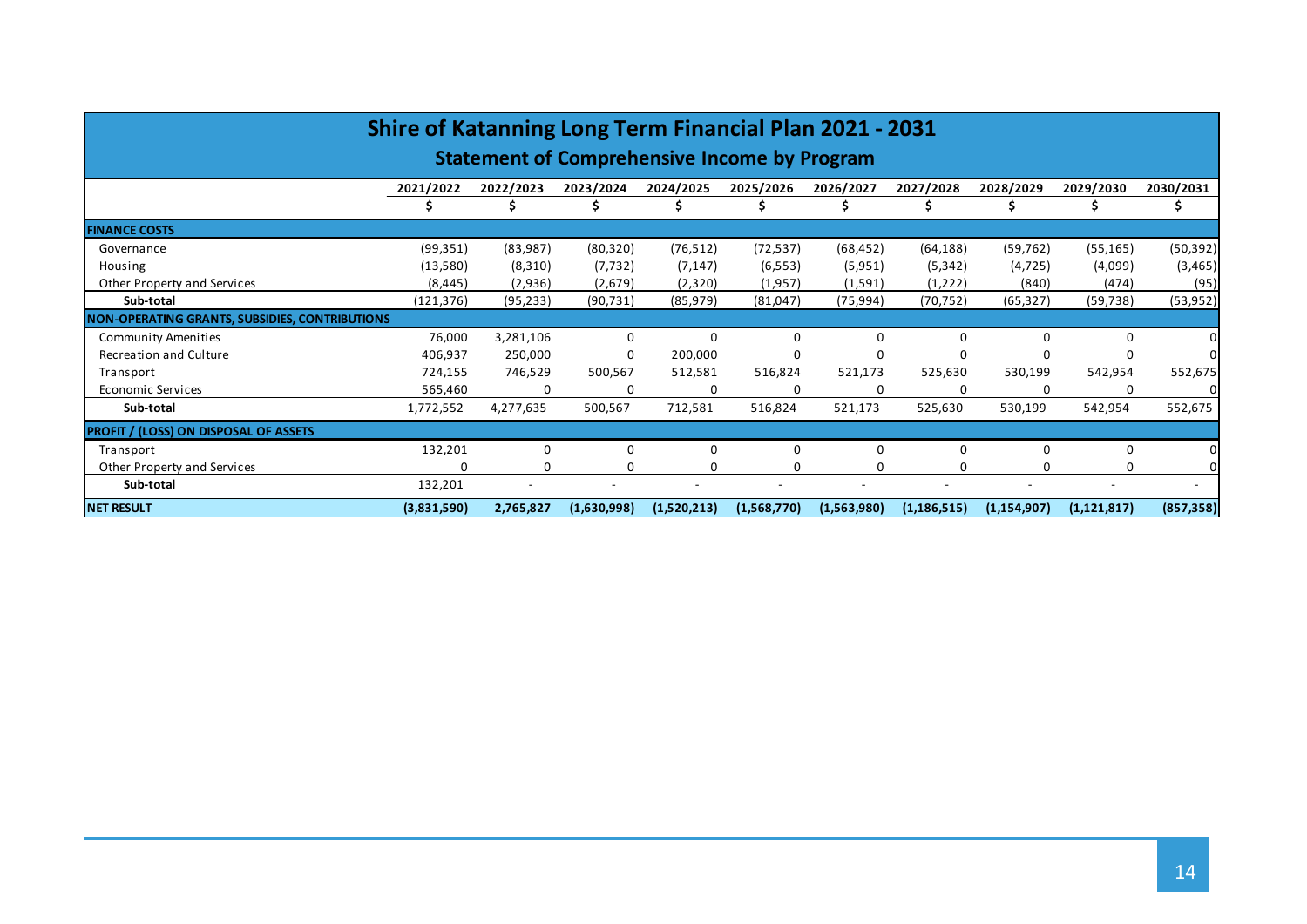|                                                       | <b>Shire of Katanning Long Term Financial Plan 2021 - 2031</b> |           |             |             |             |             |               |               |               |            |  |  |
|-------------------------------------------------------|----------------------------------------------------------------|-----------|-------------|-------------|-------------|-------------|---------------|---------------|---------------|------------|--|--|
| <b>Statement of Comprehensive Income by Program</b>   |                                                                |           |             |             |             |             |               |               |               |            |  |  |
|                                                       | 2021/2022                                                      | 2022/2023 | 2023/2024   | 2024/2025   | 2025/2026   | 2026/2027   | 2027/2028     | 2028/2029     | 2029/2030     | 2030/2031  |  |  |
|                                                       |                                                                |           |             |             |             |             |               |               |               |            |  |  |
| <b>FINANCE COSTS</b>                                  |                                                                |           |             |             |             |             |               |               |               |            |  |  |
| Governance                                            | (99, 351)                                                      | (83,987)  | (80, 320)   | (76, 512)   | (72, 537)   | (68, 452)   | (64, 188)     | (59, 762)     | (55, 165)     | (50, 392)  |  |  |
| Housing                                               | (13,580)                                                       | (8,310)   | (7, 732)    | (7, 147)    | (6, 553)    | (5,951)     | (5,342)       | (4, 725)      | (4,099)       | (3, 465)   |  |  |
| Other Property and Services                           | (8, 445)                                                       | (2,936)   | (2,679)     | (2,320)     | (1,957)     | (1, 591)    | (1,222)       | (840)         | (474)         | (95)       |  |  |
| Sub-total                                             | (121,376)                                                      | (95, 233) | (90, 731)   | (85, 979)   | (81,047)    | (75,994)    | (70, 752)     | (65, 327)     | (59, 738)     | (53, 952)  |  |  |
| <b>NON-OPERATING GRANTS, SUBSIDIES, CONTRIBUTIONS</b> |                                                                |           |             |             |             |             |               |               |               |            |  |  |
| Community Amenities                                   | 76,000                                                         | 3,281,106 | 0           | 0           |             |             | $\Omega$      | 0             |               |            |  |  |
| <b>Recreation and Culture</b>                         | 406,937                                                        | 250,000   | $\Omega$    | 200,000     |             |             | $\Omega$      | 0             |               |            |  |  |
| Transport                                             | 724,155                                                        | 746,529   | 500,567     | 512,581     | 516,824     | 521,173     | 525,630       | 530,199       | 542,954       | 552,675    |  |  |
| Economic Services                                     | 565,460                                                        | 0         |             | 0           |             |             |               | 0             |               |            |  |  |
| Sub-total                                             | 1,772,552                                                      | 4,277,635 | 500,567     | 712,581     | 516,824     | 521,173     | 525,630       | 530,199       | 542,954       | 552,675    |  |  |
| <b>PROFIT / (LOSS) ON DISPOSAL OF ASSETS</b>          |                                                                |           |             |             |             |             |               |               |               |            |  |  |
| Transport                                             | 132,201                                                        | 0         | $\Omega$    | $\Omega$    | $\Omega$    | $\Omega$    | 0             | $\Omega$      | 0             |            |  |  |
| Other Property and Services                           | n                                                              | 0         | Ω           | O           |             | $\Omega$    | O             | O             |               |            |  |  |
| Sub-total                                             | 132,201                                                        |           |             |             |             |             |               |               |               |            |  |  |
| <b>NET RESULT</b>                                     | (3,831,590)                                                    | 2,765,827 | (1,630,998) | (1,520,213) | (1,568,770) | (1,563,980) | (1, 186, 515) | (1, 154, 907) | (1, 121, 817) | (857, 358) |  |  |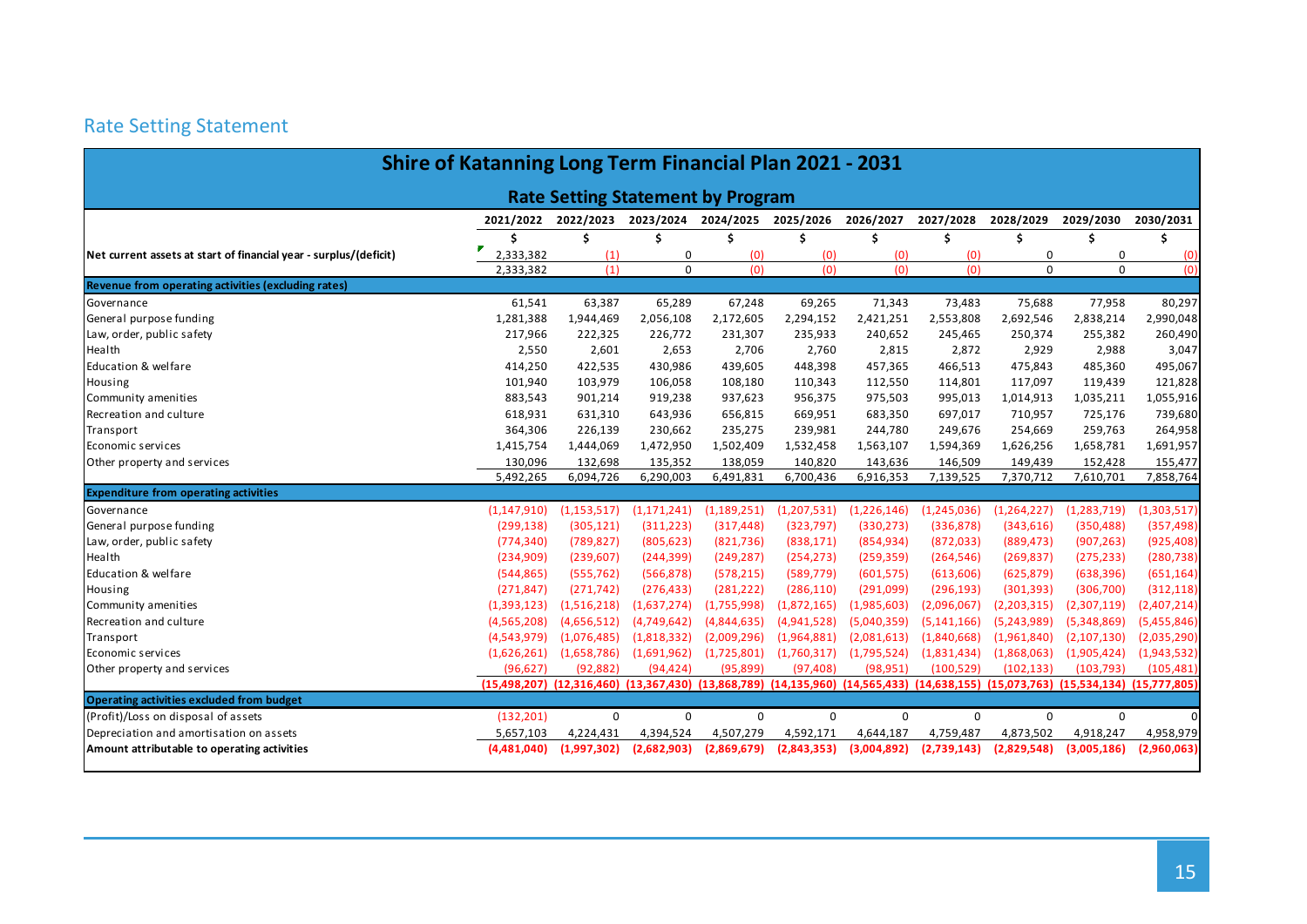## Rate Setting Statement

<span id="page-14-0"></span>

|                                                                   | <b>Shire of Katanning Long Term Financial Plan 2021 - 2031</b> |                |                                          |                     |                |                |               |               |               |              |
|-------------------------------------------------------------------|----------------------------------------------------------------|----------------|------------------------------------------|---------------------|----------------|----------------|---------------|---------------|---------------|--------------|
|                                                                   |                                                                |                | <b>Rate Setting Statement by Program</b> |                     |                |                |               |               |               |              |
|                                                                   | 2021/2022                                                      | 2022/2023      | 2023/2024                                | 2024/2025 2025/2026 |                | 2026/2027      | 2027/2028     | 2028/2029     | 2029/2030     | 2030/2031    |
|                                                                   | \$                                                             | Ŝ.             | \$                                       | Ś.                  | \$             | \$             | \$            | \$            | \$            | \$           |
| Net current assets at start of financial year - surplus/(deficit) | 2,333,382                                                      | (1)            | 0                                        | (0)                 | (0)            | (0)            | (0)           | $\Omega$      | ŋ             | (0)          |
|                                                                   | 2,333,382                                                      | (1)            | $\mathbf 0$                              | (0)                 | (0)            | (0)            | (0)           | $\mathbf 0$   | $\mathbf 0$   | (0)          |
| Revenue from operating activities (excluding rates)               |                                                                |                |                                          |                     |                |                |               |               |               |              |
| Governance                                                        | 61,541                                                         | 63,387         | 65,289                                   | 67,248              | 69,265         | 71,343         | 73,483        | 75,688        | 77,958        | 80,297       |
| General purpose funding                                           | 1,281,388                                                      | 1,944,469      | 2,056,108                                | 2,172,605           | 2,294,152      | 2,421,251      | 2,553,808     | 2,692,546     | 2,838,214     | 2,990,048    |
| Law, order, public safety                                         | 217,966                                                        | 222,325        | 226,772                                  | 231,307             | 235,933        | 240,652        | 245,465       | 250,374       | 255,382       | 260,490      |
| Health                                                            | 2,550                                                          | 2,601          | 2,653                                    | 2,706               | 2,760          | 2,815          | 2,872         | 2,929         | 2,988         | 3,047        |
| Education & welfare                                               | 414,250                                                        | 422,535        | 430,986                                  | 439,605             | 448,398        | 457,365        | 466,513       | 475,843       | 485,360       | 495,067      |
| Housing                                                           | 101,940                                                        | 103,979        | 106,058                                  | 108,180             | 110,343        | 112,550        | 114,801       | 117,097       | 119,439       | 121,828      |
| Community amenities                                               | 883,543                                                        | 901,214        | 919,238                                  | 937,623             | 956,375        | 975,503        | 995,013       | 1,014,913     | 1,035,211     | 1,055,916    |
| Recreation and culture                                            | 618,931                                                        | 631,310        | 643,936                                  | 656,815             | 669,951        | 683,350        | 697,017       | 710,957       | 725,176       | 739,680      |
| Transport                                                         | 364,306                                                        | 226,139        | 230,662                                  | 235,275             | 239,981        | 244,780        | 249,676       | 254,669       | 259,763       | 264,958      |
| Economic services                                                 | 1,415,754                                                      | 1,444,069      | 1,472,950                                | 1,502,409           | 1,532,458      | 1,563,107      | 1,594,369     | 1,626,256     | 1,658,781     | 1,691,957    |
| Other property and services                                       | 130,096                                                        | 132,698        | 135,352                                  | 138,059             | 140,820        | 143,636        | 146,509       | 149,439       | 152,428       | 155,477      |
|                                                                   | 5,492,265                                                      | 6,094,726      | 6,290,003                                | 6,491,831           | 6,700,436      | 6,916,353      | 7,139,525     | 7,370,712     | 7,610,701     | 7,858,764    |
| <b>Expenditure from operating activities</b>                      |                                                                |                |                                          |                     |                |                |               |               |               |              |
| Governance                                                        | (1, 147, 910)                                                  | (1, 153, 517)  | (1, 171, 241)                            | (1, 189, 251)       | (1, 207, 531)  | (1,226,146)    | (1,245,036)   | (1, 264, 227) | (1, 283, 719) | (1,303,517)  |
| General purpose funding                                           | (299, 138)                                                     | (305, 121)     | (311, 223)                               | (317, 448)          | (323, 797)     | (330, 273)     | (336, 878)    | (343,616)     | (350, 488)    | (357, 498)   |
| Law, order, public safety                                         | (774, 340)                                                     | (789, 827)     | (805, 623)                               | (821, 736)          | (838, 171)     | (854, 934)     | (872, 033)    | (889, 473)    | (907, 263)    | (925, 408)   |
| Health                                                            | (234,909)                                                      | (239,607)      | (244, 399)                               | (249, 287)          | (254, 273)     | (259, 359)     | (264, 546)    | (269, 837)    | (275, 233)    | (280, 738)   |
| Education & welfare                                               | (544, 865)                                                     | (555, 762)     | (566, 878)                               | (578, 215)          | (589, 779)     | (601, 575)     | (613, 606)    | (625, 879)    | (638, 396)    | (651, 164)   |
| Housing                                                           | (271, 847)                                                     | (271, 742)     | (276, 433)                               | (281, 222)          | (286, 110)     | (291,099)      | (296, 193)    | (301, 393)    | (306, 700)    | (312, 118)   |
| Community amenities                                               | (1,393,123)                                                    | (1,516,218)    | (1,637,274)                              | (1,755,998)         | (1,872,165)    | (1,985,603)    | (2,096,067)   | (2,203,315)   | (2,307,119)   | (2,407,214)  |
| Recreation and culture                                            | (4,565,208)                                                    | (4,656,512)    | (4,749,642)                              | (4,844,635)         | (4,941,528)    | (5,040,359)    | (5, 141, 166) | (5,243,989)   | (5,348,869)   | (5,455,846)  |
| Transport                                                         | (4,543,979)                                                    | (1,076,485)    | (1,818,332)                              | (2,009,296)         | (1,964,881)    | (2,081,613)    | (1,840,668)   | (1,961,840)   | (2,107,130)   | (2,035,290)  |
| Economic services                                                 | (1,626,261)                                                    | (1,658,786)    | (1,691,962)                              | (1,725,801)         | (1,760,317)    | (1,795,524)    | (1,831,434)   | (1,868,063)   | (1,905,424)   | (1,943,532)  |
| Other property and services                                       | (96, 627)                                                      | (92, 882)      | (94, 424)                                | (95, 899)           | (97, 408)      | (98, 951)      | (100, 529)    | (102, 133)    | (103, 793)    | (105, 481)   |
|                                                                   | (15, 498, 207)                                                 | (12, 316, 460) | (13, 367, 430)                           | (13,868,789)        | (14, 135, 960) | (14, 565, 433) | (14,638,155)  | (15,073,763)  | (15,534,134)  | (15,777,805) |
| Operating activities excluded from budget                         |                                                                |                |                                          |                     |                |                |               |               |               |              |
| (Profit)/Loss on disposal of assets                               | (132, 201)                                                     | $\mathbf 0$    | $\mathbf 0$                              | $\mathbf 0$         | 0              | $\mathbf 0$    | $\mathbf 0$   | $\mathbf 0$   | $\mathbf 0$   | n            |
| Depreciation and amortisation on assets                           | 5,657,103                                                      | 4,224,431      | 4,394,524                                | 4,507,279           | 4,592,171      | 4,644,187      | 4,759,487     | 4,873,502     | 4,918,247     | 4,958,979    |
| Amount attributable to operating activities                       | (4,481,040)                                                    | (1,997,302)    | (2,682,903)                              | (2,869,679)         | (2,843,353)    | (3,004,892)    | (2,739,143)   | (2,829,548)   | (3,005,186)   | (2,960,063)  |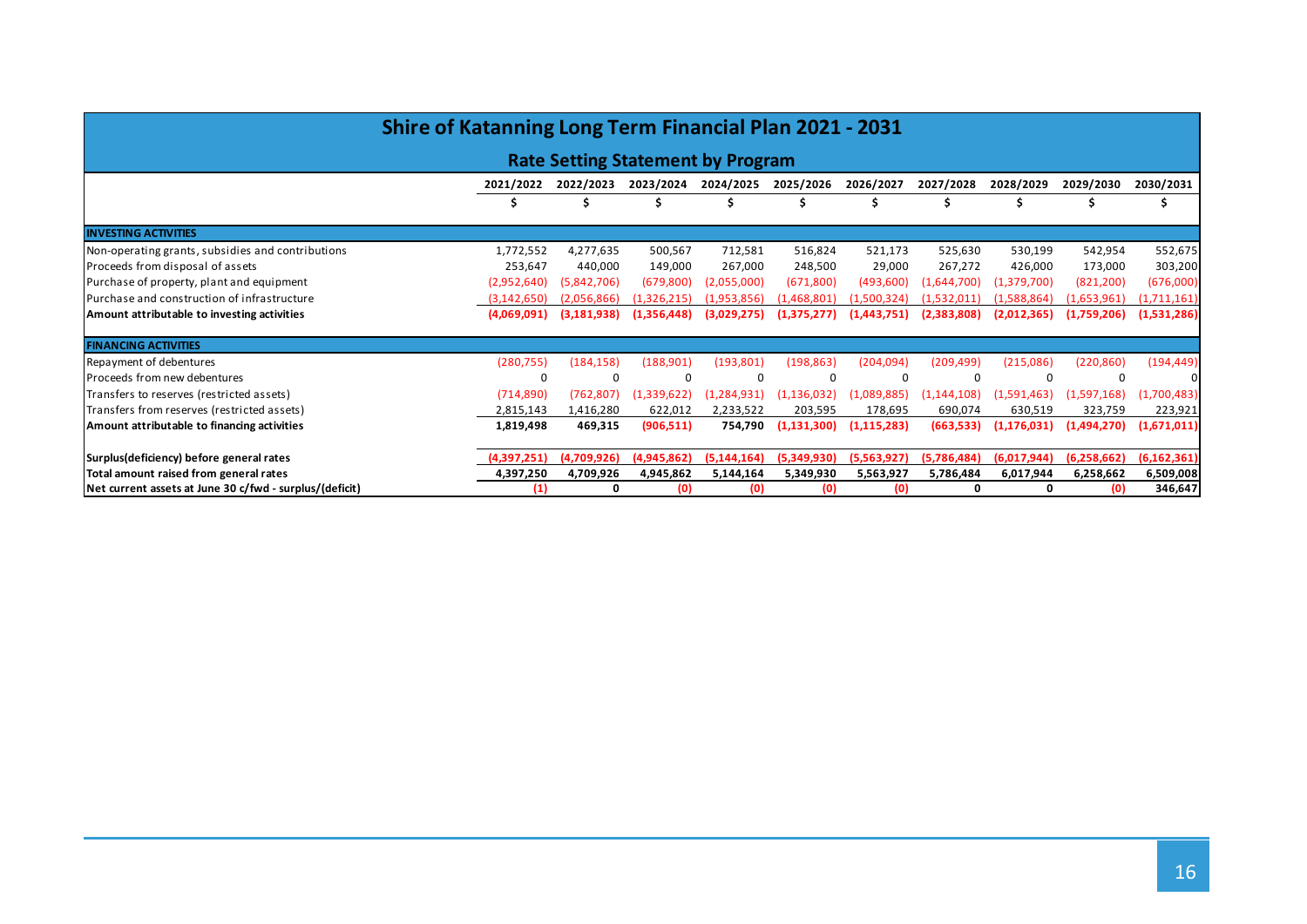| <b>Shire of Katanning Long Term Financial Plan 2021 - 2031</b> |                                  |               |             |               |               |               |              |               |             |               |  |  |  |
|----------------------------------------------------------------|----------------------------------|---------------|-------------|---------------|---------------|---------------|--------------|---------------|-------------|---------------|--|--|--|
| <b>Rate Setting Statement by Program</b>                       |                                  |               |             |               |               |               |              |               |             |               |  |  |  |
|                                                                | 2021/2022                        | 2022/2023     | 2023/2024   | 2024/2025     | 2025/2026     | 2026/2027     | 2027/2028    | 2028/2029     | 2029/2030   | 2030/2031     |  |  |  |
|                                                                |                                  |               | S           |               |               |               |              |               |             | C             |  |  |  |
| <b>INVESTING ACTIVITIES</b>                                    |                                  |               |             |               |               |               |              |               |             |               |  |  |  |
| Non-operating grants, subsidies and contributions              | 1,772,552                        | 4,277,635     | 500,567     | 712,581       | 516,824       | 521,173       | 525,630      | 530,199       | 542,954     | 552,675       |  |  |  |
| Proceeds from disposal of assets                               | 253,647                          | 440,000       | 149,000     | 267,000       | 248,500       | 29,000        | 267,272      | 426,000       | 173,000     | 303,200       |  |  |  |
| Purchase of property, plant and equipment                      | (2,952,640)                      | (5,842,706)   | (679, 800)  | (2,055,000)   | (671,800)     | (493,600)     | (1,644,700)  | (1,379,700)   | (821, 200)  | (676,000)     |  |  |  |
| Purchase and construction of infrastructure                    | (3, 142, 650)                    | (2,056,866)   | (1,326,215) | (1,953,856)   | (1,468,801)   | (1,500,324)   | (1,532,011)  | (1,588,864)   | (1,653,961) | (1,711,161)   |  |  |  |
| Amount attributable to investing activities                    | (4,069,091)                      | (3, 181, 938) | (1,356,448) | (3,029,275)   | (1,375,277)   | (1,443,751)   | (2,383,808)  | (2,012,365)   | (1,759,206) | (1,531,286)   |  |  |  |
| <b>FINANCING ACTIVITIES</b>                                    |                                  |               |             |               |               |               |              |               |             |               |  |  |  |
| Repayment of debentures                                        | (280, 755)                       | (184, 158)    | (188, 901)  | (193, 801)    | (198, 863)    | (204, 094)    | (209, 499)   | (215,086)     | (220, 860)  | (194, 449)    |  |  |  |
| Proceeds from new debentures                                   |                                  | $\Omega$      | $\mathbf 0$ |               | 0             |               | <sup>0</sup> | $\Omega$      | 0           |               |  |  |  |
| Transfers to reserves (restricted assets)                      | (714,890)                        | (762, 807)    | (1.339.622) | (1, 284, 931) | (1.136.032)   | (1,089,885)   | (1,144,108)  | (1.591.463)   | (1,597,168) | (1,700,483)   |  |  |  |
| Transfers from reserves (restricted assets)                    | 2,815,143                        | 1,416,280     | 622,012     | 2,233,522     | 203,595       | 178,695       | 690,074      | 630,519       | 323,759     | 223,921       |  |  |  |
| Amount attributable to financing activities                    | 1,819,498                        | 469,315       | (906, 511)  | 754,790       | (1, 131, 300) | (1, 115, 283) | (663, 533)   | (1, 176, 031) | (1,494,270) | (1,671,011)   |  |  |  |
| Surplus(deficiency) before general rates                       | (4,397,251)                      | (4,709,926)   | (4,945,862) | (5, 144, 164) | (5,349,930)   | (5,563,927)   | (5,786,484)  | (6,017,944)   | (6,258,662) | (6, 162, 361) |  |  |  |
| Total amount raised from general rates                         | 4,397,250                        | 4,709,926     | 4,945,862   | 5,144,164     | 5,349,930     | 5,563,927     | 5,786,484    | 6,017,944     | 6,258,662   | 6,509,008     |  |  |  |
| Net current assets at June 30 c/fwd - surplus/(deficit)        | $\mathbf{\mathbf{\mathbf{(1)}}}$ | 0             | (0)         | (0)           | (0)           | (0)           | 0            | 0             | (0)         | 346,647       |  |  |  |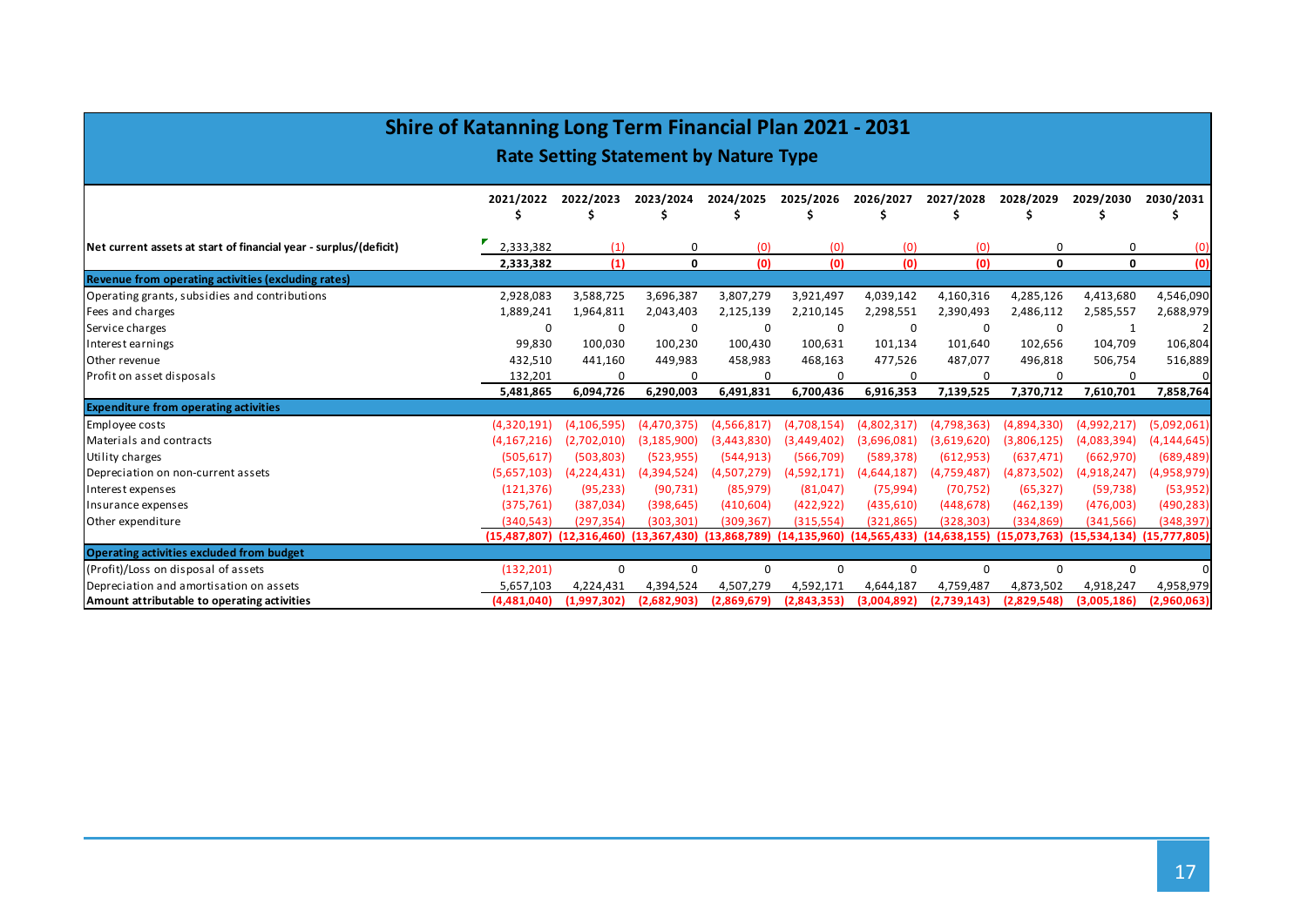|                                                                                                                                | <b>Shire of Katanning Long Term Financial Plan 2021 - 2031</b><br><b>Rate Setting Statement by Nature Type</b> |                                                             |                        |                        |                        |                        |                        |                          |                                                                                      |                        |  |  |  |  |
|--------------------------------------------------------------------------------------------------------------------------------|----------------------------------------------------------------------------------------------------------------|-------------------------------------------------------------|------------------------|------------------------|------------------------|------------------------|------------------------|--------------------------|--------------------------------------------------------------------------------------|------------------------|--|--|--|--|
| 2023/2024<br>2025/2026<br>2026/2027<br>2028/2029<br>2029/2030<br>2021/2022<br>2022/2023<br>2024/2025<br>2027/2028<br>2030/2031 |                                                                                                                |                                                             |                        |                        |                        |                        |                        |                          |                                                                                      |                        |  |  |  |  |
| Net current assets at start of financial year - surplus/(deficit)                                                              | 2,333,382<br>2,333,382                                                                                         | (1)<br>(1)                                                  | 0<br>0                 | (0)<br>(0)             | (0)<br>(0)             | (0)<br>(0)             | (0)<br>(0)             | $\Omega$<br>$\mathbf{0}$ | 0<br>$\mathbf{0}$                                                                    | (0)<br>(0)             |  |  |  |  |
| Revenue from operating activities (excluding rates)                                                                            |                                                                                                                |                                                             |                        |                        |                        |                        |                        |                          |                                                                                      |                        |  |  |  |  |
| Operating grants, subsidies and contributions<br>Fees and charges                                                              | 2,928,083<br>1,889,241                                                                                         | 3,588,725<br>1,964,811                                      | 3,696,387<br>2,043,403 | 3,807,279<br>2,125,139 | 3,921,497<br>2,210,145 | 4,039,142<br>2,298,551 | 4,160,316<br>2,390,493 | 4,285,126<br>2,486,112   | 4,413,680<br>2,585,557                                                               | 4,546,090<br>2,688,979 |  |  |  |  |
| Service charges                                                                                                                | $\Omega$                                                                                                       | $\mathbf 0$                                                 | 0                      | 0                      | 0                      | $\mathbf 0$            | 0                      | $\Omega$                 | 1                                                                                    |                        |  |  |  |  |
| Interest earnings                                                                                                              | 99,830                                                                                                         | 100,030                                                     | 100,230                | 100,430                | 100,631                | 101,134                | 101,640                | 102,656                  | 104,709                                                                              | 106,804                |  |  |  |  |
| Other revenue                                                                                                                  | 432,510                                                                                                        | 441,160                                                     | 449,983                | 458,983                | 468,163                | 477,526                | 487,077                | 496,818                  | 506,754                                                                              | 516,889                |  |  |  |  |
| Profit on asset disposals                                                                                                      | 132,201                                                                                                        | $\Omega$                                                    | $\Omega$               | $\Omega$               | $\Omega$               | $\Omega$               |                        |                          | $\Omega$                                                                             | 0                      |  |  |  |  |
|                                                                                                                                | 5,481,865                                                                                                      | 6,094,726                                                   | 6,290,003              | 6,491,831              | 6,700,436              | 6,916,353              | 7,139,525              | 7,370,712                | 7,610,701                                                                            | 7,858,764              |  |  |  |  |
| <b>Expenditure from operating activities</b>                                                                                   |                                                                                                                |                                                             |                        |                        |                        |                        |                        |                          |                                                                                      |                        |  |  |  |  |
| Employee costs                                                                                                                 | (4,320,191)                                                                                                    | (4, 106, 595)                                               | (4,470,375)            | (4,566,817)            | (4,708,154)            | (4,802,317)            | (4,798,363)            | (4,894,330)              | (4,992,217)                                                                          | (5,092,061)            |  |  |  |  |
| Materials and contracts                                                                                                        | (4, 167, 216)                                                                                                  | (2,702,010)                                                 | (3, 185, 900)          | (3,443,830)            | (3,449,402)            | (3,696,081)            | (3,619,620)            | (3,806,125)              | (4,083,394)                                                                          | (4, 144, 645)          |  |  |  |  |
| Utility charges                                                                                                                | (505, 617)                                                                                                     | (503, 803)                                                  | (523, 955)             | (544, 913)             | (566, 709)             | (589, 378)             | (612, 953)             | (637, 471)               | (662, 970)                                                                           | (689, 489)             |  |  |  |  |
| Depreciation on non-current assets                                                                                             | (5,657,103)                                                                                                    | (4,224,431)                                                 | (4,394,524)            | (4,507,279)            | (4,592,171)            | (4,644,187)            | (4,759,487)            | (4,873,502)              | (4,918,247)                                                                          | (4,958,979)            |  |  |  |  |
| Interest expenses                                                                                                              | (121, 376)                                                                                                     | (95, 233)                                                   | (90, 731)              | (85, 979)              | (81,047)               | (75, 994)              | (70, 752)              | (65, 327)                | (59, 738)                                                                            | (53, 952)              |  |  |  |  |
| Insurance expenses                                                                                                             | (375, 761)                                                                                                     | (387,034)                                                   | (398, 645)             | (410, 604)             | (422, 922)             | (435,610)              | (448, 678)             | (462, 139)               | (476,003)                                                                            | (490, 283)             |  |  |  |  |
| Other expenditure                                                                                                              | (340, 543)                                                                                                     | (297, 354)                                                  | (303, 301)             | (309, 367)             | (315, 554)             | (321, 865)             | (328, 303)             | (334, 869)               | (341,566)                                                                            | (348, 397)             |  |  |  |  |
|                                                                                                                                |                                                                                                                | $(15,487,807)$ $(12,316,460)$ $(13,367,430)$ $(13,868,789)$ |                        |                        |                        |                        |                        |                          | $(14, 135, 960)$ $(14, 565, 433)$ $(14, 638, 155)$ $(15, 073, 763)$ $(15, 534, 134)$ | (15,777,805)           |  |  |  |  |
| Operating activities excluded from budget                                                                                      |                                                                                                                |                                                             |                        |                        |                        |                        |                        |                          |                                                                                      |                        |  |  |  |  |
| (Profit)/Loss on disposal of assets                                                                                            | (132, 201)                                                                                                     | $\mathbf 0$                                                 | $\mathbf 0$            | $\mathbf 0$            | 0                      | $\mathbf 0$            | 0                      | $\mathbf{0}$             | $\mathbf 0$                                                                          | $\Omega$               |  |  |  |  |
| Depreciation and amortisation on assets                                                                                        | 5,657,103                                                                                                      | 4,224,431                                                   | 4,394,524              | 4,507,279              | 4,592,171              | 4,644,187              | 4,759,487              | 4,873,502                | 4,918,247                                                                            | 4,958,979              |  |  |  |  |
| Amount attributable to operating activities                                                                                    | (4,481,040)                                                                                                    | (1.997.302)                                                 | (2.682.903)            | (2.869.679)            | (2,843,353)            | (3,004,892)            | (2,739,143)            | (2,829,548)              | (3.005.186)                                                                          | (2,960,063)            |  |  |  |  |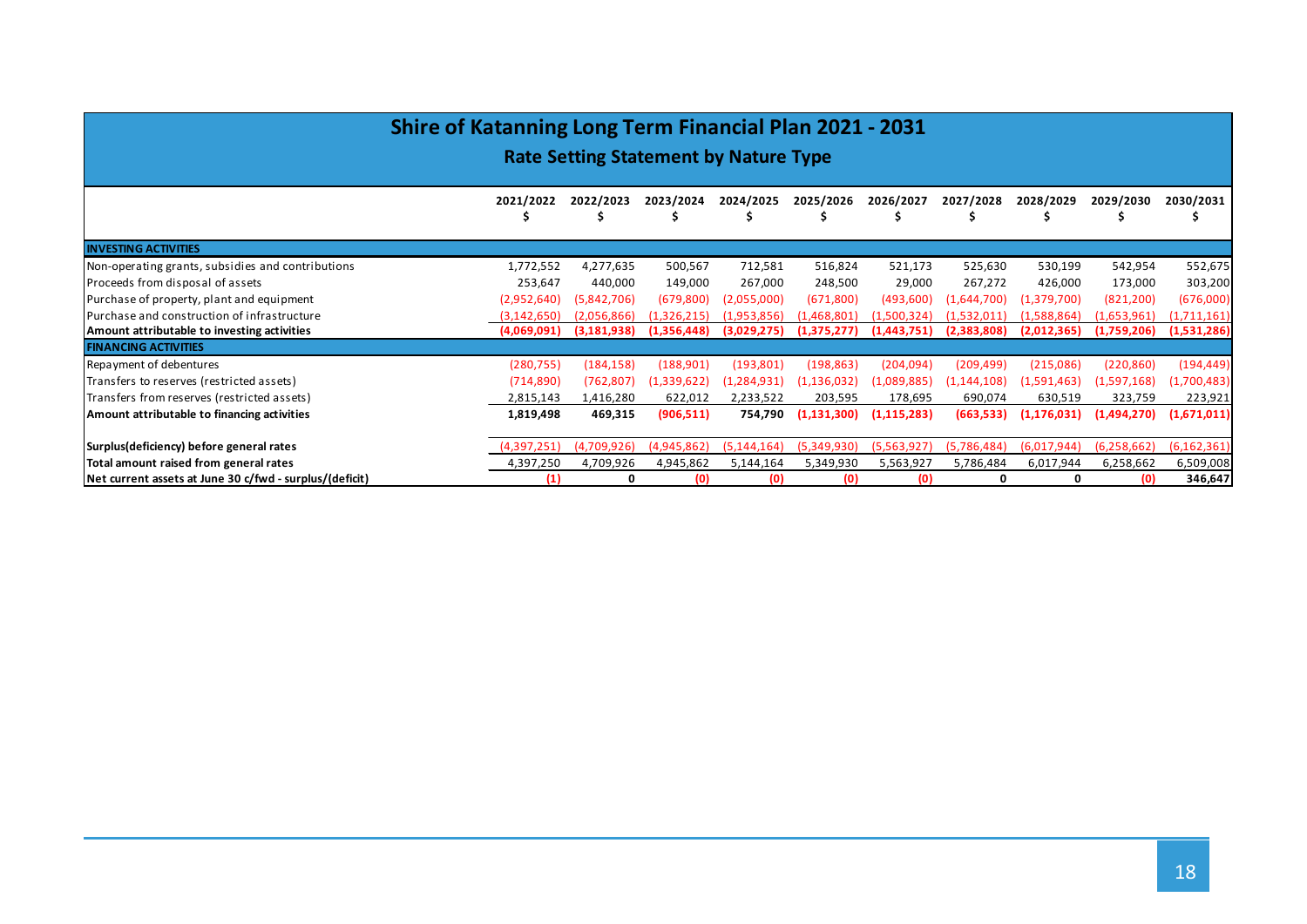|                                                         | <b>Shire of Katanning Long Term Financial Plan 2021 - 2031</b><br><b>Rate Setting Statement by Nature Type</b> |               |             |               |               |               |               |               |               |               |  |  |  |  |  |
|---------------------------------------------------------|----------------------------------------------------------------------------------------------------------------|---------------|-------------|---------------|---------------|---------------|---------------|---------------|---------------|---------------|--|--|--|--|--|
|                                                         | 2021/2022                                                                                                      | 2022/2023     | 2023/2024   | 2024/2025     | 2025/2026     | 2026/2027     | 2027/2028     | 2028/2029     | 2029/2030     | 2030/2031     |  |  |  |  |  |
|                                                         |                                                                                                                |               |             |               |               |               |               |               |               |               |  |  |  |  |  |
| <b>INVESTING ACTIVITIES</b>                             |                                                                                                                |               |             |               |               |               |               |               |               |               |  |  |  |  |  |
| Non-operating grants, subsidies and contributions       | 1,772,552                                                                                                      | 4,277,635     | 500,567     | 712,581       | 516,824       | 521,173       | 525,630       | 530,199       | 542,954       | 552,675       |  |  |  |  |  |
| Proceeds from disposal of assets                        | 253,647                                                                                                        | 440,000       | 149,000     | 267,000       | 248,500       | 29,000        | 267,272       | 426,000       | 173,000       | 303,200       |  |  |  |  |  |
| Purchase of property, plant and equipment               | (2,952,640)                                                                                                    | (5,842,706)   | (679, 800)  | (2,055,000)   | (671,800)     | (493,600)     | (1,644,700)   | (1,379,700)   | (821, 200)    | (676,000)     |  |  |  |  |  |
| Purchase and construction of infrastructure             | (3, 142, 650)                                                                                                  | (2,056,866)   | (1,326,215) | (1,953,856)   | (1.468.801)   | (1.500.324)   | (1,532,011)   | (1.588.864)   | (1,653,961)   | (1,711,161)   |  |  |  |  |  |
| Amount attributable to investing activities             | (4,069,091)                                                                                                    | (3, 181, 938) | (1,356,448) | (3,029,275)   | (1,375,277)   | (1,443,751)   | (2,383,808)   | (2,012,365)   | (1,759,206)   | (1,531,286)   |  |  |  |  |  |
| <b>FINANCING ACTIVITIES</b>                             |                                                                                                                |               |             |               |               |               |               |               |               |               |  |  |  |  |  |
| Repayment of debentures                                 | (280, 755)                                                                                                     | (184, 158)    | (188, 901)  | (193, 801)    | (198, 863)    | (204, 094)    | (209, 499)    | (215,086)     | (220, 860)    | (194, 449)    |  |  |  |  |  |
| Transfers to reserves (restricted assets)               | (714, 890)                                                                                                     | (762, 807)    | (1.339.622) | (1,284,931)   | (1, 136, 032) | (1,089,885)   | (1, 144, 108) | (1.591.463)   | (1,597,168)   | (1,700,483)   |  |  |  |  |  |
| Transfers from reserves (restricted assets)             | 2,815,143                                                                                                      | 1,416,280     | 622,012     | 2,233,522     | 203,595       | 178,695       | 690,074       | 630,519       | 323,759       | 223,921       |  |  |  |  |  |
| Amount attributable to financing activities             | 1,819,498                                                                                                      | 469,315       | (906, 511)  | 754,790       | (1, 131, 300) | (1, 115, 283) | (663, 533)    | (1, 176, 031) | (1,494,270)   | (1,671,011)   |  |  |  |  |  |
|                                                         |                                                                                                                |               |             |               |               |               |               |               |               |               |  |  |  |  |  |
| Surplus(deficiency) before general rates                | (4,397,251)                                                                                                    | (4,709,926)   | (4,945,862) | (5, 144, 164) | (5,349,930)   | (5,563,927)   | (5,786,484)   | (6,017,944)   | (6, 258, 662) | (6, 162, 361) |  |  |  |  |  |
| Total amount raised from general rates                  | 4,397,250                                                                                                      | 4,709,926     | 4,945,862   | 5,144,164     | 5,349,930     | 5,563,927     | 5,786,484     | 6,017,944     | 6,258,662     | 6,509,008     |  |  |  |  |  |
| Net current assets at June 30 c/fwd - surplus/(deficit) | (1)                                                                                                            | 0             | (0)         | (0)           | (0)           | (0)           | 0             | 0             | (0)           | 346,647       |  |  |  |  |  |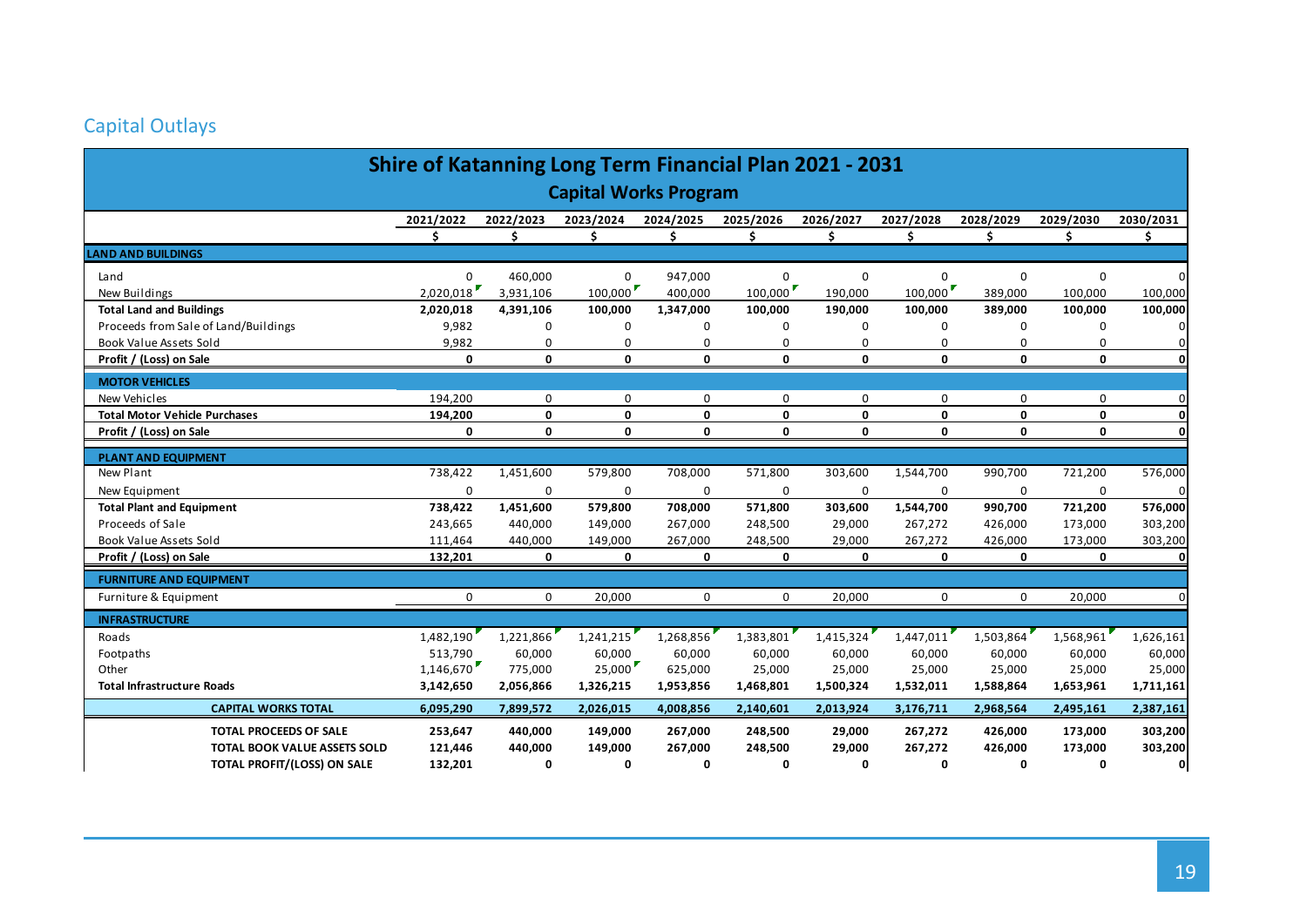# Capital Outlays

<span id="page-18-0"></span>

| <b>Shire of Katanning Long Term Financial Plan 2021 - 2031</b> |           |             |                              |              |              |              |             |              |              |             |  |
|----------------------------------------------------------------|-----------|-------------|------------------------------|--------------|--------------|--------------|-------------|--------------|--------------|-------------|--|
|                                                                |           |             | <b>Capital Works Program</b> |              |              |              |             |              |              |             |  |
|                                                                | 2021/2022 | 2022/2023   | 2023/2024                    | 2024/2025    | 2025/2026    | 2026/2027    | 2027/2028   | 2028/2029    | 2029/2030    | 2030/2031   |  |
|                                                                | Ś.        | Ś           | Ś                            | Ś            | \$           | Ś            | \$.         | \$           | Ś.           | \$.         |  |
| <b>LAND AND BUILDINGS</b>                                      |           |             |                              |              |              |              |             |              |              |             |  |
| Land                                                           | 0         | 460,000     | 0                            | 947,000      | 0            | 0            | 0           | $\mathbf 0$  | $\Omega$     |             |  |
| New Buildings                                                  | 2,020,018 | 3,931,106   | 100,000                      | 400,000      | 100,000      | 190,000      | 100.000     | 389,000      | 100,000      | 100,000     |  |
| <b>Total Land and Buildings</b>                                | 2,020,018 | 4,391,106   | 100,000                      | 1,347,000    | 100,000      | 190,000      | 100,000     | 389,000      | 100,000      | 100,000     |  |
| Proceeds from Sale of Land/Buildings                           | 9,982     | 0           | 0                            | $\Omega$     | 0            | $\Omega$     | 0           | 0            | $\Omega$     |             |  |
| Book Value Assets Sold                                         | 9,982     | 0           | 0                            | $\Omega$     | 0            | $\Omega$     | 0           | 0            | 0            |             |  |
| Profit / (Loss) on Sale                                        | 0         | 0           | $\mathbf{0}$                 | $\mathbf{0}$ | $\mathbf{0}$ | $\mathbf{0}$ | $\mathbf 0$ | $\mathbf{0}$ | 0            |             |  |
| <b>MOTOR VEHICLES</b>                                          |           |             |                              |              |              |              |             |              |              |             |  |
| New Vehicles                                                   | 194.200   | $\mathbf 0$ | 0                            | $\mathbf 0$  | 0            | 0            | $\mathbf 0$ | $\mathbf 0$  | 0            |             |  |
| <b>Total Motor Vehicle Purchases</b>                           | 194,200   | $\mathbf 0$ | 0                            | $\mathbf 0$  | 0            | $\mathbf{0}$ | 0           | $\mathbf{0}$ | $\mathbf{0}$ | $\mathbf 0$ |  |
| Profit / (Loss) on Sale                                        | 0         | $\mathbf 0$ | 0                            | 0            | 0            | 0            | 0           | 0            | 0            | $\Omega$    |  |
| PLANT AND EQUIPMENT                                            |           |             |                              |              |              |              |             |              |              |             |  |
| New Plant                                                      | 738,422   | 1,451,600   | 579,800                      | 708,000      | 571,800      | 303,600      | 1,544,700   | 990,700      | 721,200      | 576,000     |  |
| New Equipment                                                  | $\Omega$  | $\Omega$    | $\Omega$                     | $\Omega$     | $\Omega$     | $\Omega$     | $\Omega$    | $\Omega$     | $\Omega$     |             |  |
| <b>Total Plant and Equipment</b>                               | 738,422   | 1,451,600   | 579,800                      | 708,000      | 571,800      | 303,600      | 1,544,700   | 990,700      | 721,200      | 576,000     |  |
| Proceeds of Sale                                               | 243,665   | 440,000     | 149,000                      | 267,000      | 248,500      | 29,000       | 267,272     | 426,000      | 173,000      | 303,200     |  |
| Book Value Assets Sold                                         | 111,464   | 440,000     | 149,000                      | 267,000      | 248,500      | 29,000       | 267,272     | 426,000      | 173,000      | 303,200     |  |
| Profit / (Loss) on Sale                                        | 132,201   | $\mathbf 0$ | $\mathbf{0}$                 | $\mathbf 0$  | 0            | $\Omega$     | 0           | $\mathbf{0}$ | $\Omega$     |             |  |
| <b>FURNITURE AND EQUIPMENT</b>                                 |           |             |                              |              |              |              |             |              |              |             |  |
| Furniture & Equipment                                          | 0         | 0           | 20,000                       | 0            | 0            | 20,000       | 0           | 0            | 20,000       |             |  |
| <b>INFRASTRUCTURE</b>                                          |           |             |                              |              |              |              |             |              |              |             |  |
| Roads                                                          | 1,482,190 | 1,221,866   | 1,241,215                    | 1,268,856    | 1,383,801    | 1,415,324    | 1,447,011   | 1,503,864    | 1,568,961    | 1,626,161   |  |
| Footpaths                                                      | 513,790   | 60,000      | 60,000                       | 60,000       | 60,000       | 60,000       | 60,000      | 60,000       | 60,000       | 60,000      |  |
| Other                                                          | 1,146,670 | 775,000     | 25,000                       | 625,000      | 25,000       | 25,000       | 25,000      | 25,000       | 25,000       | 25,000      |  |
| <b>Total Infrastructure Roads</b>                              | 3,142,650 | 2,056,866   | 1,326,215                    | 1,953,856    | 1,468,801    | 1,500,324    | 1,532,011   | 1,588,864    | 1,653,961    | 1,711,161   |  |
| <b>CAPITAL WORKS TOTAL</b>                                     | 6,095,290 | 7,899,572   | 2,026,015                    | 4,008,856    | 2,140,601    | 2,013,924    | 3,176,711   | 2,968,564    | 2,495,161    | 2,387,161   |  |
| <b>TOTAL PROCEEDS OF SALE</b>                                  | 253,647   | 440,000     | 149,000                      | 267,000      | 248,500      | 29,000       | 267,272     | 426,000      | 173,000      | 303,200     |  |
| <b>TOTAL BOOK VALUE ASSETS SOLD</b>                            | 121,446   | 440,000     | 149,000                      | 267,000      | 248,500      | 29,000       | 267,272     | 426,000      | 173,000      | 303,200     |  |
| TOTAL PROFIT/(LOSS) ON SALE                                    | 132,201   | 0           | 0                            | 0            | 0            | 0            | 0           | 0            | 0            | 01          |  |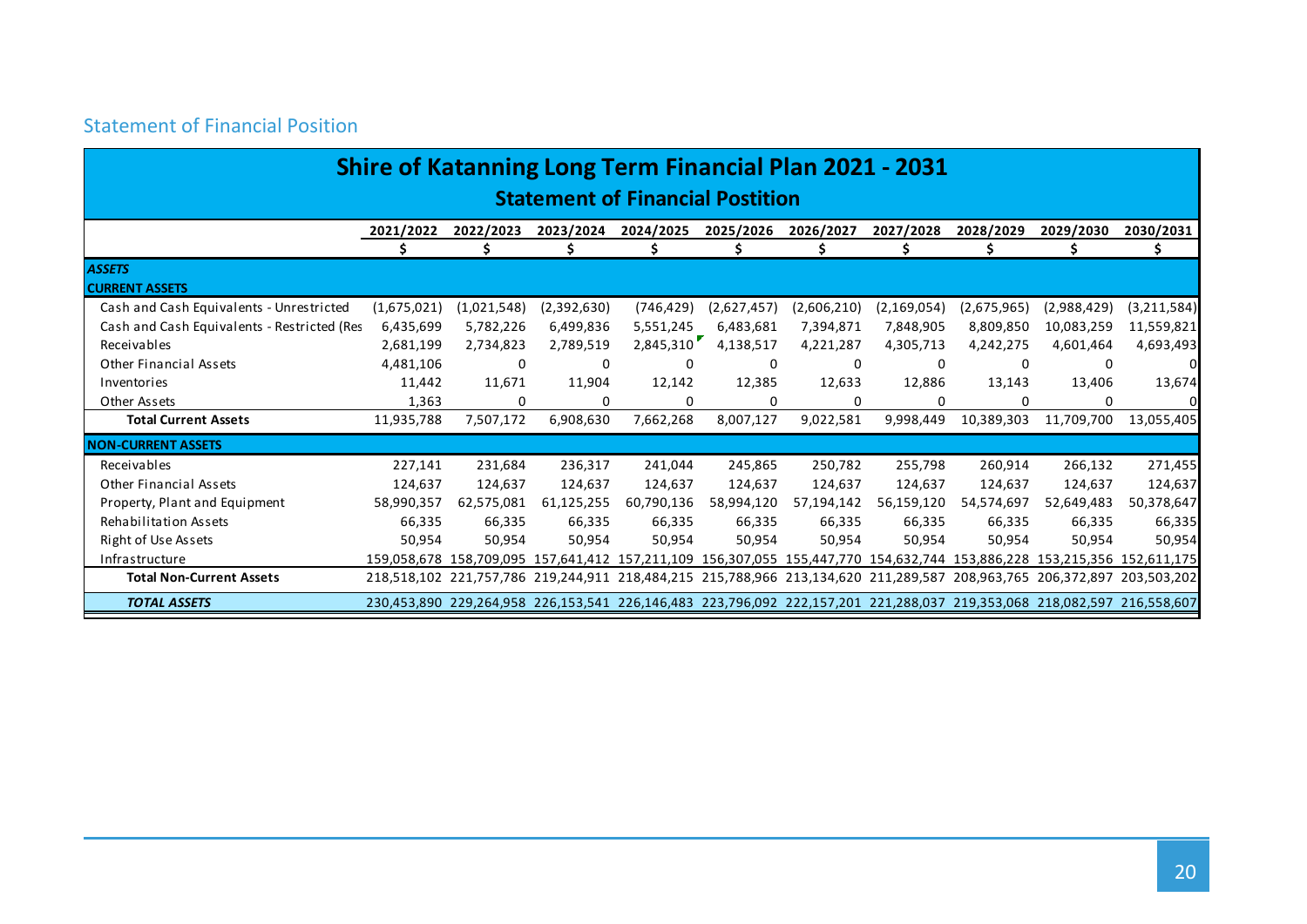<span id="page-19-0"></span>

| <b>Shire of Katanning Long Term Financial Plan 2021 - 2031</b> |             |             |             |                                                                                                                         |             |             |               |             |             |             |  |  |  |
|----------------------------------------------------------------|-------------|-------------|-------------|-------------------------------------------------------------------------------------------------------------------------|-------------|-------------|---------------|-------------|-------------|-------------|--|--|--|
| <b>Statement of Financial Postition</b>                        |             |             |             |                                                                                                                         |             |             |               |             |             |             |  |  |  |
|                                                                | 2021/2022   | 2022/2023   | 2023/2024   | 2024/2025                                                                                                               | 2025/2026   | 2026/2027   | 2027/2028     | 2028/2029   | 2029/2030   | 2030/2031   |  |  |  |
|                                                                |             |             |             |                                                                                                                         |             |             |               |             |             |             |  |  |  |
| <b>ASSETS</b>                                                  |             |             |             |                                                                                                                         |             |             |               |             |             |             |  |  |  |
| <b>CURRENT ASSETS</b>                                          |             |             |             |                                                                                                                         |             |             |               |             |             |             |  |  |  |
| Cash and Cash Equivalents - Unrestricted                       | (1,675,021) | (1,021,548) | (2,392,630) | (746, 429)                                                                                                              | (2,627,457) | (2,606,210) | (2, 169, 054) | (2,675,965) | (2,988,429) | (3,211,584) |  |  |  |
| Cash and Cash Equivalents - Restricted (Res.                   | 6,435,699   | 5,782,226   | 6,499,836   | 5,551,245                                                                                                               | 6,483,681   | 7,394,871   | 7,848,905     | 8,809,850   | 10,083,259  | 11,559,821  |  |  |  |
| Receivables                                                    | 2,681,199   | 2,734,823   | 2,789,519   | 2,845,310                                                                                                               | 4,138,517   | 4,221,287   | 4,305,713     | 4,242,275   | 4,601,464   | 4,693,493   |  |  |  |
| Other Financial Assets                                         | 4,481,106   | 0           | 0           | 0                                                                                                                       | 0           | $\Omega$    | $\Omega$      | 0           | 0           | 0           |  |  |  |
| Inventories                                                    | 11,442      | 11,671      | 11,904      | 12,142                                                                                                                  | 12,385      | 12,633      | 12,886        | 13,143      | 13,406      | 13,674      |  |  |  |
| Other Assets                                                   | 1,363       | 0           | 0           | 0                                                                                                                       | 0           | 0           | 0             | ŋ           | 0           | 0           |  |  |  |
| <b>Total Current Assets</b>                                    | 11,935,788  | 7,507,172   | 6,908,630   | 7,662,268                                                                                                               | 8,007,127   | 9,022,581   | 9,998,449     | 10,389,303  | 11,709,700  | 13,055,405  |  |  |  |
| <b>NON-CURRENT ASSETS</b>                                      |             |             |             |                                                                                                                         |             |             |               |             |             |             |  |  |  |
| Receivables                                                    | 227,141     | 231,684     | 236,317     | 241,044                                                                                                                 | 245,865     | 250,782     | 255,798       | 260,914     | 266,132     | 271,455     |  |  |  |
| <b>Other Financial Assets</b>                                  | 124,637     | 124,637     | 124,637     | 124,637                                                                                                                 | 124,637     | 124,637     | 124,637       | 124,637     | 124,637     | 124,637     |  |  |  |
| Property, Plant and Equipment                                  | 58,990,357  | 62,575,081  | 61,125,255  | 60,790,136                                                                                                              | 58,994,120  | 57,194,142  | 56,159,120    | 54,574,697  | 52,649,483  | 50,378,647  |  |  |  |
| Rehabilitation Assets                                          | 66,335      | 66,335      | 66,335      | 66,335                                                                                                                  | 66,335      | 66,335      | 66,335        | 66,335      | 66,335      | 66,335      |  |  |  |
| Right of Use Assets                                            | 50,954      | 50,954      | 50.954      | 50,954                                                                                                                  | 50.954      | 50,954      | 50,954        | 50,954      | 50,954      | 50,954      |  |  |  |
| Infrastructure                                                 |             |             |             | 159,058,678 158,709,095 157,641,412 157,211,109 156,307,055 155,447,770 154,632,744 153,886,228 153,215,356 152,611,175 |             |             |               |             |             |             |  |  |  |
| <b>Total Non-Current Assets</b>                                |             |             |             | 218,518,102 221,757,786 219,244,911 218,484,215 215,788,966 213,134,620 211,289,587 208,963,765 206,372,897 203,503,202 |             |             |               |             |             |             |  |  |  |
| <b>TOTAL ASSETS</b>                                            |             |             |             | 230,453,890 229,264,958 226,153,541 226,146,483 223,796,092 222,157,201 221,288,037 219,353,068 218,082,597 216,558,607 |             |             |               |             |             |             |  |  |  |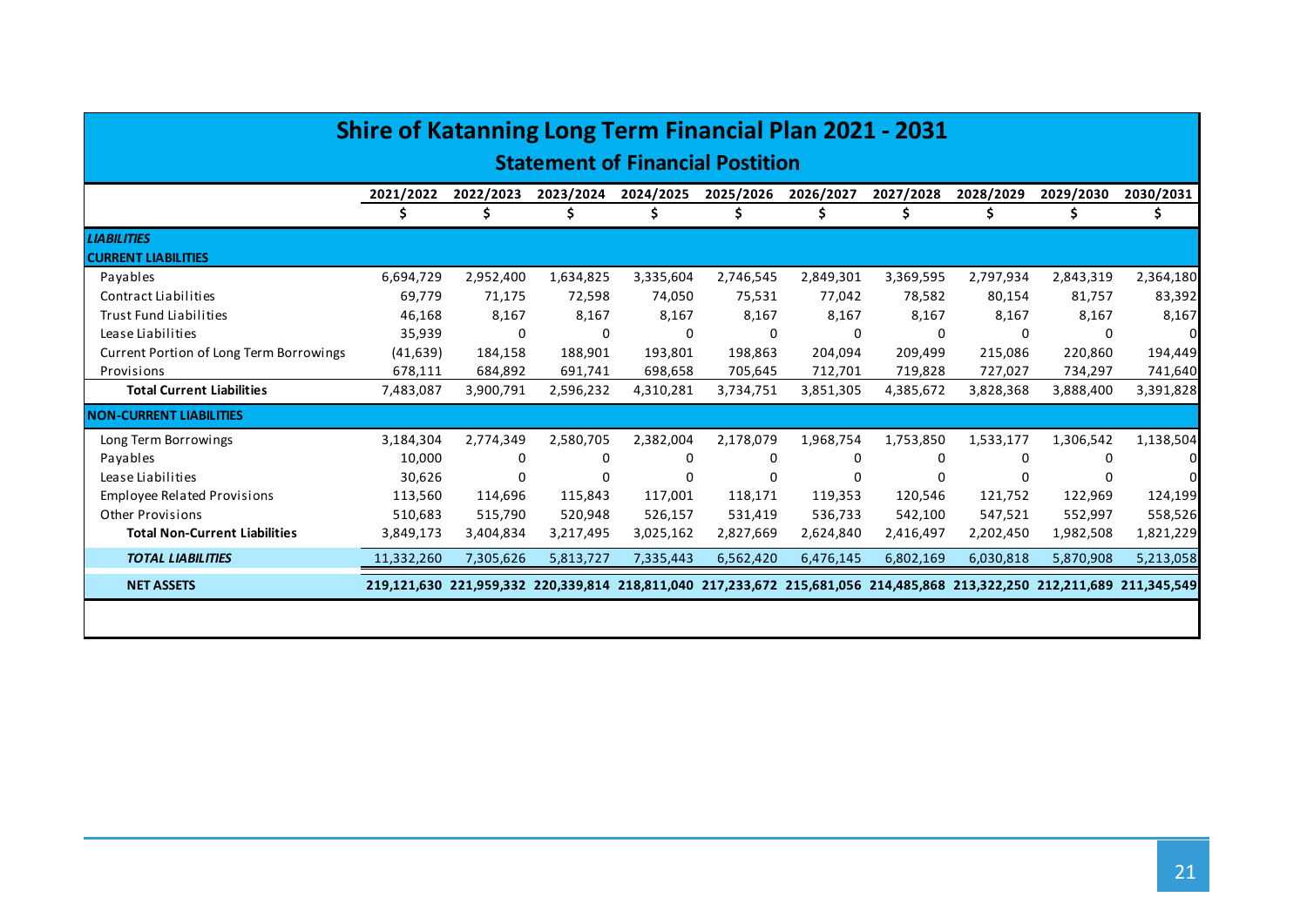| <b>Shire of Katanning Long Term Financial Plan 2021 - 2031</b> |            |           |           |           |                                         |           |                                                                                                                         |              |           |           |  |
|----------------------------------------------------------------|------------|-----------|-----------|-----------|-----------------------------------------|-----------|-------------------------------------------------------------------------------------------------------------------------|--------------|-----------|-----------|--|
|                                                                |            |           |           |           | <b>Statement of Financial Postition</b> |           |                                                                                                                         |              |           |           |  |
|                                                                | 2021/2022  | 2022/2023 | 2023/2024 | 2024/2025 | 2025/2026                               | 2026/2027 | 2027/2028                                                                                                               | 2028/2029    | 2029/2030 | 2030/2031 |  |
|                                                                |            |           |           |           |                                         |           |                                                                                                                         |              |           |           |  |
| <b>LIABILITIES</b>                                             |            |           |           |           |                                         |           |                                                                                                                         |              |           |           |  |
| <b>CURRENT LIABILITIES</b>                                     |            |           |           |           |                                         |           |                                                                                                                         |              |           |           |  |
| Payables                                                       | 6,694,729  | 2,952,400 | 1,634,825 | 3,335,604 | 2,746,545                               | 2,849,301 | 3,369,595                                                                                                               | 2,797,934    | 2,843,319 | 2,364,180 |  |
| Contract Liabilities                                           | 69,779     | 71,175    | 72,598    | 74,050    | 75,531                                  | 77,042    | 78,582                                                                                                                  | 80,154       | 81,757    | 83,392    |  |
| <b>Trust Fund Liabilities</b>                                  | 46,168     | 8,167     | 8,167     | 8,167     | 8,167                                   | 8,167     | 8,167                                                                                                                   | 8,167        | 8,167     | 8,167     |  |
| Lease Liabilities                                              | 35,939     | 0         | $\Omega$  | 0         | $\Omega$                                | $\Omega$  | 0                                                                                                                       | <sup>n</sup> | $\Omega$  |           |  |
| Current Portion of Long Term Borrowings                        | (41, 639)  | 184,158   | 188,901   | 193,801   | 198,863                                 | 204,094   | 209,499                                                                                                                 | 215,086      | 220,860   | 194,449   |  |
| Provisions                                                     | 678,111    | 684,892   | 691,741   | 698,658   | 705,645                                 | 712,701   | 719,828                                                                                                                 | 727,027      | 734,297   | 741,640   |  |
| <b>Total Current Liabilities</b>                               | 7,483,087  | 3,900,791 | 2,596,232 | 4,310,281 | 3,734,751                               | 3,851,305 | 4,385,672                                                                                                               | 3,828,368    | 3,888,400 | 3,391,828 |  |
| <b>NON-CURRENT LIABILITIES</b>                                 |            |           |           |           |                                         |           |                                                                                                                         |              |           |           |  |
| Long Term Borrowings                                           | 3,184,304  | 2,774,349 | 2,580,705 | 2,382,004 | 2,178,079                               | 1,968,754 | 1,753,850                                                                                                               | 1,533,177    | 1,306,542 | 1,138,504 |  |
| Payables                                                       | 10,000     | 0         |           | 0         | O                                       |           |                                                                                                                         | ი            | n         |           |  |
| Lease Liabilities                                              | 30,626     | $\Omega$  |           |           |                                         |           |                                                                                                                         |              |           |           |  |
| <b>Employee Related Provisions</b>                             | 113,560    | 114,696   | 115,843   | 117,001   | 118,171                                 | 119,353   | 120,546                                                                                                                 | 121,752      | 122,969   | 124,199   |  |
| <b>Other Provisions</b>                                        | 510,683    | 515.790   | 520,948   | 526,157   | 531,419                                 | 536,733   | 542,100                                                                                                                 | 547,521      | 552,997   | 558,526   |  |
| <b>Total Non-Current Liabilities</b>                           | 3,849,173  | 3,404,834 | 3,217,495 | 3,025,162 | 2,827,669                               | 2,624,840 | 2,416,497                                                                                                               | 2,202,450    | 1,982,508 | 1,821,229 |  |
| <b>TOTAL LIABILITIES</b>                                       | 11,332,260 | 7,305,626 | 5,813,727 | 7,335,443 | 6,562,420                               | 6,476,145 | 6,802,169                                                                                                               | 6,030,818    | 5,870,908 | 5,213,058 |  |
| <b>NET ASSETS</b>                                              |            |           |           |           |                                         |           | 219,121,630 221,959,332 220,339,814 218,811,040 217,233,672 215,681,056 214,485,868 213,322,250 212,211,689 211,345,549 |              |           |           |  |
|                                                                |            |           |           |           |                                         |           |                                                                                                                         |              |           |           |  |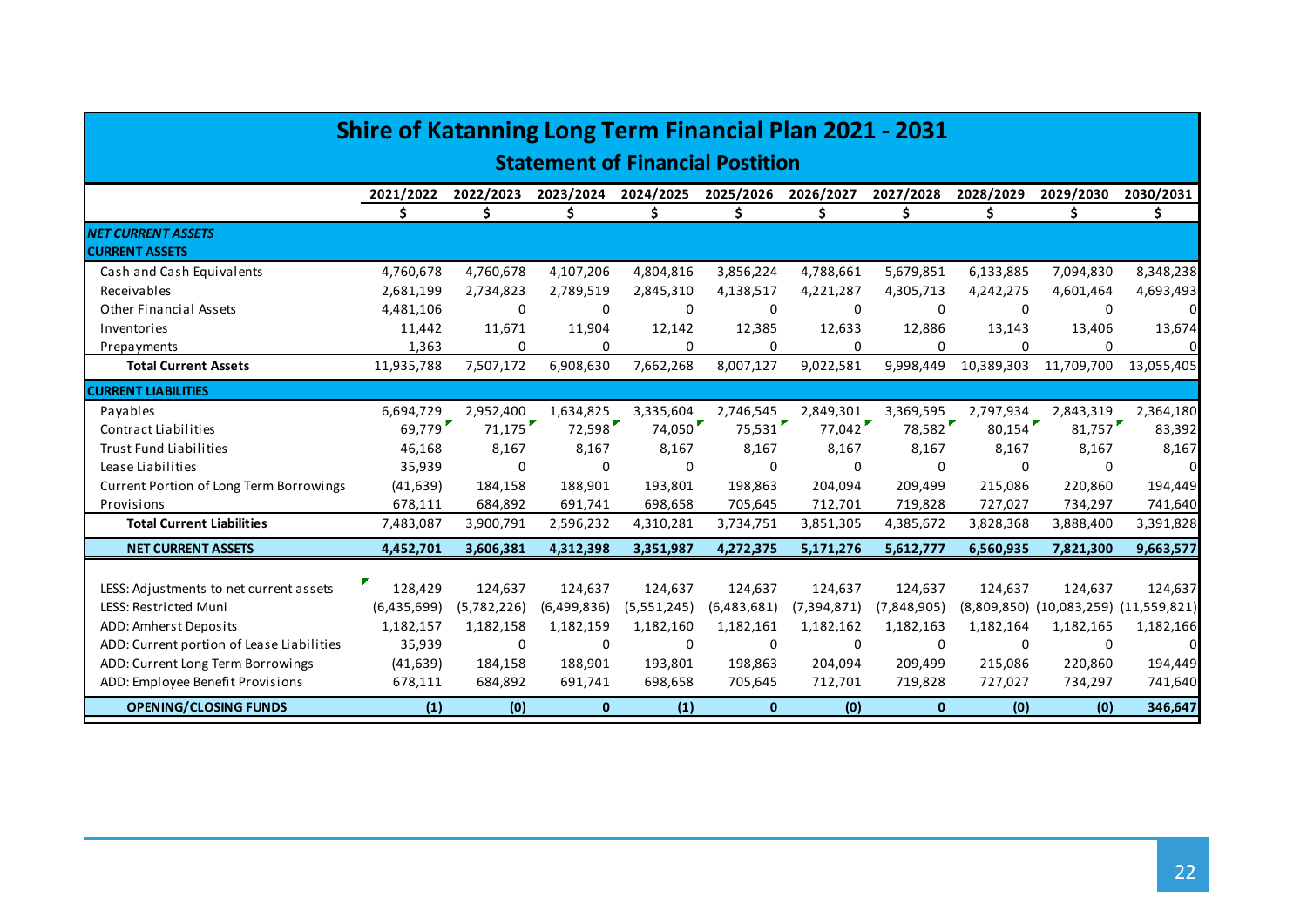| <b>Shire of Katanning Long Term Financial Plan 2021 - 2031</b> |             |             |              |                                         |              |               |              |            |            |                                       |  |
|----------------------------------------------------------------|-------------|-------------|--------------|-----------------------------------------|--------------|---------------|--------------|------------|------------|---------------------------------------|--|
|                                                                |             |             |              | <b>Statement of Financial Postition</b> |              |               |              |            |            |                                       |  |
|                                                                | 2021/2022   | 2022/2023   | 2023/2024    | 2024/2025 2025/2026 2026/2027           |              |               | 2027/2028    | 2028/2029  | 2029/2030  | 2030/2031                             |  |
|                                                                | Ś.          | Ś.          | Ś.           | Ś.                                      | \$           | Ś.            | \$           | \$         | \$         | Ś.                                    |  |
| <b>NET CURRENT ASSETS</b><br><b>CURRENT ASSETS</b>             |             |             |              |                                         |              |               |              |            |            |                                       |  |
| Cash and Cash Equivalents                                      | 4,760,678   | 4,760,678   | 4,107,206    | 4,804,816                               | 3,856,224    | 4,788,661     | 5,679,851    | 6,133,885  | 7,094,830  | 8,348,238                             |  |
| Receivables                                                    | 2,681,199   | 2,734,823   | 2,789,519    | 2,845,310                               | 4,138,517    | 4,221,287     | 4,305,713    | 4,242,275  | 4,601,464  | 4,693,493                             |  |
| <b>Other Financial Assets</b>                                  | 4,481,106   | 0           | 0            | 0                                       | 0            | 0             | 0            | 0          | 0          | $\mathbf{0}$                          |  |
| Inventories                                                    | 11,442      | 11,671      | 11,904       | 12,142                                  | 12,385       | 12,633        | 12,886       | 13,143     | 13,406     | 13,674                                |  |
| Prepayments                                                    | 1,363       | $\Omega$    | $\Omega$     | $\Omega$                                | 0            | $\Omega$      | 0            | $\Omega$   | $\Omega$   | ΩI                                    |  |
| <b>Total Current Assets</b>                                    | 11,935,788  | 7,507,172   | 6,908,630    | 7,662,268                               | 8,007,127    | 9,022,581     | 9,998,449    | 10,389,303 | 11,709,700 | 13,055,405                            |  |
| <b>CURRENT LIABILITIES</b>                                     |             |             |              |                                         |              |               |              |            |            |                                       |  |
| Payables                                                       | 6,694,729   | 2,952,400   | 1,634,825    | 3,335,604                               | 2,746,545    | 2,849,301     | 3,369,595    | 2,797,934  | 2,843,319  | 2,364,180                             |  |
| Contract Liabilities                                           | 69,779      | 71,175      | 72,598       | 74,050                                  | 75,531       | 77,042        | 78,582       | 80,154     | 81,757     | 83,392                                |  |
| <b>Trust Fund Liabilities</b>                                  | 46,168      | 8,167       | 8,167        | 8,167                                   | 8,167        | 8,167         | 8,167        | 8,167      | 8,167      | 8,167                                 |  |
| Lease Liabilities                                              | 35,939      | 0           | $\Omega$     | 0                                       | 0            | $\Omega$      | $\Omega$     | $\Omega$   | $\Omega$   | ΩL                                    |  |
| Current Portion of Long Term Borrowings                        | (41, 639)   | 184,158     | 188,901      | 193,801                                 | 198,863      | 204,094       | 209,499      | 215,086    | 220,860    | 194,449                               |  |
| Provisions                                                     | 678,111     | 684,892     | 691,741      | 698,658                                 | 705,645      | 712,701       | 719,828      | 727,027    | 734,297    | 741,640                               |  |
| <b>Total Current Liabilities</b>                               | 7,483,087   | 3,900,791   | 2,596,232    | 4,310,281                               | 3,734,751    | 3,851,305     | 4,385,672    | 3,828,368  | 3,888,400  | 3,391,828                             |  |
| <b>NET CURRENT ASSETS</b>                                      | 4,452,701   | 3,606,381   | 4,312,398    | 3,351,987                               | 4,272,375    | 5,171,276     | 5,612,777    | 6,560,935  | 7,821,300  | 9,663,577                             |  |
|                                                                |             |             |              |                                         |              |               |              |            |            |                                       |  |
| LESS: Adjustments to net current assets                        | 128,429     | 124,637     | 124,637      | 124,637                                 | 124,637      | 124,637       | 124,637      | 124,637    | 124,637    | 124,637                               |  |
| LESS: Restricted Muni                                          | (6,435,699) | (5,782,226) | (6,499,836)  | (5,551,245)                             | (6,483,681)  | (7, 394, 871) | (7,848,905)  |            |            | (8,809,850) (10,083,259) (11,559,821) |  |
| ADD: Amherst Deposits                                          | 1,182,157   | 1,182,158   | 1,182,159    | 1,182,160                               | 1,182,161    | 1,182,162     | 1,182,163    | 1,182,164  | 1,182,165  | 1,182,166                             |  |
| ADD: Current portion of Lease Liabilities                      | 35,939      | 0           | $\Omega$     | 0                                       | 0            | $\Omega$      | 0            | 0          | 0          | $\Omega$                              |  |
| ADD: Current Long Term Borrowings                              | (41, 639)   | 184,158     | 188,901      | 193,801                                 | 198,863      | 204.094       | 209,499      | 215,086    | 220,860    | 194,449                               |  |
| ADD: Employee Benefit Provisions                               | 678,111     | 684,892     | 691,741      | 698,658                                 | 705,645      | 712,701       | 719,828      | 727,027    | 734,297    | 741,640                               |  |
| <b>OPENING/CLOSING FUNDS</b>                                   | (1)         | (0)         | $\mathbf{0}$ | (1)                                     | $\mathbf{0}$ | (0)           | $\mathbf{0}$ | (0)        | (0)        | 346,647                               |  |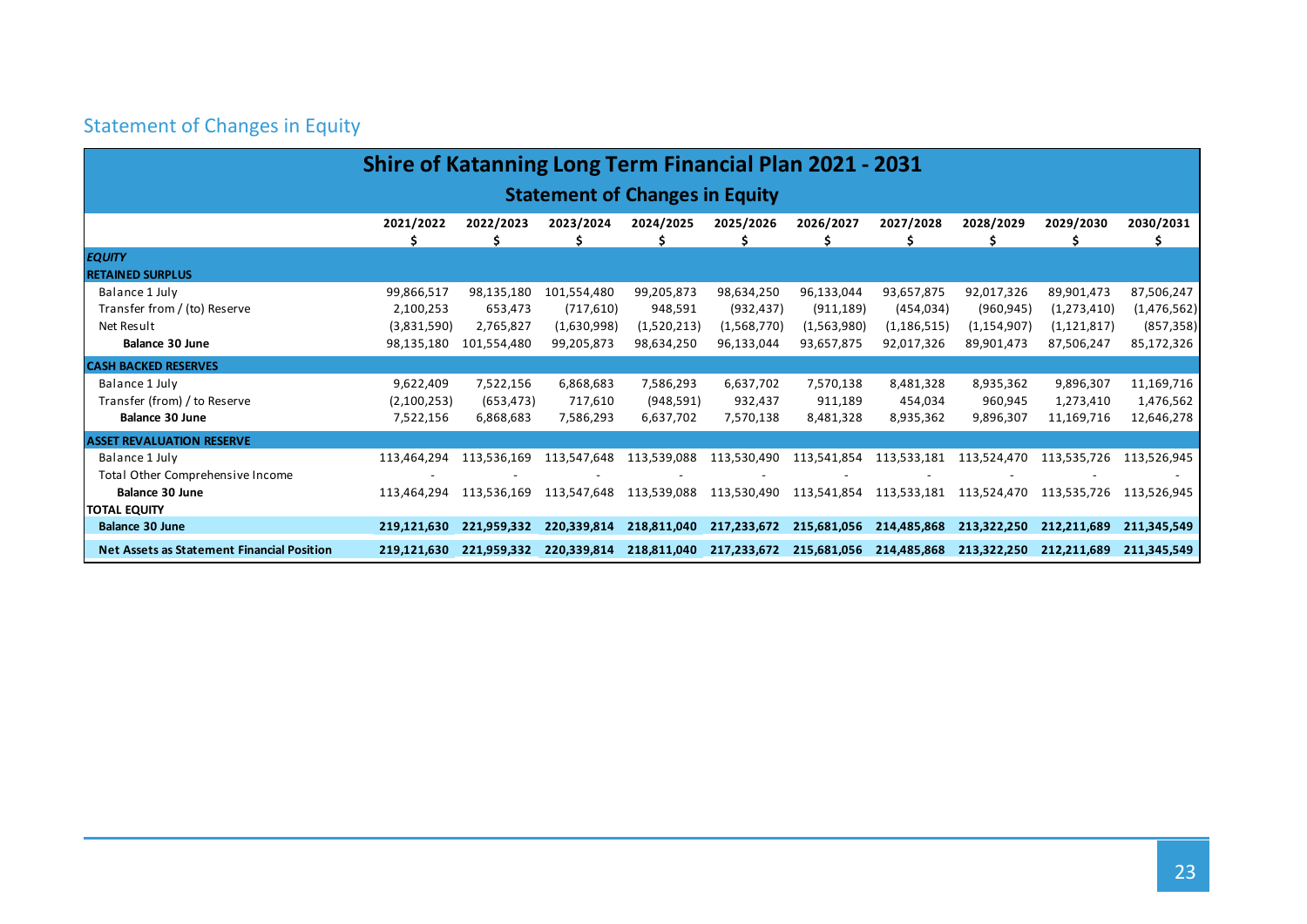# Statement of Changes in Equity

<span id="page-22-0"></span>

| <b>Shire of Katanning Long Term Financial Plan 2021 - 2031</b>                |                            |                            |                            |                                       |                            |                                     |                             |                             |                             |                            |  |  |
|-------------------------------------------------------------------------------|----------------------------|----------------------------|----------------------------|---------------------------------------|----------------------------|-------------------------------------|-----------------------------|-----------------------------|-----------------------------|----------------------------|--|--|
|                                                                               |                            |                            |                            | <b>Statement of Changes in Equity</b> |                            |                                     |                             |                             |                             |                            |  |  |
|                                                                               | 2021/2022                  | 2022/2023                  | 2023/2024                  | 2024/2025                             | 2025/2026                  | 2026/2027                           | 2027/2028                   | 2028/2029                   | 2029/2030                   | 2030/2031                  |  |  |
| <b>EQUITY</b><br><b>RETAINED SURPLUS</b>                                      |                            |                            |                            |                                       |                            |                                     |                             |                             |                             |                            |  |  |
| Balance 1 July<br>Transfer from / (to) Reserve                                | 99,866,517<br>2,100,253    | 98,135,180<br>653,473      | 101,554,480<br>(717,610)   | 99,205,873<br>948,591                 | 98,634,250<br>(932, 437)   | 96,133,044<br>(911, 189)            | 93,657,875<br>(454, 034)    | 92,017,326<br>(960, 945)    | 89,901,473<br>(1,273,410)   | 87,506,247<br>(1,476,562)  |  |  |
| Net Result<br><b>Balance 30 June</b>                                          | (3,831,590)<br>98,135,180  | 2,765,827<br>101,554,480   | (1,630,998)<br>99,205,873  | (1,520,213)<br>98,634,250             | (1,568,770)<br>96,133,044  | (1,563,980)<br>93,657,875           | (1, 186, 515)<br>92,017,326 | (1, 154, 907)<br>89,901,473 | (1, 121, 817)<br>87,506,247 | (857, 358)<br>85,172,326   |  |  |
| <b>CASH BACKED RESERVES</b><br>Balance 1 July<br>Transfer (from) / to Reserve | 9,622,409<br>(2,100,253)   | 7,522,156<br>(653, 473)    | 6,868,683<br>717,610       | 7,586,293<br>(948, 591)               | 6,637,702<br>932,437       | 7,570,138<br>911,189                | 8,481,328<br>454,034        | 8,935,362<br>960,945        | 9,896,307<br>1,273,410      | 11,169,716<br>1,476,562    |  |  |
| Balance 30 June<br><b>ASSET REVALUATION RESERVE</b>                           | 7,522,156                  | 6,868,683                  | 7,586,293                  | 6,637,702                             | 7,570,138                  | 8,481,328                           | 8,935,362                   | 9,896,307                   | 11,169,716                  | 12,646,278                 |  |  |
| Balance 1 July<br>Total Other Comprehensive Income                            | 113,464,294                | 113,536,169                | 113,547,648                | 113,539,088                           | 113,530,490                | 113,541,854                         | 113,533,181                 | 113,524,470                 | 113,535,726                 | 113,526,945                |  |  |
| <b>Balance 30 June</b><br><b>TOTAL EQUITY</b><br><b>Balance 30 June</b>       | 113.464.294<br>219,121,630 | 113,536,169<br>221,959,332 | 113,547,648<br>220,339,814 | 113,539,088<br>218,811,040            | 113,530,490<br>217,233,672 | 113,541,854<br>215,681,056          | 113,533,181<br>214,485,868  | 113,524,470<br>213,322,250  | 113,535,726<br>212,211,689  | 113,526,945<br>211,345,549 |  |  |
| <b>Net Assets as Statement Financial Position</b>                             | 219,121,630                | 221,959,332                | 220,339,814                | 218,811,040                           |                            | 217,233,672 215,681,056 214,485,868 |                             | 213,322,250                 | 212,211,689                 | 211,345,549                |  |  |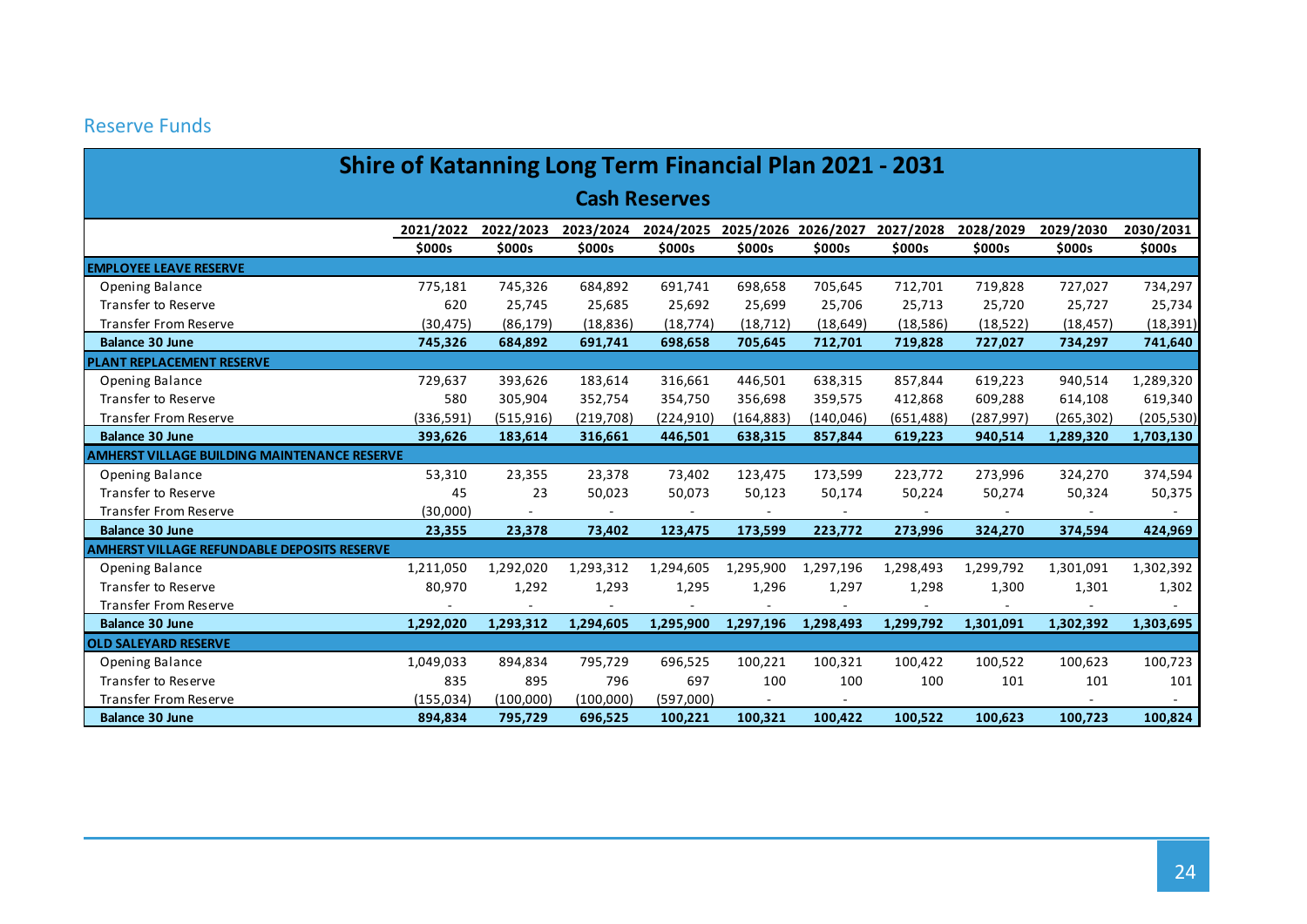## Reserve Funds

<span id="page-23-0"></span>

| <b>Shire of Katanning Long Term Financial Plan 2021 - 2031</b> |            |            |                                         |                          |            |            |                     |            |            |            |  |  |
|----------------------------------------------------------------|------------|------------|-----------------------------------------|--------------------------|------------|------------|---------------------|------------|------------|------------|--|--|
|                                                                |            |            |                                         | <b>Cash Reserves</b>     |            |            |                     |            |            |            |  |  |
|                                                                | 2021/2022  | 2022/2023  | 2023/2024 2024/2025 2025/2026 2026/2027 |                          |            |            | 2027/2028 2028/2029 |            | 2029/2030  | 2030/2031  |  |  |
|                                                                | \$000s     | \$000s     | \$000s                                  | \$000s                   | \$000s     | \$000s     | \$000s              | \$000s     | \$000s     | \$000s     |  |  |
| <b>EMPLOYEE LEAVE RESERVE</b>                                  |            |            |                                         |                          |            |            |                     |            |            |            |  |  |
| Opening Balance                                                | 775,181    | 745,326    | 684,892                                 | 691,741                  | 698,658    | 705,645    | 712,701             | 719,828    | 727,027    | 734,297    |  |  |
| Transfer to Reserve                                            | 620        | 25,745     | 25,685                                  | 25,692                   | 25,699     | 25,706     | 25,713              | 25,720     | 25,727     | 25,734     |  |  |
| <b>Transfer From Reserve</b>                                   | (30, 475)  | (86, 179)  | (18, 836)                               | (18, 774)                | (18, 712)  | (18, 649)  | (18, 586)           | (18, 522)  | (18, 457)  | (18, 391)  |  |  |
| <b>Balance 30 June</b>                                         | 745,326    | 684,892    | 691,741                                 | 698,658                  | 705,645    | 712,701    | 719,828             | 727,027    | 734,297    | 741,640    |  |  |
| <b>PLANT REPLACEMENT RESERVE</b>                               |            |            |                                         |                          |            |            |                     |            |            |            |  |  |
| Opening Balance                                                | 729,637    | 393,626    | 183,614                                 | 316,661                  | 446,501    | 638,315    | 857,844             | 619,223    | 940,514    | 1,289,320  |  |  |
| Transfer to Reserve                                            | 580        | 305,904    | 352,754                                 | 354,750                  | 356,698    | 359,575    | 412,868             | 609,288    | 614,108    | 619,340    |  |  |
| <b>Transfer From Reserve</b>                                   | (336, 591) | (515, 916) | (219,708)                               | (224, 910)               | (164, 883) | (140, 046) | (651, 488)          | (287, 997) | (265, 302) | (205, 530) |  |  |
| <b>Balance 30 June</b>                                         | 393,626    | 183,614    | 316,661                                 | 446,501                  | 638,315    | 857,844    | 619,223             | 940,514    | 1,289,320  | 1,703,130  |  |  |
| <b>AMHERST VILLAGE BUILDING MAINTENANCE RESERVE</b>            |            |            |                                         |                          |            |            |                     |            |            |            |  |  |
| Opening Balance                                                | 53,310     | 23,355     | 23,378                                  | 73,402                   | 123,475    | 173,599    | 223,772             | 273,996    | 324,270    | 374,594    |  |  |
| Transfer to Reserve                                            | 45         | 23         | 50,023                                  | 50,073                   | 50,123     | 50,174     | 50,224              | 50,274     | 50,324     | 50,375     |  |  |
| Transfer From Reserve                                          | (30,000)   | $\sim$     | $\omega$                                | $\overline{\phantom{a}}$ |            |            | $\sim$              |            |            |            |  |  |
| <b>Balance 30 June</b>                                         | 23,355     | 23,378     | 73,402                                  | 123,475                  | 173,599    | 223,772    | 273,996             | 324,270    | 374,594    | 424,969    |  |  |
| <b>AMHERST VILLAGE REFUNDABLE DEPOSITS RESERVE</b>             |            |            |                                         |                          |            |            |                     |            |            |            |  |  |
| Opening Balance                                                | 1,211,050  | 1,292,020  | 1,293,312                               | 1,294,605                | 1,295,900  | 1,297,196  | 1,298,493           | 1,299,792  | 1,301,091  | 1,302,392  |  |  |
| Transfer to Reserve                                            | 80,970     | 1,292      | 1,293                                   | 1,295                    | 1,296      | 1,297      | 1,298               | 1,300      | 1,301      | 1,302      |  |  |
| <b>Transfer From Reserve</b>                                   |            |            |                                         |                          |            |            |                     |            |            |            |  |  |
| <b>Balance 30 June</b>                                         | 1,292,020  | 1,293,312  | 1,294,605                               | 1,295,900                | 1,297,196  | 1,298,493  | 1,299,792           | 1,301,091  | 1,302,392  | 1,303,695  |  |  |
| <b>OLD SALEYARD RESERVE</b>                                    |            |            |                                         |                          |            |            |                     |            |            |            |  |  |
| Opening Balance                                                | 1,049,033  | 894,834    | 795,729                                 | 696,525                  | 100,221    | 100,321    | 100,422             | 100,522    | 100,623    | 100,723    |  |  |
| Transfer to Reserve                                            | 835        | 895        | 796                                     | 697                      | 100        | 100        | 100                 | 101        | 101        | 101        |  |  |
| <b>Transfer From Reserve</b>                                   | (155, 034) | (100,000)  | (100,000)                               | (597,000)                |            |            |                     |            |            |            |  |  |
| <b>Balance 30 June</b>                                         | 894,834    | 795,729    | 696,525                                 | 100,221                  | 100,321    | 100,422    | 100,522             | 100,623    | 100,723    | 100,824    |  |  |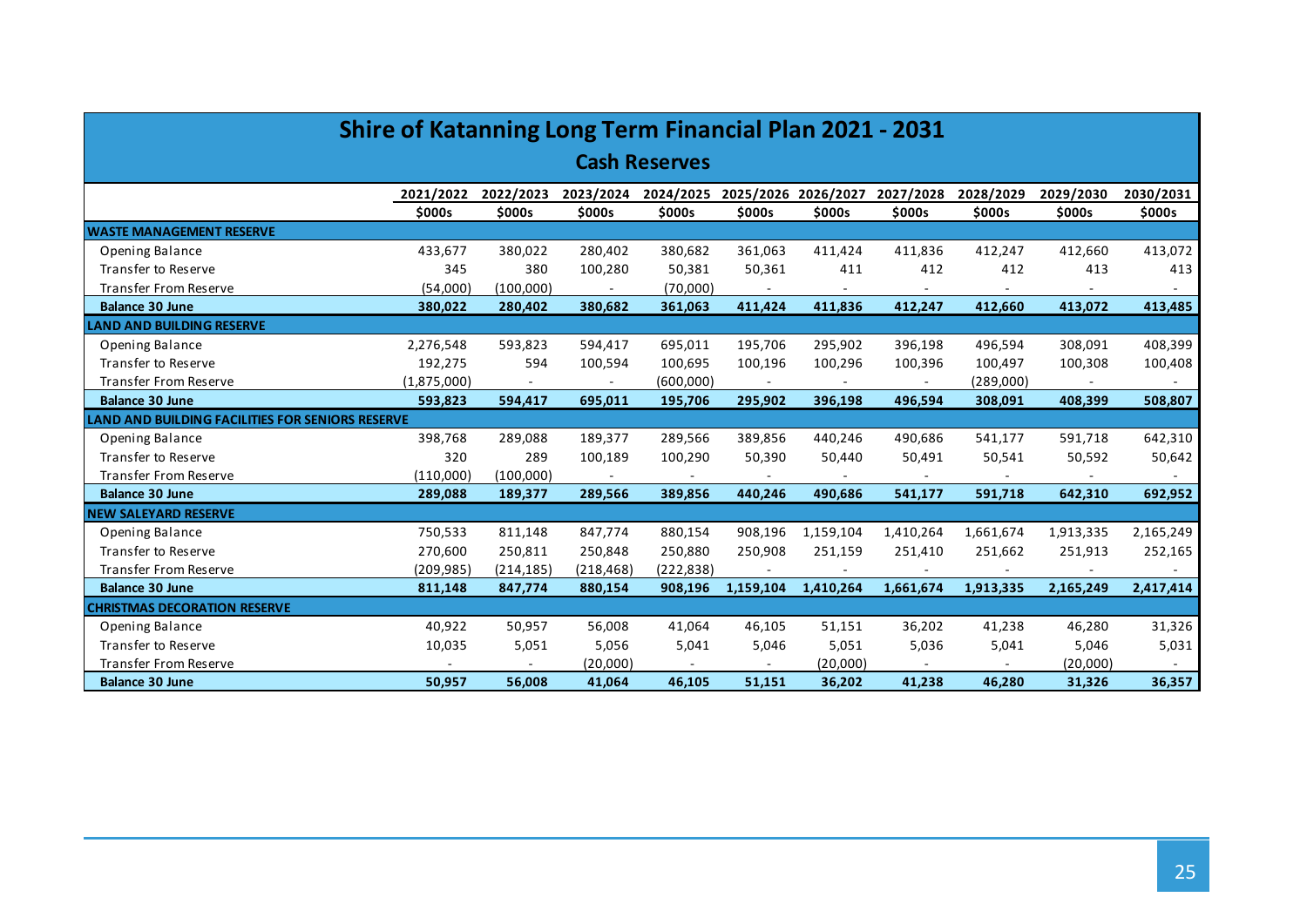| <b>Shire of Katanning Long Term Financial Plan 2021 - 2031</b> |             |            |            |                               |           |           |           |           |           |           |  |  |
|----------------------------------------------------------------|-------------|------------|------------|-------------------------------|-----------|-----------|-----------|-----------|-----------|-----------|--|--|
|                                                                |             |            |            | <b>Cash Reserves</b>          |           |           |           |           |           |           |  |  |
|                                                                | 2021/2022   | 2022/2023  | 2023/2024  | 2024/2025 2025/2026 2026/2027 |           |           | 2027/2028 | 2028/2029 | 2029/2030 | 2030/2031 |  |  |
|                                                                | \$000s      | \$000s     | \$000s     | \$000s                        | \$000s    | \$000s    | \$000s    | \$000s    | \$000s    | \$000s    |  |  |
| <b>WASTE MANAGEMENT RESERVE</b>                                |             |            |            |                               |           |           |           |           |           |           |  |  |
| Opening Balance                                                | 433,677     | 380,022    | 280,402    | 380,682                       | 361,063   | 411,424   | 411,836   | 412,247   | 412,660   | 413,072   |  |  |
| Transfer to Reserve                                            | 345         | 380        | 100,280    | 50,381                        | 50,361    | 411       | 412       | 412       | 413       | 413       |  |  |
| <b>Transfer From Reserve</b>                                   | (54,000)    | (100,000)  |            | (70,000)                      |           |           |           |           |           |           |  |  |
| <b>Balance 30 June</b>                                         | 380,022     | 280,402    | 380,682    | 361,063                       | 411,424   | 411,836   | 412,247   | 412,660   | 413,072   | 413,485   |  |  |
| <b>LAND AND BUILDING RESERVE</b>                               |             |            |            |                               |           |           |           |           |           |           |  |  |
| Opening Balance                                                | 2,276,548   | 593,823    | 594,417    | 695,011                       | 195,706   | 295,902   | 396,198   | 496,594   | 308,091   | 408,399   |  |  |
| Transfer to Reserve                                            | 192,275     | 594        | 100,594    | 100,695                       | 100,196   | 100,296   | 100,396   | 100,497   | 100,308   | 100,408   |  |  |
| <b>Transfer From Reserve</b>                                   | (1,875,000) | $\sim$     | $\sim$     | (600,000)                     | $\sim$    | $\sim$    | $\sim$    | (289,000) | $\sim$    | $\sim$    |  |  |
| <b>Balance 30 June</b>                                         | 593,823     | 594,417    | 695,011    | 195,706                       | 295,902   | 396,198   | 496,594   | 308,091   | 408,399   | 508,807   |  |  |
| <b>LAND AND BUILDING FACILITIES FOR SENIORS RESERVE</b>        |             |            |            |                               |           |           |           |           |           |           |  |  |
| Opening Balance                                                | 398,768     | 289,088    | 189,377    | 289,566                       | 389,856   | 440,246   | 490,686   | 541,177   | 591,718   | 642,310   |  |  |
| <b>Transfer to Reserve</b>                                     | 320         | 289        | 100,189    | 100,290                       | 50,390    | 50,440    | 50,491    | 50,541    | 50,592    | 50,642    |  |  |
| <b>Transfer From Reserve</b>                                   | (110,000)   | (100,000)  | $\sim$     | $\sim$                        |           | $\sim$    | $\sim$    |           |           |           |  |  |
| <b>Balance 30 June</b>                                         | 289,088     | 189,377    | 289,566    | 389,856                       | 440,246   | 490,686   | 541,177   | 591,718   | 642,310   | 692,952   |  |  |
| <b>NEW SALEYARD RESERVE</b>                                    |             |            |            |                               |           |           |           |           |           |           |  |  |
| Opening Balance                                                | 750,533     | 811,148    | 847,774    | 880,154                       | 908,196   | 1,159,104 | 1,410,264 | 1,661,674 | 1,913,335 | 2,165,249 |  |  |
| <b>Transfer to Reserve</b>                                     | 270,600     | 250,811    | 250,848    | 250,880                       | 250,908   | 251,159   | 251,410   | 251,662   | 251,913   | 252,165   |  |  |
| <b>Transfer From Reserve</b>                                   | (209, 985)  | (214, 185) | (218, 468) | (222, 838)                    |           |           |           |           |           |           |  |  |
| <b>Balance 30 June</b>                                         | 811,148     | 847,774    | 880,154    | 908,196                       | 1,159,104 | 1,410,264 | 1,661,674 | 1,913,335 | 2,165,249 | 2,417,414 |  |  |
| <b>CHRISTMAS DECORATION RESERVE</b>                            |             |            |            |                               |           |           |           |           |           |           |  |  |
| Opening Balance                                                | 40,922      | 50,957     | 56,008     | 41,064                        | 46,105    | 51,151    | 36,202    | 41,238    | 46,280    | 31,326    |  |  |
| <b>Transfer to Reserve</b>                                     | 10,035      | 5,051      | 5,056      | 5,041                         | 5,046     | 5,051     | 5,036     | 5,041     | 5,046     | 5,031     |  |  |
| <b>Transfer From Reserve</b>                                   |             |            | (20,000)   |                               |           | (20,000)  |           |           | (20,000)  |           |  |  |
| <b>Balance 30 June</b>                                         | 50,957      | 56,008     | 41,064     | 46,105                        | 51,151    | 36,202    | 41,238    | 46,280    | 31,326    | 36,357    |  |  |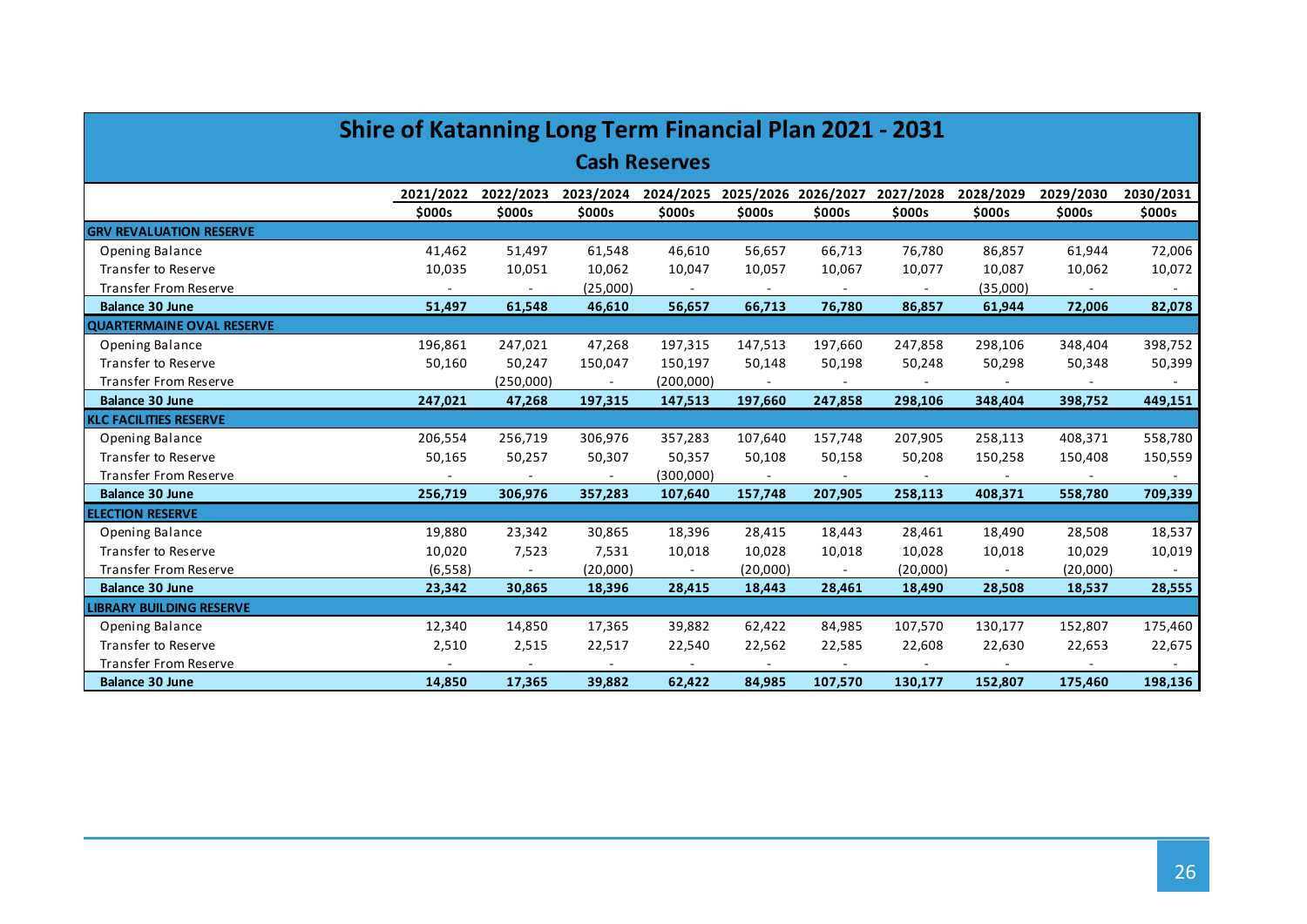| <b>Shire of Katanning Long Term Financial Plan 2021 - 2031</b> |           |           |          |                                                             |          |         |          |          |           |           |  |
|----------------------------------------------------------------|-----------|-----------|----------|-------------------------------------------------------------|----------|---------|----------|----------|-----------|-----------|--|
|                                                                |           |           |          | <b>Cash Reserves</b>                                        |          |         |          |          |           |           |  |
|                                                                | 2021/2022 | 2022/2023 |          | 2023/2024 2024/2025 2025/2026 2026/2027 2027/2028 2028/2029 |          |         |          |          | 2029/2030 | 2030/2031 |  |
|                                                                | \$000s    | \$000s    | \$000s   | \$000s                                                      | \$000s   | \$000s  | \$000s   | \$000s   | \$000s    | \$000s    |  |
| <b>GRV REVALUATION RESERVE</b>                                 |           |           |          |                                                             |          |         |          |          |           |           |  |
| Opening Balance                                                | 41,462    | 51,497    | 61,548   | 46,610                                                      | 56,657   | 66,713  | 76,780   | 86,857   | 61,944    | 72,006    |  |
| Transfer to Reserve                                            | 10,035    | 10,051    | 10,062   | 10,047                                                      | 10,057   | 10,067  | 10,077   | 10,087   | 10,062    | 10,072    |  |
| <b>Transfer From Reserve</b>                                   |           |           | (25,000) |                                                             |          |         |          | (35,000) |           |           |  |
| <b>Balance 30 June</b>                                         | 51,497    | 61,548    | 46,610   | 56,657                                                      | 66,713   | 76,780  | 86,857   | 61,944   | 72,006    | 82,078    |  |
| <b>QUARTERMAINE OVAL RESERVE</b>                               |           |           |          |                                                             |          |         |          |          |           |           |  |
| Opening Balance                                                | 196,861   | 247,021   | 47,268   | 197,315                                                     | 147,513  | 197,660 | 247,858  | 298,106  | 348,404   | 398,752   |  |
| Transfer to Reserve                                            | 50,160    | 50,247    | 150,047  | 150,197                                                     | 50,148   | 50,198  | 50,248   | 50,298   | 50,348    | 50,399    |  |
| <b>Transfer From Reserve</b>                                   |           | (250,000) | $\sim$   | (200,000)                                                   | $\sim$   | $\sim$  |          | $\sim$   |           | $\sim$    |  |
| <b>Balance 30 June</b>                                         | 247,021   | 47,268    | 197,315  | 147,513                                                     | 197,660  | 247,858 | 298,106  | 348,404  | 398,752   | 449,151   |  |
| KLC FACILITIES RESERVE                                         |           |           |          |                                                             |          |         |          |          |           |           |  |
| Opening Balance                                                | 206,554   | 256,719   | 306,976  | 357,283                                                     | 107,640  | 157,748 | 207,905  | 258,113  | 408,371   | 558,780   |  |
| <b>Transfer to Reserve</b>                                     | 50,165    | 50,257    | 50,307   | 50,357                                                      | 50,108   | 50,158  | 50,208   | 150,258  | 150,408   | 150,559   |  |
| <b>Transfer From Reserve</b>                                   | $\sim$    | $\sim$    | $\sim$   | (300,000)                                                   | $\sim$   | $\sim$  | $\sim$   | $\sim$   | $\sim$    | $\sim$    |  |
| <b>Balance 30 June</b>                                         | 256,719   | 306,976   | 357,283  | 107,640                                                     | 157,748  | 207,905 | 258,113  | 408,371  | 558,780   | 709,339   |  |
| <b>ELECTION RESERVE</b>                                        |           |           |          |                                                             |          |         |          |          |           |           |  |
| Opening Balance                                                | 19,880    | 23,342    | 30,865   | 18,396                                                      | 28,415   | 18,443  | 28,461   | 18,490   | 28,508    | 18,537    |  |
| <b>Transfer to Reserve</b>                                     | 10,020    | 7,523     | 7,531    | 10,018                                                      | 10,028   | 10,018  | 10,028   | 10,018   | 10,029    | 10,019    |  |
| <b>Transfer From Reserve</b>                                   | (6, 558)  |           | (20,000) | $\blacksquare$                                              | (20,000) |         | (20,000) |          | (20,000)  |           |  |
| <b>Balance 30 June</b>                                         | 23,342    | 30,865    | 18,396   | 28,415                                                      | 18,443   | 28,461  | 18,490   | 28,508   | 18,537    | 28,555    |  |
| <b>IBRARY BUILDING RESERVE</b>                                 |           |           |          |                                                             |          |         |          |          |           |           |  |
| Opening Balance                                                | 12,340    | 14,850    | 17,365   | 39,882                                                      | 62,422   | 84,985  | 107,570  | 130,177  | 152,807   | 175,460   |  |
| <b>Transfer to Reserve</b>                                     | 2,510     | 2,515     | 22,517   | 22,540                                                      | 22,562   | 22,585  | 22,608   | 22,630   | 22,653    | 22,675    |  |
| <b>Transfer From Reserve</b>                                   |           |           |          |                                                             |          |         |          |          |           |           |  |
| <b>Balance 30 June</b>                                         | 14,850    | 17,365    | 39,882   | 62,422                                                      | 84,985   | 107,570 | 130,177  | 152,807  | 175,460   | 198,136   |  |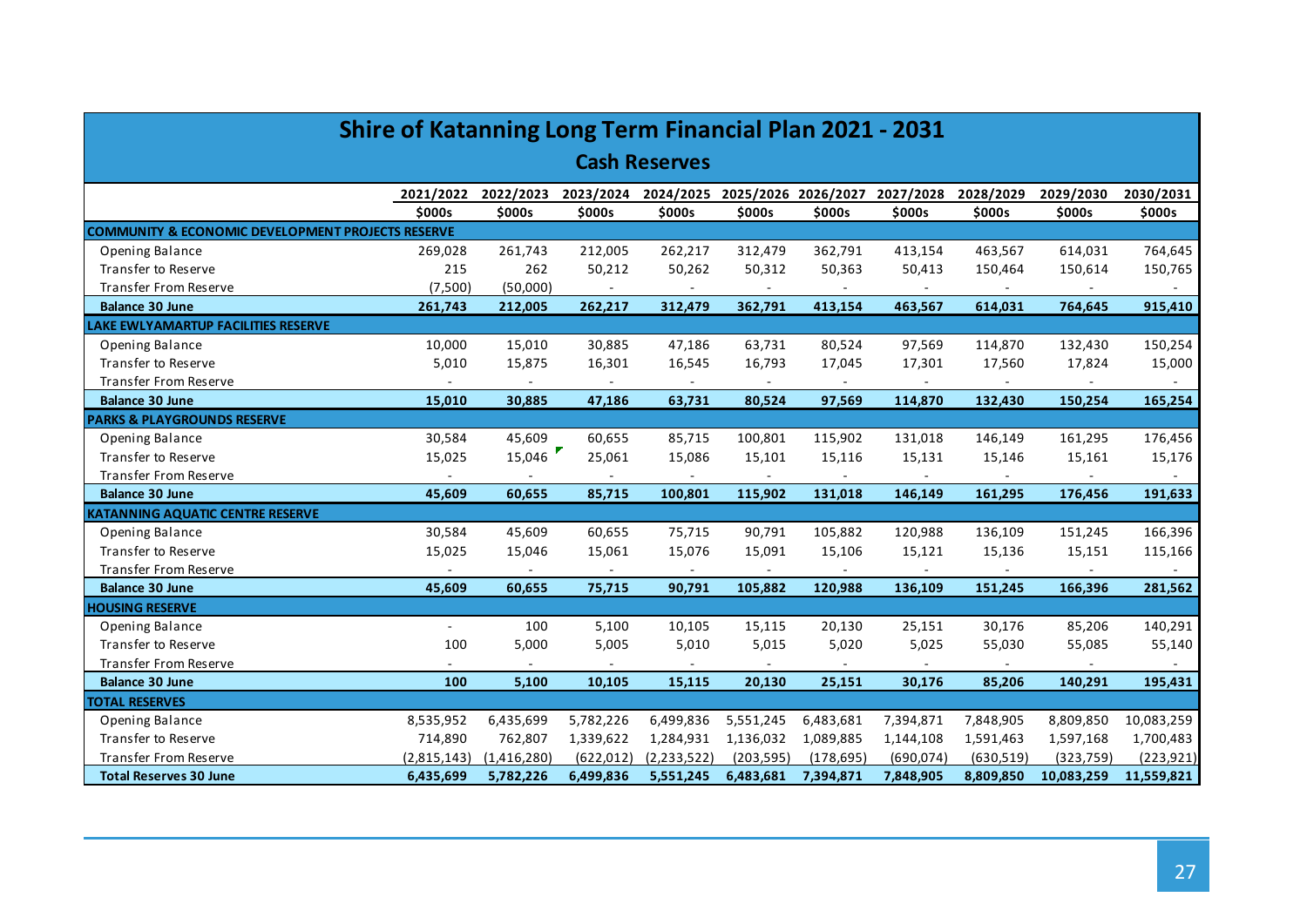| <b>Shire of Katanning Long Term Financial Plan 2021 - 2031</b> |                |                     |            |                      |            |            |                                                             |            |            |            |  |  |
|----------------------------------------------------------------|----------------|---------------------|------------|----------------------|------------|------------|-------------------------------------------------------------|------------|------------|------------|--|--|
|                                                                |                |                     |            | <b>Cash Reserves</b> |            |            |                                                             |            |            |            |  |  |
|                                                                |                | 2021/2022 2022/2023 |            |                      |            |            | 2023/2024 2024/2025 2025/2026 2026/2027 2027/2028 2028/2029 |            | 2029/2030  | 2030/2031  |  |  |
|                                                                | \$000s         | \$000s              | \$000s     | \$000s               | \$000s     | \$000s     | \$000s                                                      | \$000s     | \$000s     | \$000s     |  |  |
| <b>COMMUNITY &amp; ECONOMIC DEVELOPMENT PROJECTS RESERVE</b>   |                |                     |            |                      |            |            |                                                             |            |            |            |  |  |
| Opening Balance                                                | 269,028        | 261,743             | 212,005    | 262,217              | 312,479    | 362,791    | 413,154                                                     | 463,567    | 614,031    | 764,645    |  |  |
| Transfer to Reserve                                            | 215            | 262                 | 50,212     | 50,262               | 50,312     | 50,363     | 50,413                                                      | 150,464    | 150,614    | 150,765    |  |  |
| <b>Transfer From Reserve</b>                                   | (7,500)        | (50,000)            |            |                      |            |            |                                                             |            |            |            |  |  |
| <b>Balance 30 June</b>                                         | 261,743        | 212,005             | 262,217    | 312,479              | 362,791    | 413,154    | 463,567                                                     | 614,031    | 764,645    | 915,410    |  |  |
| LAKE EWLYAMARTUP FACILITIES RESERVE                            |                |                     |            |                      |            |            |                                                             |            |            |            |  |  |
| Opening Balance                                                | 10,000         | 15,010              | 30,885     | 47,186               | 63,731     | 80,524     | 97,569                                                      | 114,870    | 132,430    | 150,254    |  |  |
| Transfer to Reserve                                            | 5,010          | 15,875              | 16,301     | 16,545               | 16,793     | 17,045     | 17,301                                                      | 17,560     | 17,824     | 15,000     |  |  |
| Transfer From Reserve                                          |                |                     |            | $\sim$               |            |            |                                                             |            |            |            |  |  |
| <b>Balance 30 June</b>                                         | 15,010         | 30,885              | 47,186     | 63,731               | 80,524     | 97,569     | 114,870                                                     | 132,430    | 150,254    | 165,254    |  |  |
| <b>PARKS &amp; PLAYGROUNDS RESERVE</b>                         |                |                     |            |                      |            |            |                                                             |            |            |            |  |  |
| Opening Balance                                                | 30,584         | 45,609              | 60,655     | 85,715               | 100,801    | 115,902    | 131,018                                                     | 146,149    | 161,295    | 176,456    |  |  |
| Transfer to Reserve                                            | 15,025         | 15,046              | 25,061     | 15,086               | 15,101     | 15,116     | 15,131                                                      | 15,146     | 15,161     | 15,176     |  |  |
| <b>Transfer From Reserve</b>                                   |                |                     |            |                      |            |            |                                                             |            |            |            |  |  |
| <b>Balance 30 June</b>                                         | 45,609         | 60,655              | 85,715     | 100,801              | 115,902    | 131,018    | 146,149                                                     | 161,295    | 176,456    | 191,633    |  |  |
| <b>KATANNING AQUATIC CENTRE RESERVE</b>                        |                |                     |            |                      |            |            |                                                             |            |            |            |  |  |
| Opening Balance                                                | 30,584         | 45,609              | 60,655     | 75,715               | 90,791     | 105,882    | 120,988                                                     | 136,109    | 151,245    | 166,396    |  |  |
| Transfer to Reserve                                            | 15,025         | 15,046              | 15,061     | 15,076               | 15,091     | 15,106     | 15,121                                                      | 15,136     | 15,151     | 115,166    |  |  |
| <b>Transfer From Reserve</b>                                   |                |                     |            |                      |            |            |                                                             |            |            |            |  |  |
| <b>Balance 30 June</b>                                         | 45,609         | 60,655              | 75,715     | 90,791               | 105,882    | 120,988    | 136,109                                                     | 151,245    | 166,396    | 281,562    |  |  |
| <b>HOUSING RESERVE</b>                                         |                |                     |            |                      |            |            |                                                             |            |            |            |  |  |
| Opening Balance                                                | $\blacksquare$ | 100                 | 5,100      | 10,105               | 15,115     | 20,130     | 25,151                                                      | 30,176     | 85,206     | 140,291    |  |  |
| Transfer to Reserve                                            | 100            | 5,000               | 5,005      | 5,010                | 5,015      | 5,020      | 5,025                                                       | 55,030     | 55,085     | 55,140     |  |  |
| <b>Transfer From Reserve</b>                                   |                |                     |            |                      |            |            |                                                             |            |            |            |  |  |
| <b>Balance 30 June</b>                                         | 100            | 5,100               | 10,105     | 15,115               | 20,130     | 25,151     | 30,176                                                      | 85,206     | 140,291    | 195,431    |  |  |
| <b>TOTAL RESERVES</b>                                          |                |                     |            |                      |            |            |                                                             |            |            |            |  |  |
| Opening Balance                                                | 8,535,952      | 6,435,699           | 5,782,226  | 6,499,836            | 5,551,245  | 6,483,681  | 7,394,871                                                   | 7,848,905  | 8,809,850  | 10,083,259 |  |  |
| Transfer to Reserve                                            | 714,890        | 762,807             | 1,339,622  | 1,284,931            | 1,136,032  | 1,089,885  | 1,144,108                                                   | 1,591,463  | 1,597,168  | 1,700,483  |  |  |
| <b>Transfer From Reserve</b>                                   | (2,815,143)    | (1,416,280)         | (622, 012) | (2, 233, 522)        | (203, 595) | (178, 695) | (690, 074)                                                  | (630, 519) | (323, 759) | (223, 921) |  |  |
| <b>Total Reserves 30 June</b>                                  | 6,435,699      | 5,782,226           | 6,499,836  | 5,551,245            | 6,483,681  | 7,394,871  | 7,848,905                                                   | 8,809,850  | 10,083,259 | 11,559,821 |  |  |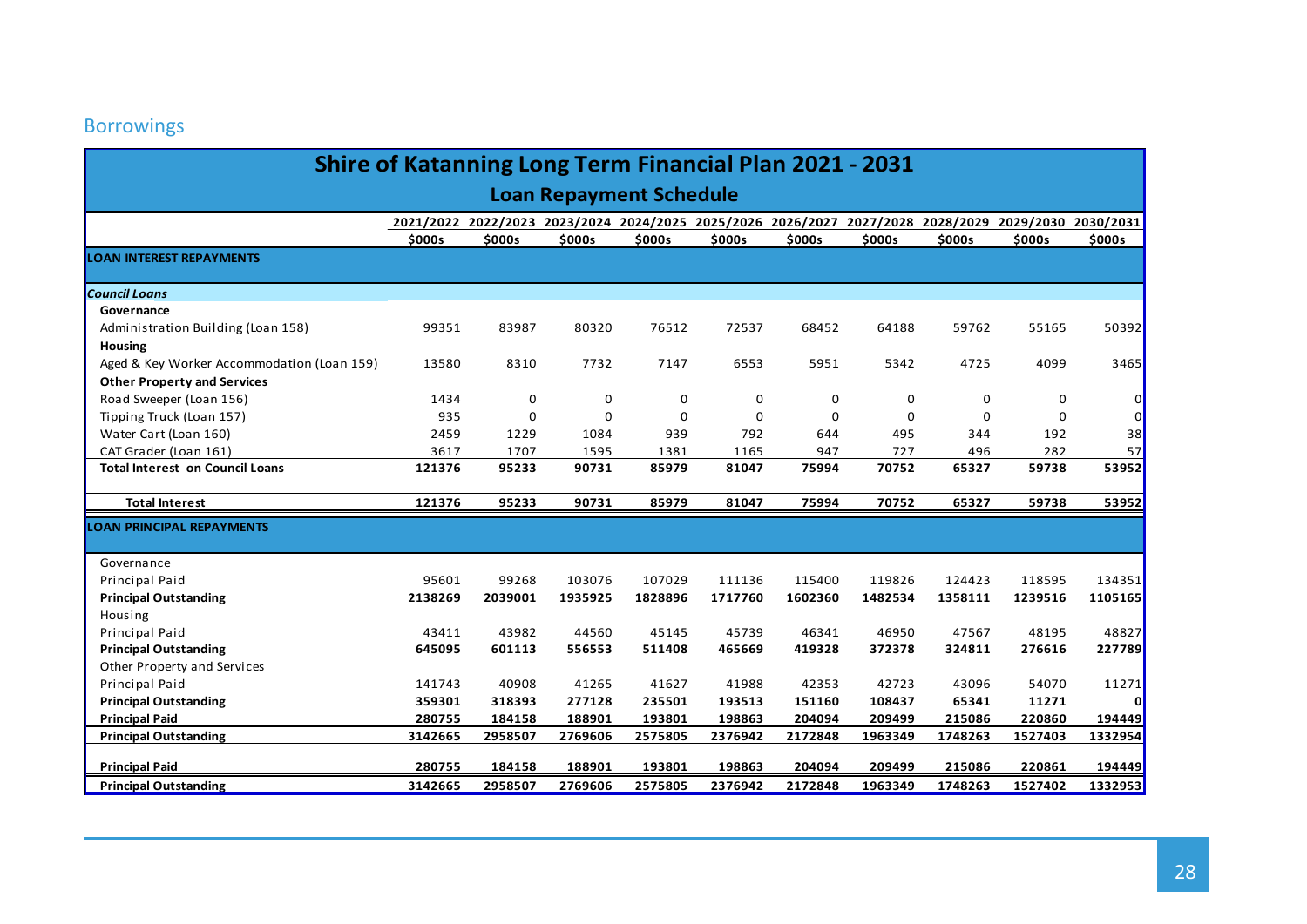## Borrowings

<span id="page-27-0"></span>

| <b>Shire of Katanning Long Term Financial Plan 2021 - 2031</b> |         |                                                                                                     |                                |          |          |          |          |          |         |         |  |  |
|----------------------------------------------------------------|---------|-----------------------------------------------------------------------------------------------------|--------------------------------|----------|----------|----------|----------|----------|---------|---------|--|--|
|                                                                |         |                                                                                                     | <b>Loan Repayment Schedule</b> |          |          |          |          |          |         |         |  |  |
|                                                                |         | 2021/2022 2022/2023 2023/2024 2024/2025 2025/2026 2026/2027 2027/2028 2028/2029 2029/2030 2030/2031 |                                |          |          |          |          |          |         |         |  |  |
|                                                                | \$000s  | \$000s                                                                                              | \$000s                         | \$000s   | \$000s   | \$000s   | \$000s   | \$000s   | \$000s  | \$000s  |  |  |
| <b>LOAN INTEREST REPAYMENTS</b>                                |         |                                                                                                     |                                |          |          |          |          |          |         |         |  |  |
| <b>Council Loans</b>                                           |         |                                                                                                     |                                |          |          |          |          |          |         |         |  |  |
| Governance                                                     |         |                                                                                                     |                                |          |          |          |          |          |         |         |  |  |
| Administration Building (Loan 158)                             | 99351   | 83987                                                                                               | 80320                          | 76512    | 72537    | 68452    | 64188    | 59762    | 55165   | 50392   |  |  |
| <b>Housing</b>                                                 |         |                                                                                                     |                                |          |          |          |          |          |         |         |  |  |
| Aged & Key Worker Accommodation (Loan 159)                     | 13580   | 8310                                                                                                | 7732                           | 7147     | 6553     | 5951     | 5342     | 4725     | 4099    | 3465    |  |  |
| <b>Other Property and Services</b>                             |         |                                                                                                     |                                |          |          |          |          |          |         |         |  |  |
| Road Sweeper (Loan 156)                                        | 1434    | 0                                                                                                   | 0                              | 0        | 0        | 0        | 0        | 0        | 0       | 0       |  |  |
| Tipping Truck (Loan 157)                                       | 935     | 0                                                                                                   | 0                              | $\Omega$ | $\Omega$ | $\Omega$ | $\Omega$ | $\Omega$ | 0       | 0       |  |  |
| Water Cart (Loan 160)                                          | 2459    | 1229                                                                                                | 1084                           | 939      | 792      | 644      | 495      | 344      | 192     | 38      |  |  |
| CAT Grader (Loan 161)                                          | 3617    | 1707                                                                                                | 1595                           | 1381     | 1165     | 947      | 727      | 496      | 282     | 57      |  |  |
| <b>Total Interest on Council Loans</b>                         | 121376  | 95233                                                                                               | 90731                          | 85979    | 81047    | 75994    | 70752    | 65327    | 59738   | 53952   |  |  |
| <b>Total Interest</b>                                          | 121376  | 95233                                                                                               | 90731                          | 85979    | 81047    | 75994    | 70752    | 65327    | 59738   | 53952   |  |  |
| <b>LOAN PRINCIPAL REPAYMENTS</b>                               |         |                                                                                                     |                                |          |          |          |          |          |         |         |  |  |
| Governance                                                     |         |                                                                                                     |                                |          |          |          |          |          |         |         |  |  |
| Principal Paid                                                 | 95601   | 99268                                                                                               | 103076                         | 107029   | 111136   | 115400   | 119826   | 124423   | 118595  | 134351  |  |  |
| <b>Principal Outstanding</b>                                   | 2138269 | 2039001                                                                                             | 1935925                        | 1828896  | 1717760  | 1602360  | 1482534  | 1358111  | 1239516 | 1105165 |  |  |
| Housing                                                        |         |                                                                                                     |                                |          |          |          |          |          |         |         |  |  |
| Principal Paid                                                 | 43411   | 43982                                                                                               | 44560                          | 45145    | 45739    | 46341    | 46950    | 47567    | 48195   | 48827   |  |  |
| <b>Principal Outstanding</b>                                   | 645095  | 601113                                                                                              | 556553                         | 511408   | 465669   | 419328   | 372378   | 324811   | 276616  | 227789  |  |  |
| Other Property and Services                                    |         |                                                                                                     |                                |          |          |          |          |          |         |         |  |  |
| Principal Paid                                                 | 141743  | 40908                                                                                               | 41265                          | 41627    | 41988    | 42353    | 42723    | 43096    | 54070   | 11271   |  |  |
| <b>Principal Outstanding</b>                                   | 359301  | 318393                                                                                              | 277128                         | 235501   | 193513   | 151160   | 108437   | 65341    | 11271   |         |  |  |
| <b>Principal Paid</b>                                          | 280755  | 184158                                                                                              | 188901                         | 193801   | 198863   | 204094   | 209499   | 215086   | 220860  | 194449  |  |  |
| <b>Principal Outstanding</b>                                   | 3142665 | 2958507                                                                                             | 2769606                        | 2575805  | 2376942  | 2172848  | 1963349  | 1748263  | 1527403 | 1332954 |  |  |
| <b>Principal Paid</b>                                          | 280755  | 184158                                                                                              | 188901                         | 193801   | 198863   | 204094   | 209499   | 215086   | 220861  | 194449  |  |  |
| <b>Principal Outstanding</b>                                   | 3142665 | 2958507                                                                                             | 2769606                        | 2575805  | 2376942  | 2172848  | 1963349  | 1748263  | 1527402 | 1332953 |  |  |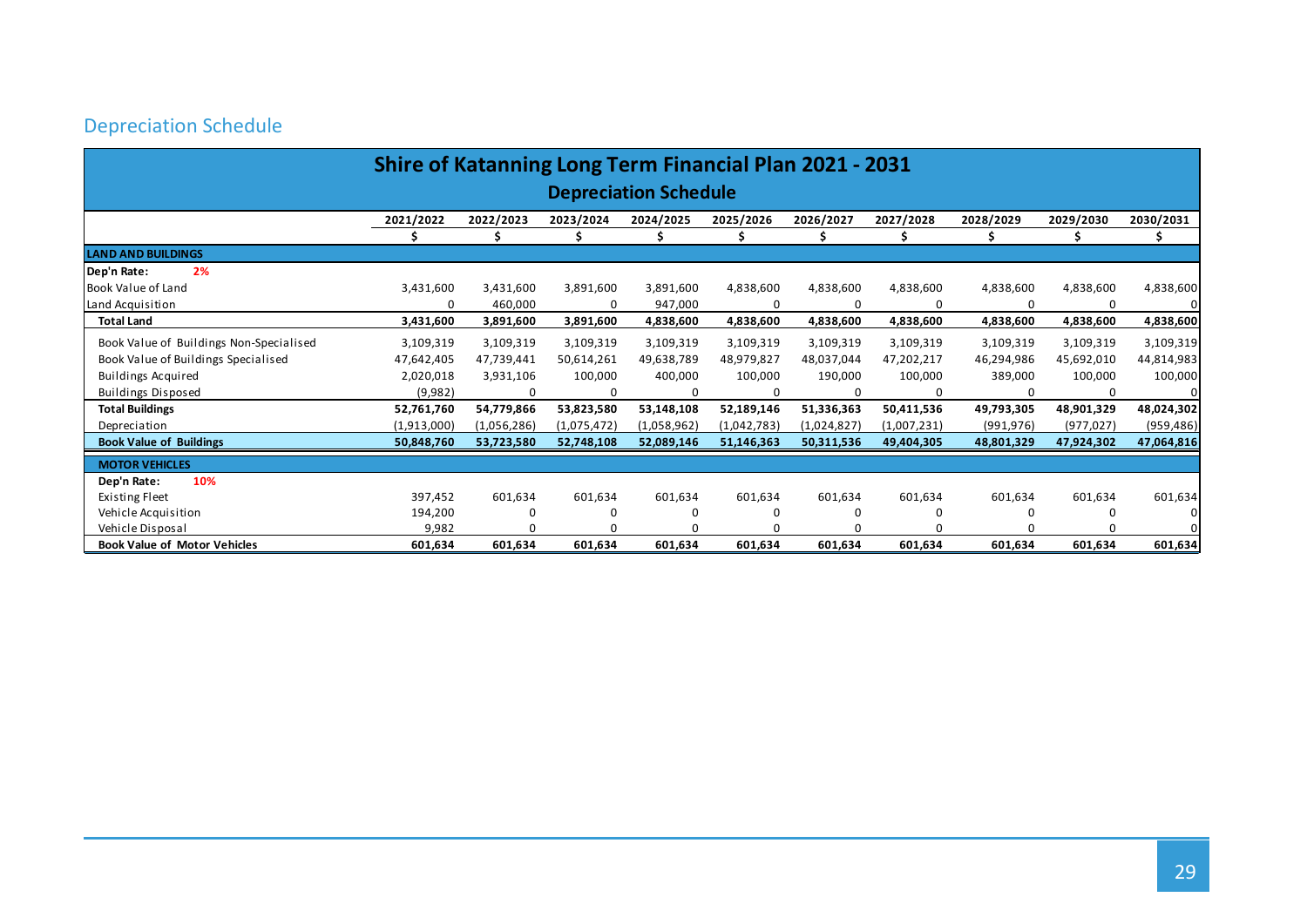## Depreciation Schedule

<span id="page-28-0"></span>

| <b>Shire of Katanning Long Term Financial Plan 2021 - 2031</b> |             |             |             |                              |             |             |              |            |            |            |  |
|----------------------------------------------------------------|-------------|-------------|-------------|------------------------------|-------------|-------------|--------------|------------|------------|------------|--|
|                                                                |             |             |             | <b>Depreciation Schedule</b> |             |             |              |            |            |            |  |
|                                                                | 2021/2022   | 2022/2023   | 2023/2024   | 2024/2025                    | 2025/2026   | 2026/2027   | 2027/2028    | 2028/2029  | 2029/2030  | 2030/2031  |  |
|                                                                |             |             |             |                              |             |             |              |            |            |            |  |
| <b>LAND AND BUILDINGS</b>                                      |             |             |             |                              |             |             |              |            |            |            |  |
| Dep'n Rate:<br>2%                                              |             |             |             |                              |             |             |              |            |            |            |  |
| Book Value of Land                                             | 3,431,600   | 3,431,600   | 3,891,600   | 3,891,600                    | 4,838,600   | 4,838,600   | 4,838,600    | 4,838,600  | 4,838,600  | 4,838,600  |  |
| Land Acquisition                                               | 0           | 460,000     | 0           | 947,000                      | 0           | $\Omega$    | $\Omega$     |            |            |            |  |
| <b>Total Land</b>                                              | 3,431,600   | 3,891,600   | 3,891,600   | 4,838,600                    | 4,838,600   | 4,838,600   | 4,838,600    | 4,838,600  | 4,838,600  | 4,838,600  |  |
| Book Value of Buildings Non-Specialised                        | 3,109,319   | 3,109,319   | 3,109,319   | 3,109,319                    | 3,109,319   | 3,109,319   | 3,109,319    | 3,109,319  | 3,109,319  | 3,109,319  |  |
| Book Value of Buildings Specialised                            | 47,642,405  | 47,739,441  | 50,614,261  | 49,638,789                   | 48,979,827  | 48,037,044  | 47,202,217   | 46,294,986 | 45,692,010 | 44,814,983 |  |
| <b>Buildings Acquired</b>                                      | 2,020,018   | 3,931,106   | 100,000     | 400,000                      | 100,000     | 190,000     | 100,000      | 389,000    | 100,000    | 100,000    |  |
| <b>Buildings Disposed</b>                                      | (9,982)     |             | o           |                              | 0           |             | <sup>0</sup> |            |            |            |  |
| <b>Total Buildings</b>                                         | 52,761,760  | 54,779,866  | 53,823,580  | 53,148,108                   | 52,189,146  | 51,336,363  | 50,411,536   | 49,793,305 | 48,901,329 | 48,024,302 |  |
| Depreciation                                                   | (1,913,000) | (1,056,286) | (1,075,472) | (1,058,962)                  | (1,042,783) | (1,024,827) | (1,007,231)  | (991, 976) | (977,027)  | (959, 486) |  |
| <b>Book Value of Buildings</b>                                 | 50,848,760  | 53,723,580  | 52,748,108  | 52,089,146                   | 51,146,363  | 50,311,536  | 49,404,305   | 48,801,329 | 47,924,302 | 47,064,816 |  |
| <b>MOTOR VEHICLES</b>                                          |             |             |             |                              |             |             |              |            |            |            |  |
| 10%<br>Dep'n Rate:                                             |             |             |             |                              |             |             |              |            |            |            |  |
| Existing Fleet                                                 | 397,452     | 601,634     | 601,634     | 601,634                      | 601,634     | 601,634     | 601,634      | 601,634    | 601,634    | 601,634    |  |
| Vehicle Acquisition                                            | 194,200     |             |             |                              |             |             |              |            |            |            |  |
| Vehicle Disposal                                               | 9,982       |             |             |                              |             |             |              |            |            |            |  |
| <b>Book Value of Motor Vehicles</b>                            | 601,634     | 601,634     | 601,634     | 601,634                      | 601,634     | 601,634     | 601,634      | 601,634    | 601,634    | 601,634    |  |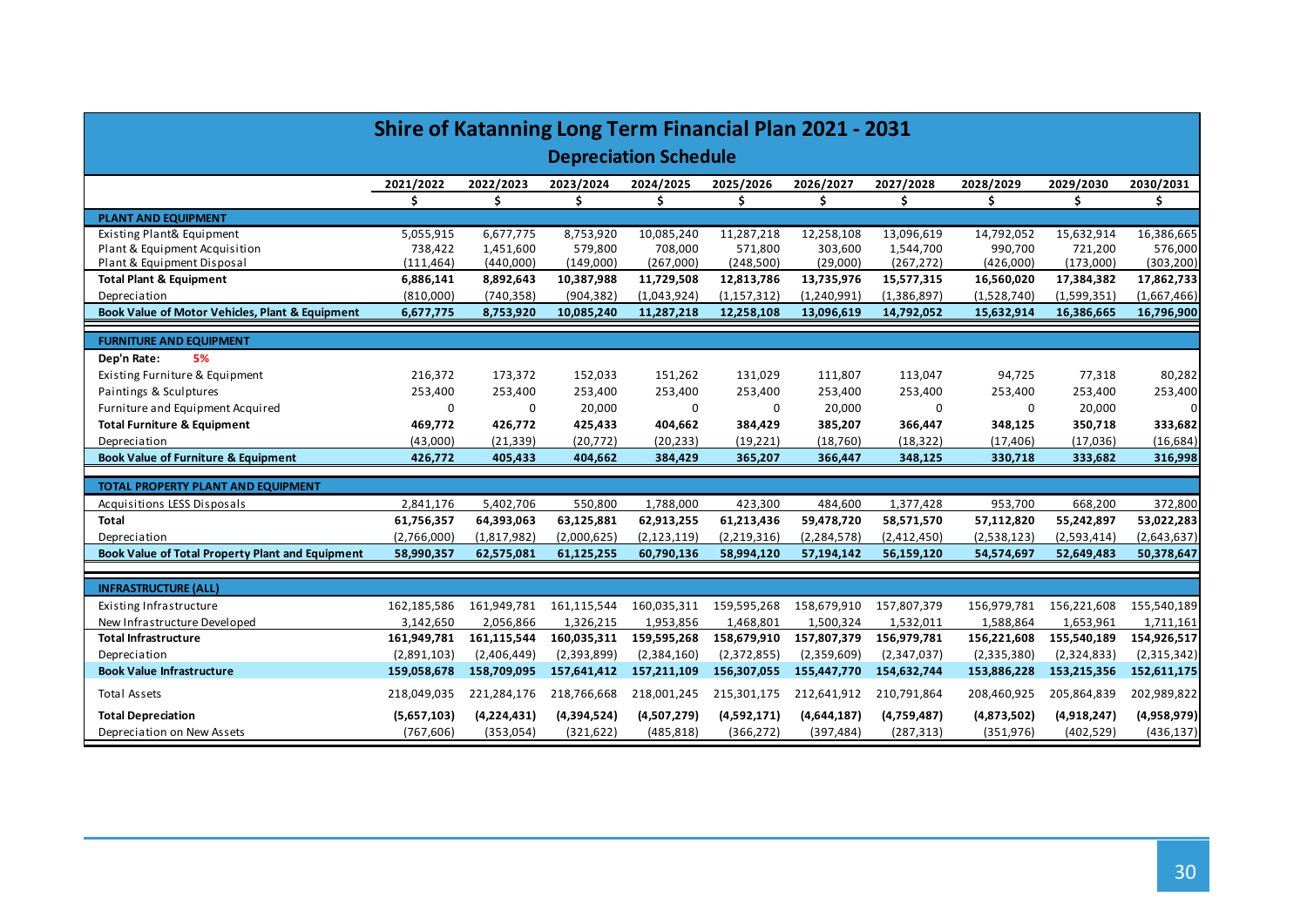| <b>Shire of Katanning Long Term Financial Plan 2021 - 2031</b> |             |             |             |               |               |               |             |             |             |             |  |  |
|----------------------------------------------------------------|-------------|-------------|-------------|---------------|---------------|---------------|-------------|-------------|-------------|-------------|--|--|
| <b>Depreciation Schedule</b>                                   |             |             |             |               |               |               |             |             |             |             |  |  |
|                                                                | 2021/2022   | 2022/2023   | 2023/2024   | 2024/2025     | 2025/2026     | 2026/2027     | 2027/2028   | 2028/2029   | 2029/2030   | 2030/2031   |  |  |
|                                                                | Ś           | \$.         | \$.         | Ś.            | \$            | \$            | Ś.          | \$.         | Ś.          | \$          |  |  |
| PLANT AND EQUIPMENT                                            |             |             |             |               |               |               |             |             |             |             |  |  |
| Existing Plant& Equipment                                      | 5,055,915   | 6,677,775   | 8,753,920   | 10,085,240    | 11,287,218    | 12,258,108    | 13,096,619  | 14,792,052  | 15,632,914  | 16,386,665  |  |  |
| Plant & Equipment Acquisition                                  | 738,422     | 1,451,600   | 579,800     | 708,000       | 571,800       | 303,600       | 1,544,700   | 990,700     | 721,200     | 576,000     |  |  |
| Plant & Equipment Disposal                                     | (111, 464)  | (440,000)   | (149,000)   | (267,000)     | (248,500)     | (29,000)      | (267, 272)  | (426,000)   | (173,000)   | (303, 200)  |  |  |
| <b>Total Plant &amp; Equipment</b>                             | 6,886,141   | 8,892,643   | 10,387,988  | 11,729,508    | 12,813,786    | 13,735,976    | 15,577,315  | 16,560,020  | 17,384,382  | 17,862,733  |  |  |
| Depreciation                                                   | (810,000)   | (740, 358)  | (904, 382)  | (1,043,924)   | (1, 157, 312) | (1,240,991)   | (1,386,897) | (1,528,740) | (1,599,351) | (1,667,466) |  |  |
| Book Value of Motor Vehicles, Plant & Equipment                | 6,677,775   | 8,753,920   | 10,085,240  | 11,287,218    | 12,258,108    | 13,096,619    | 14,792,052  | 15,632,914  | 16,386,665  | 16,796,900  |  |  |
| <b>FURNITURE AND EQUIPMENT</b>                                 |             |             |             |               |               |               |             |             |             |             |  |  |
| 5%<br>Dep'n Rate:                                              |             |             |             |               |               |               |             |             |             |             |  |  |
| Existing Furniture & Equipment                                 | 216,372     | 173,372     | 152,033     | 151,262       | 131,029       | 111,807       | 113,047     | 94,725      | 77,318      | 80,282      |  |  |
| Paintings & Sculptures                                         | 253,400     | 253,400     | 253,400     | 253,400       | 253,400       | 253,400       | 253,400     | 253,400     | 253,400     | 253,400     |  |  |
| Furniture and Equipment Acquired                               | 0           | $\mathbf 0$ | 20,000      | $\mathbf 0$   | $\mathbf 0$   | 20,000        | $\mathbf 0$ | 0           | 20,000      |             |  |  |
| <b>Total Furniture &amp; Equipment</b>                         | 469,772     | 426,772     | 425,433     | 404,662       | 384,429       | 385,207       | 366,447     | 348,125     | 350,718     | 333,682     |  |  |
| Depreciation                                                   | (43,000)    | (21, 339)   | (20, 772)   | (20, 233)     | (19, 221)     | (18, 760)     | (18, 322)   | (17, 406)   | (17,036)    | (16, 684)   |  |  |
| <b>Book Value of Furniture &amp; Equipment</b>                 | 426,772     | 405,433     | 404,662     | 384,429       | 365,207       | 366,447       | 348,125     | 330,718     | 333,682     | 316,998     |  |  |
| <b>TOTAL PROPERTY PLANT AND EQUIPMENT</b>                      |             |             |             |               |               |               |             |             |             |             |  |  |
| Acquisitions LESS Disposals                                    | 2,841,176   | 5,402,706   | 550,800     | 1,788,000     | 423,300       | 484,600       | 1,377,428   | 953,700     | 668,200     | 372,800     |  |  |
| <b>Total</b>                                                   | 61,756,357  | 64,393,063  | 63,125,881  | 62,913,255    | 61,213,436    | 59,478,720    | 58,571,570  | 57,112,820  | 55,242,897  | 53,022,283  |  |  |
| Depreciation                                                   | (2,766,000) | (1,817,982) | (2,000,625) | (2, 123, 119) | (2,219,316)   | (2, 284, 578) | (2,412,450) | (2,538,123) | (2,593,414) | (2,643,637) |  |  |
| <b>Book Value of Total Property Plant and Equipment</b>        | 58,990,357  | 62,575,081  | 61,125,255  | 60,790,136    | 58,994,120    | 57,194,142    | 56,159,120  | 54,574,697  | 52,649,483  | 50,378,647  |  |  |
|                                                                |             |             |             |               |               |               |             |             |             |             |  |  |
| <b>INFRASTRUCTURE (ALL)</b>                                    |             |             |             |               |               |               |             |             |             |             |  |  |
| Existing Infrastructure                                        | 162,185,586 | 161,949,781 | 161,115,544 | 160,035,311   | 159,595,268   | 158,679,910   | 157,807,379 | 156,979,781 | 156,221,608 | 155,540,189 |  |  |
| New Infrastructure Developed                                   | 3,142,650   | 2,056,866   | 1,326,215   | 1,953,856     | 1,468,801     | 1,500,324     | 1,532,011   | 1,588,864   | 1,653,961   | 1,711,161   |  |  |
| <b>Total Infrastructure</b>                                    | 161,949,781 | 161,115,544 | 160,035,311 | 159,595,268   | 158,679,910   | 157,807,379   | 156,979,781 | 156,221,608 | 155,540,189 | 154,926,517 |  |  |
| Depreciation                                                   | (2,891,103) | (2,406,449) | (2,393,899) | (2,384,160)   | (2,372,855)   | (2,359,609)   | (2,347,037) | (2,335,380) | (2,324,833) | (2,315,342) |  |  |
| <b>Book Value Infrastructure</b>                               | 159,058,678 | 158,709,095 | 157,641,412 | 157,211,109   | 156,307,055   | 155,447,770   | 154,632,744 | 153,886,228 | 153,215,356 | 152,611,175 |  |  |
| <b>Total Assets</b>                                            | 218,049,035 | 221,284,176 | 218,766,668 | 218,001,245   | 215,301,175   | 212,641,912   | 210,791,864 | 208,460,925 | 205,864,839 | 202,989,822 |  |  |
| <b>Total Depreciation</b>                                      | (5,657,103) | (4,224,431) | (4,394,524) | (4,507,279)   | (4,592,171)   | (4,644,187)   | (4,759,487) | (4,873,502) | (4,918,247) | (4,958,979) |  |  |
| Depreciation on New Assets                                     | (767, 606)  | (353,054)   | (321, 622)  | (485, 818)    | (366, 272)    | (397, 484)    | (287, 313)  | (351, 976)  | (402, 529)  | (436, 137)  |  |  |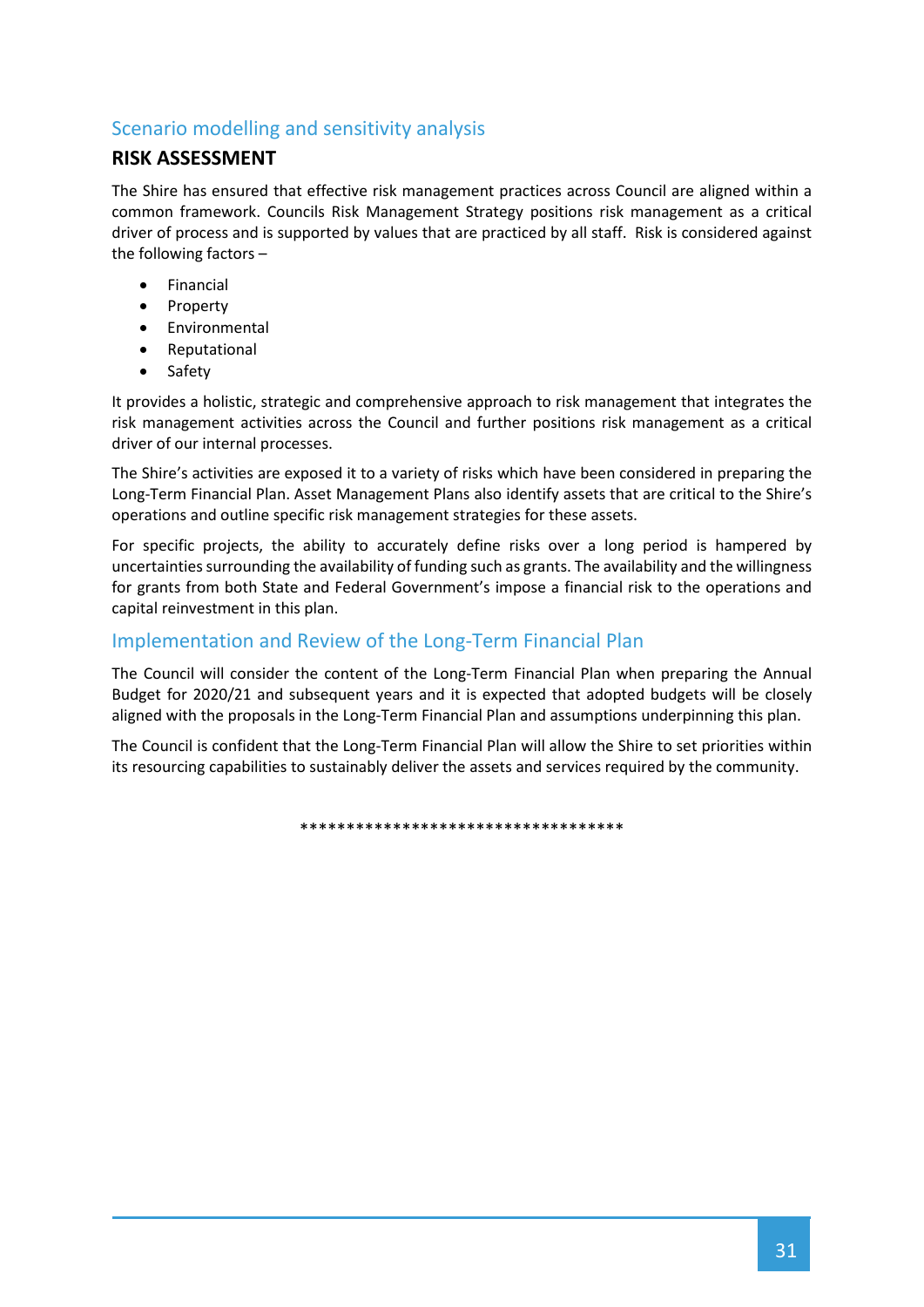## <span id="page-30-0"></span>Scenario modelling and sensitivity analysis

### **RISK ASSESSMENT**

The Shire has ensured that effective risk management practices across Council are aligned within a common framework. Councils Risk Management Strategy positions risk management as a critical driver of process and is supported by values that are practiced by all staff. Risk is considered against the following factors –

- Financial
- Property
- Environmental
- Reputational
- Safety

It provides a holistic, strategic and comprehensive approach to risk management that integrates the risk management activities across the Council and further positions risk management as a critical driver of our internal processes.

The Shire's activities are exposed it to a variety of risks which have been considered in preparing the Long-Term Financial Plan. Asset Management Plans also identify assets that are critical to the Shire's operations and outline specific risk management strategies for these assets.

For specific projects, the ability to accurately define risks over a long period is hampered by uncertainties surrounding the availability of funding such as grants. The availability and the willingness for grants from both State and Federal Government's impose a financial risk to the operations and capital reinvestment in this plan.

### <span id="page-30-1"></span>Implementation and Review of the Long-Term Financial Plan

The Council will consider the content of the Long-Term Financial Plan when preparing the Annual Budget for 2020/21 and subsequent years and it is expected that adopted budgets will be closely aligned with the proposals in the Long-Term Financial Plan and assumptions underpinning this plan.

The Council is confident that the Long-Term Financial Plan will allow the Shire to set priorities within its resourcing capabilities to sustainably deliver the assets and services required by the community.

\*\*\*\*\*\*\*\*\*\*\*\*\*\*\*\*\*\*\*\*\*\*\*\*\*\*\*\*\*\*\*\*\*\*\*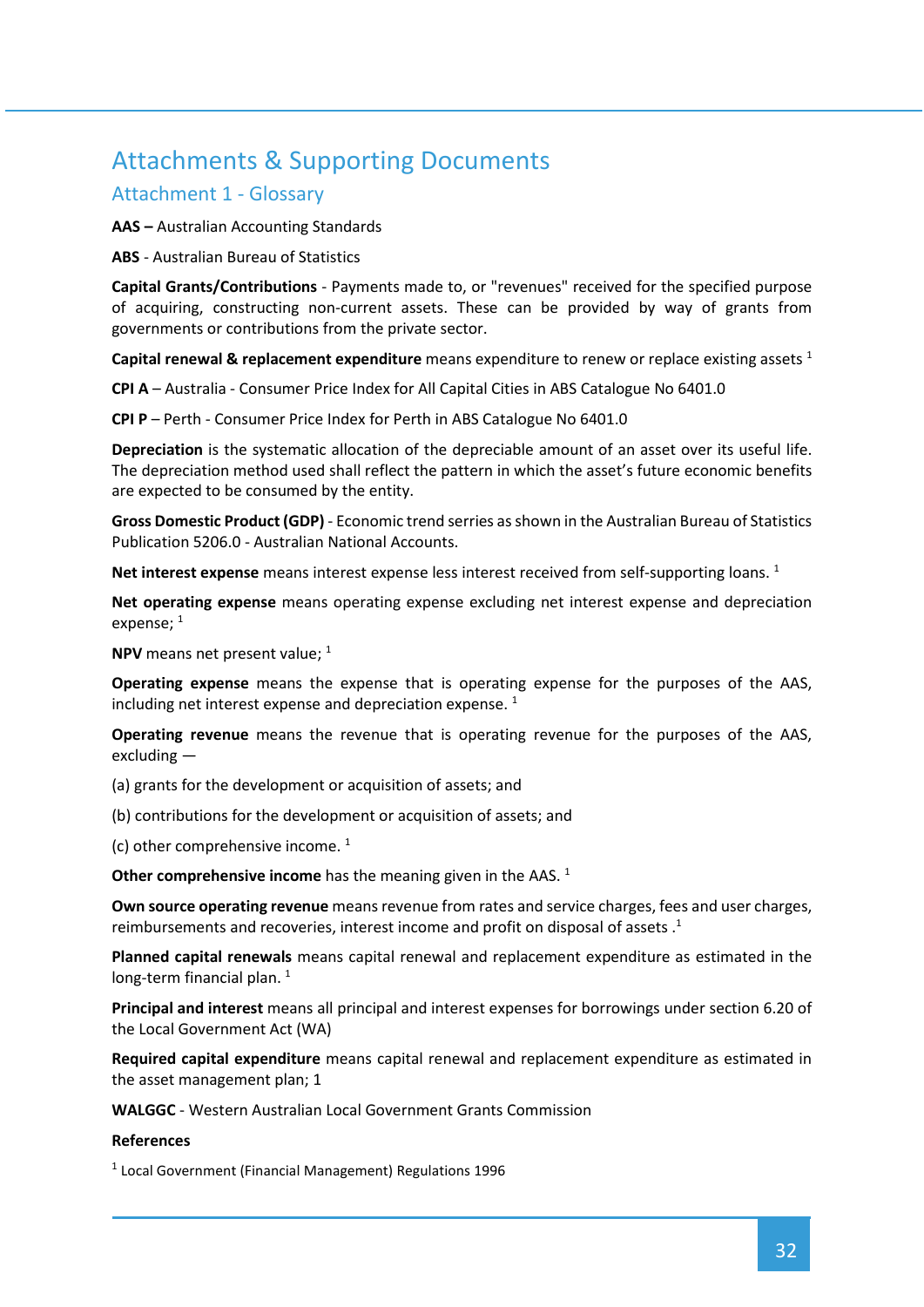# <span id="page-31-0"></span>Attachments & Supporting Documents

### <span id="page-31-1"></span>Attachment 1 - Glossary

**AAS –** Australian Accounting Standards

**ABS** - Australian Bureau of Statistics

**Capital Grants/Contributions** - Payments made to, or "revenues" received for the specified purpose of acquiring, constructing non-current assets. These can be provided by way of grants from governments or contributions from the private sector.

**Capital renewal & replacement expenditure** means expenditure to renew or replace existing assets <sup>1</sup>

**CPI A** – Australia - Consumer Price Index for All Capital Cities in ABS Catalogue No 6401.0

**CPI P** – Perth - Consumer Price Index for Perth in ABS Catalogue No 6401.0

**Depreciation** is the systematic allocation of the depreciable amount of an asset over its useful life. The depreciation method used shall reflect the pattern in which the asset's future economic benefits are expected to be consumed by the entity.

**Gross Domestic Product (GDP)** - Economic trend serries as shown in the Australian Bureau of Statistics Publication 5206.0 - Australian National Accounts.

**Net interest expense** means interest expense less interest received from self-supporting loans. <sup>1</sup>

**Net operating expense** means operating expense excluding net interest expense and depreciation expense;  $1$ 

**NPV** means net present value; <sup>1</sup>

**Operating expense** means the expense that is operating expense for the purposes of the AAS, including net interest expense and depreciation expense.  $1$ 

**Operating revenue** means the revenue that is operating revenue for the purposes of the AAS, excluding —

(a) grants for the development or acquisition of assets; and

(b) contributions for the development or acquisition of assets; and

(c) other comprehensive income. <sup>1</sup>

**Other comprehensive income** has the meaning given in the AAS.<sup>1</sup>

**Own source operating revenue** means revenue from rates and service charges, fees and user charges, reimbursements and recoveries, interest income and profit on disposal of assets .<sup>1</sup>

**Planned capital renewals** means capital renewal and replacement expenditure as estimated in the long-term financial plan.<sup>1</sup>

**Principal and interest** means all principal and interest expenses for borrowings under section 6.20 of the Local Government Act (WA)

**Required capital expenditure** means capital renewal and replacement expenditure as estimated in the asset management plan; 1

**WALGGC** - Western Australian Local Government Grants Commission

#### **References**

<sup>1</sup> Local Government (Financial Management) Regulations 1996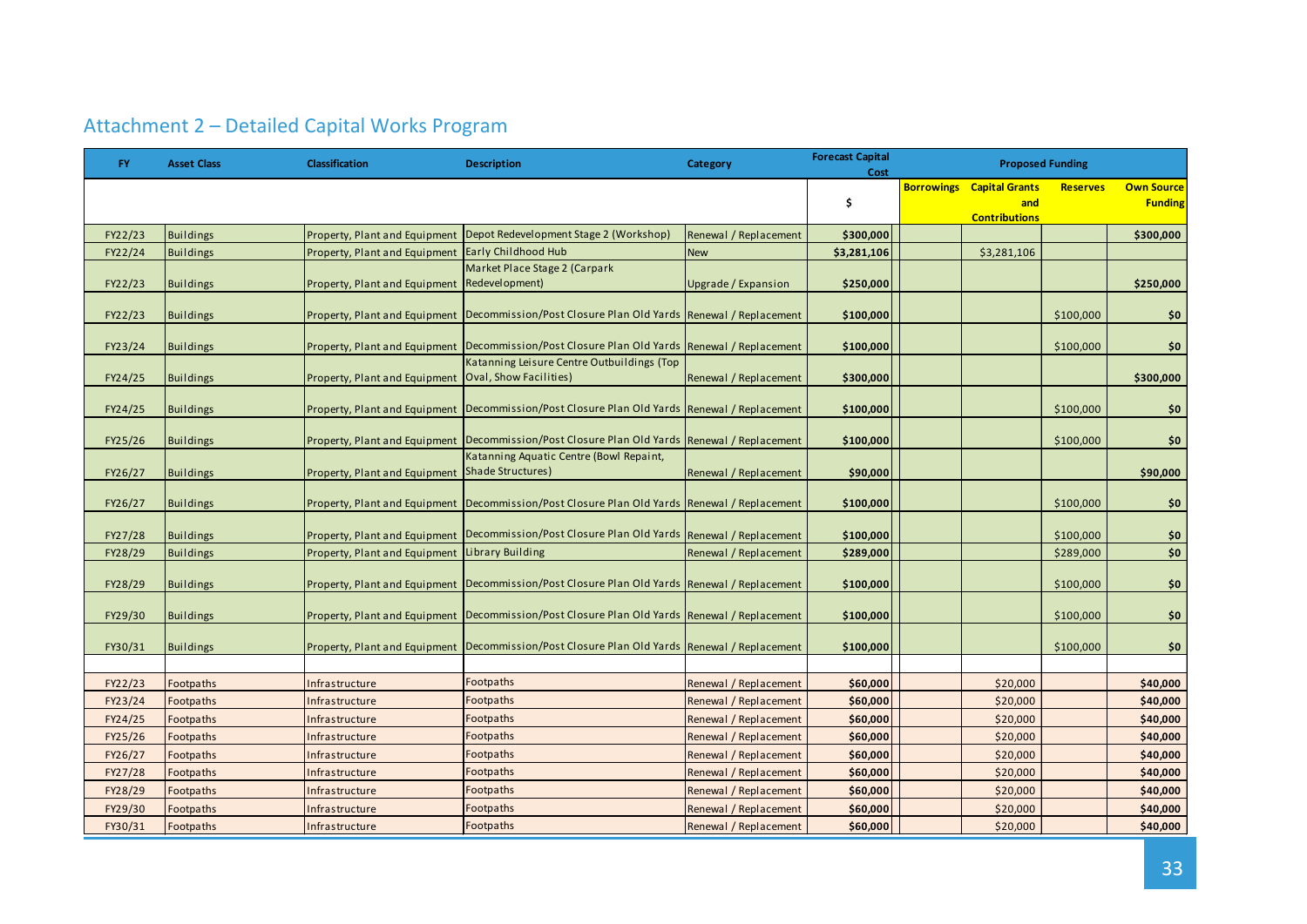<span id="page-32-0"></span>

| <b>FY</b> | <b>Asset Class</b> | <b>Classification</b>                           | <b>Description</b>                                                                               | Category              | <b>Forecast Capital</b><br>Cost |                                                                 | <b>Proposed Funding</b> |                                     |
|-----------|--------------------|-------------------------------------------------|--------------------------------------------------------------------------------------------------|-----------------------|---------------------------------|-----------------------------------------------------------------|-------------------------|-------------------------------------|
|           |                    |                                                 |                                                                                                  |                       | \$                              | <b>Borrowings</b> Capital Grants<br>and<br><b>Contributions</b> | <b>Reserves</b>         | <b>Own Source</b><br><b>Funding</b> |
| FY22/23   | <b>Buildings</b>   | Property, Plant and Equipment                   | Depot Redevelopment Stage 2 (Workshop)                                                           | Renewal / Replacement | \$300,000                       |                                                                 |                         | \$300,000                           |
| FY22/24   | <b>Buildings</b>   | Property, Plant and Equipment                   | <b>Early Childhood Hub</b>                                                                       | <b>New</b>            | \$3,281,106                     | \$3,281,106                                                     |                         |                                     |
|           |                    |                                                 | Market Place Stage 2 (Carpark                                                                    |                       |                                 |                                                                 |                         |                                     |
| FY22/23   | <b>Buildings</b>   | Property, Plant and Equipment Redevelopment)    |                                                                                                  | Upgrade / Expansion   | \$250,000                       |                                                                 |                         | \$250,000                           |
| FY22/23   | <b>Buildings</b>   |                                                 | Property, Plant and Equipment   Decommission/Post Closure Plan Old Yards   Renewal / Replacement |                       | \$100,000                       |                                                                 | \$100,000               | \$0                                 |
| FY23/24   | <b>Buildings</b>   |                                                 | Property, Plant and Equipment   Decommission/Post Closure Plan Old Yards   Renewal / Replacement |                       | \$100,000                       |                                                                 | \$100,000               | \$0\$                               |
| FY24/25   | <b>Buildings</b>   | <b>Property, Plant and Equipment</b>            | Katanning Leisure Centre Outbuildings (Top<br>Oval, Show Facilities)                             | Renewal / Replacement | \$300,000                       |                                                                 |                         | \$300,000                           |
| FY24/25   | <b>Buildings</b>   |                                                 | Property, Plant and Equipment   Decommission/Post Closure Plan Old Yards   Renewal / Replacement |                       | \$100,000                       |                                                                 | \$100,000               | \$0                                 |
| FY25/26   | <b>Buildings</b>   |                                                 | Property, Plant and Equipment Decommission/Post Closure Plan Old Yards Renewal / Replacement     |                       | \$100,000                       |                                                                 | \$100,000               | \$0\$                               |
| FY26/27   | <b>Buildings</b>   | Property, Plant and Equipment Shade Structures) | Katanning Aquatic Centre (Bowl Repaint,                                                          | Renewal / Replacement | \$90,000                        |                                                                 |                         | \$90,000                            |
| FY26/27   | <b>Buildings</b>   |                                                 | Property, Plant and Equipment   Decommission/Post Closure Plan Old Yards   Renewal / Replacement |                       | \$100,000                       |                                                                 | \$100,000               | \$0                                 |
| FY27/28   | <b>Buildings</b>   |                                                 | Property, Plant and Equipment   Decommission/Post Closure Plan Old Yards   Renewal / Replacement |                       | \$100,000                       |                                                                 | \$100,000               | \$0                                 |
| FY28/29   | <b>Buildings</b>   | Property, Plant and Equipment Library Building  |                                                                                                  | Renewal / Replacement | \$289,000                       |                                                                 | \$289,000               | \$0                                 |
| FY28/29   | <b>Buildings</b>   |                                                 | Property, Plant and Equipment   Decommission/Post Closure Plan Old Yards   Renewal / Replacement |                       | \$100,000                       |                                                                 | \$100,000               | \$0\$                               |
|           |                    |                                                 | Property, Plant and Equipment Decommission/Post Closure Plan Old Yards Renewal / Replacement     |                       |                                 |                                                                 |                         |                                     |
| FY29/30   | <b>Buildings</b>   |                                                 |                                                                                                  |                       | \$100,000                       |                                                                 | \$100,000               | \$0\$                               |
| FY30/31   | <b>Buildings</b>   | <b>Property, Plant and Equipment</b>            | Decommission/Post Closure Plan Old Yards Renewal / Replacement                                   |                       | \$100,000                       |                                                                 | \$100,000               | \$0                                 |
|           |                    |                                                 |                                                                                                  |                       |                                 |                                                                 |                         |                                     |
| FY22/23   | Footpaths          | Infrastructure                                  | Footpaths                                                                                        | Renewal / Replacement | \$60,000                        | \$20,000                                                        |                         | \$40,000                            |
| FY23/24   | Footpaths          | nfrastructure                                   | Footpaths                                                                                        | Renewal / Replacement | \$60,000                        | \$20,000                                                        |                         | \$40,000                            |
| FY24/25   | Footpaths          | nfrastructure                                   | Footpaths                                                                                        | Renewal / Replacement | \$60,000                        | \$20,000                                                        |                         | \$40,000                            |
| FY25/26   | Footpaths          | nfrastructure                                   | Footpaths                                                                                        | Renewal / Replacement | \$60,000                        | \$20,000                                                        |                         | \$40,000                            |
| FY26/27   | Footpaths          | Infrastructure                                  | Footpaths                                                                                        | Renewal / Replacement | \$60,000                        | \$20,000                                                        |                         | \$40,000                            |
| FY27/28   | Footpaths          | Infrastructure                                  | Footpaths                                                                                        | Renewal / Replacement | \$60,000                        | \$20,000                                                        |                         | \$40,000                            |
| FY28/29   | Footpaths          | Infrastructure                                  | Footpaths                                                                                        | Renewal / Replacement | \$60,000                        | \$20,000                                                        |                         | \$40,000                            |
| FY29/30   | Footpaths          | Infrastructure                                  | Footpaths                                                                                        | Renewal / Replacement | \$60,000                        | \$20,000                                                        |                         | \$40,000                            |
| FY30/31   | Footpaths          | Infrastructure                                  | Footpaths                                                                                        | Renewal / Replacement | \$60,000                        | \$20,000                                                        |                         | \$40,000                            |

# Attachment 2 – Detailed Capital Works Program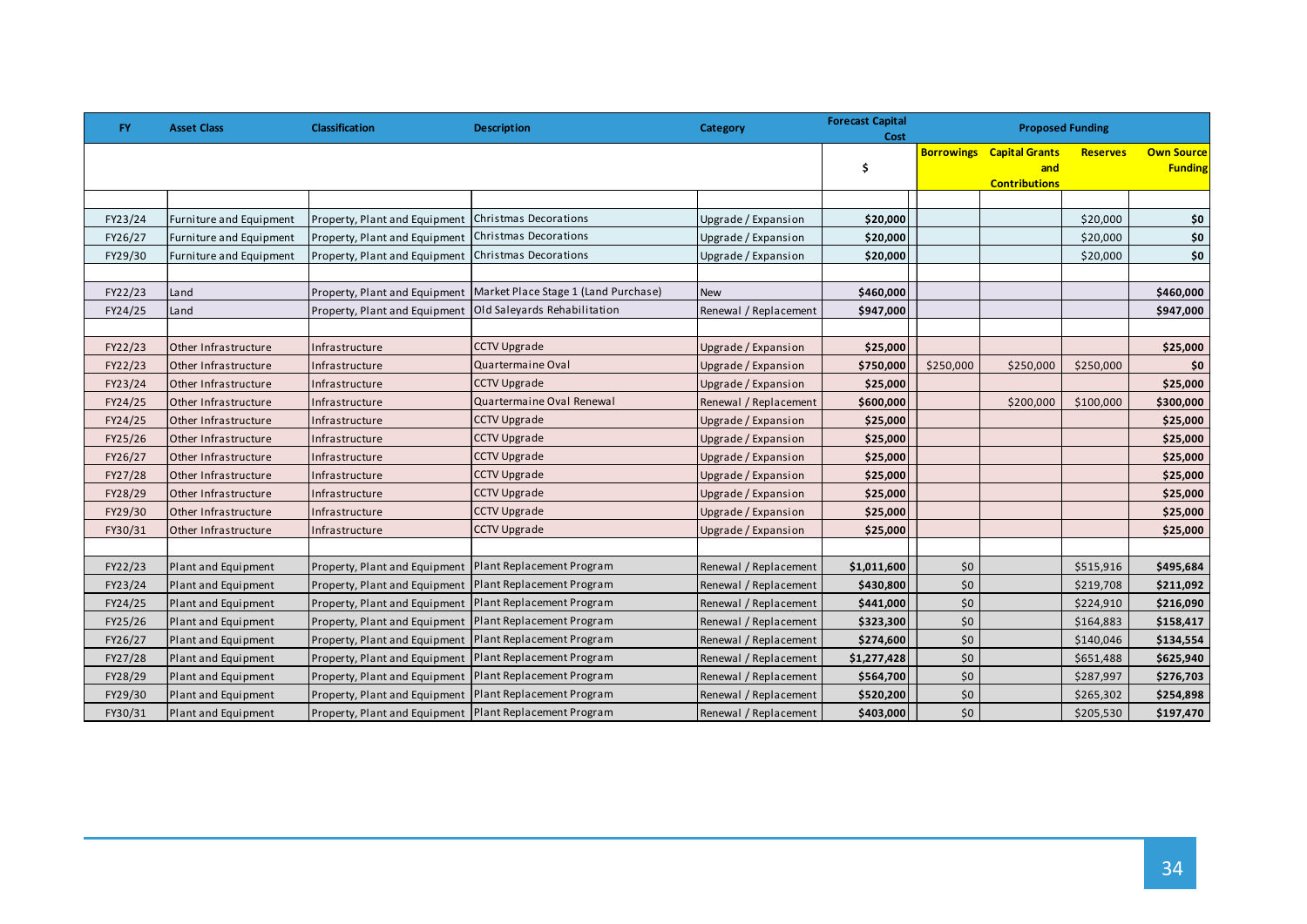| FY.     | <b>Asset Class</b>      | <b>Classification</b>                                     | <b>Description</b>                   | Category              | <b>Forecast Capital</b><br>Cost |           |                                                                 |                 |                                     |
|---------|-------------------------|-----------------------------------------------------------|--------------------------------------|-----------------------|---------------------------------|-----------|-----------------------------------------------------------------|-----------------|-------------------------------------|
|         |                         |                                                           |                                      |                       | \$                              |           | <b>Borrowings Capital Grants</b><br>and<br><b>Contributions</b> | <b>Reserves</b> | <b>Own Source</b><br><b>Funding</b> |
|         |                         |                                                           |                                      |                       |                                 |           |                                                                 |                 |                                     |
| FY23/24 | Furniture and Equipment | Property, Plant and Equipment                             | Christmas Decorations                | Upgrade / Expansion   | \$20,000                        |           |                                                                 | \$20,000        | \$0                                 |
| FY26/27 | Furniture and Equipment | Property, Plant and Equipment                             | Christmas Decorations                | Upgrade / Expansion   | \$20,000                        |           |                                                                 | \$20,000        | \$0                                 |
| FY29/30 | Furniture and Equipment | Property, Plant and Equipment                             | Christmas Decorations                | Upgrade / Expansion   | \$20,000                        |           |                                                                 | \$20,000        | \$0                                 |
|         |                         |                                                           |                                      |                       |                                 |           |                                                                 |                 |                                     |
| FY22/23 | Land                    | Property, Plant and Equipment                             | Market Place Stage 1 (Land Purchase) | <b>New</b>            | \$460,000                       |           |                                                                 |                 | \$460,000                           |
| FY24/25 | Land                    | Property, Plant and Equipment                             | Old Saleyards Rehabilitation         | Renewal / Replacement | \$947,000                       |           |                                                                 |                 | \$947,000                           |
|         |                         |                                                           |                                      |                       |                                 |           |                                                                 |                 |                                     |
| FY22/23 | Other Infrastructure    | Infrastructure                                            | <b>CCTV Upgrade</b>                  | Upgrade / Expansion   | \$25,000                        |           |                                                                 |                 | \$25,000                            |
| FY22/23 | Other Infrastructure    | Infrastructure                                            | Quartermaine Oval                    | Upgrade / Expansion   | \$750,000                       | \$250,000 | \$250,000                                                       | \$250,000       | \$0                                 |
| FY23/24 | Other Infrastructure    | Infrastructure                                            | <b>CCTV Upgrade</b>                  | Upgrade / Expansion   | \$25,000                        |           |                                                                 |                 | \$25,000                            |
| FY24/25 | Other Infrastructure    | Infrastructure                                            | Quartermaine Oval Renewal            | Renewal / Replacement | \$600,000                       |           | \$200,000                                                       | \$100,000       | \$300,000                           |
| FY24/25 | Other Infrastructure    | Infrastructure                                            | <b>CCTV Upgrade</b>                  | Upgrade / Expansion   | \$25,000                        |           |                                                                 |                 | \$25,000                            |
| FY25/26 | Other Infrastructure    | Infrastructure                                            | <b>CCTV Upgrade</b>                  | Upgrade / Expansion   | \$25,000                        |           |                                                                 |                 | \$25,000                            |
| FY26/27 | Other Infrastructure    | Infrastructure                                            | <b>CCTV Upgrade</b>                  | Upgrade / Expansion   | \$25,000                        |           |                                                                 |                 | \$25,000                            |
| FY27/28 | Other Infrastructure    | Infrastructure                                            | <b>CCTV Upgrade</b>                  | Upgrade / Expansion   | \$25,000                        |           |                                                                 |                 | \$25,000                            |
| FY28/29 | Other Infrastructure    | Infrastructure                                            | <b>CCTV Upgrade</b>                  | Upgrade / Expansion   | \$25,000                        |           |                                                                 |                 | \$25,000                            |
| FY29/30 | Other Infrastructure    | Infrastructure                                            | <b>CCTV Upgrade</b>                  | Upgrade / Expansion   | \$25,000                        |           |                                                                 |                 | \$25,000                            |
| FY30/31 | Other Infrastructure    | Infrastructure                                            | <b>CCTV Upgrade</b>                  | Upgrade / Expansion   | \$25,000                        |           |                                                                 |                 | \$25,000                            |
|         |                         |                                                           |                                      |                       |                                 |           |                                                                 |                 |                                     |
| FY22/23 | Plant and Equipment     | Property, Plant and Equipment                             | Plant Replacement Program            | Renewal / Replacement | \$1,011,600                     | \$0       |                                                                 | \$515,916       | \$495,684                           |
| FY23/24 | Plant and Equipment     | Property, Plant and Equipment                             | Plant Replacement Program            | Renewal / Replacement | \$430,800                       | \$0       |                                                                 | \$219,708       | \$211,092                           |
| FY24/25 | Plant and Equipment     | Property, Plant and Equipment                             | Plant Replacement Program            | Renewal / Replacement | \$441,000                       | \$0       |                                                                 | \$224,910       | \$216,090                           |
| FY25/26 | Plant and Equipment     | Property, Plant and Equipment                             | Plant Replacement Program            | Renewal / Replacement | \$323,300                       | \$0       |                                                                 | \$164,883       | \$158,417                           |
| FY26/27 | Plant and Equipment     | Property, Plant and Equipment   Plant Replacement Program |                                      | Renewal / Replacement | \$274,600                       | \$0       |                                                                 | \$140,046       | \$134,554                           |
| FY27/28 | Plant and Equipment     | Property, Plant and Equipment                             | Plant Replacement Program            | Renewal / Replacement | \$1,277,428                     | $$0$$     |                                                                 | \$651,488       | \$625,940                           |
| FY28/29 | Plant and Equipment     | Property, Plant and Equipment                             | Plant Replacement Program            | Renewal / Replacement | \$564,700                       | \$0       |                                                                 | \$287,997       | \$276,703                           |
| FY29/30 | Plant and Equipment     | Property, Plant and Equipment Plant Replacement Program   |                                      | Renewal / Replacement | \$520,200                       | \$0       |                                                                 | \$265,302       | \$254,898                           |
| FY30/31 | Plant and Equipment     | Property, Plant and Equipment Plant Replacement Program   |                                      | Renewal / Replacement | \$403,000                       | \$0       |                                                                 | \$205,530       | \$197,470                           |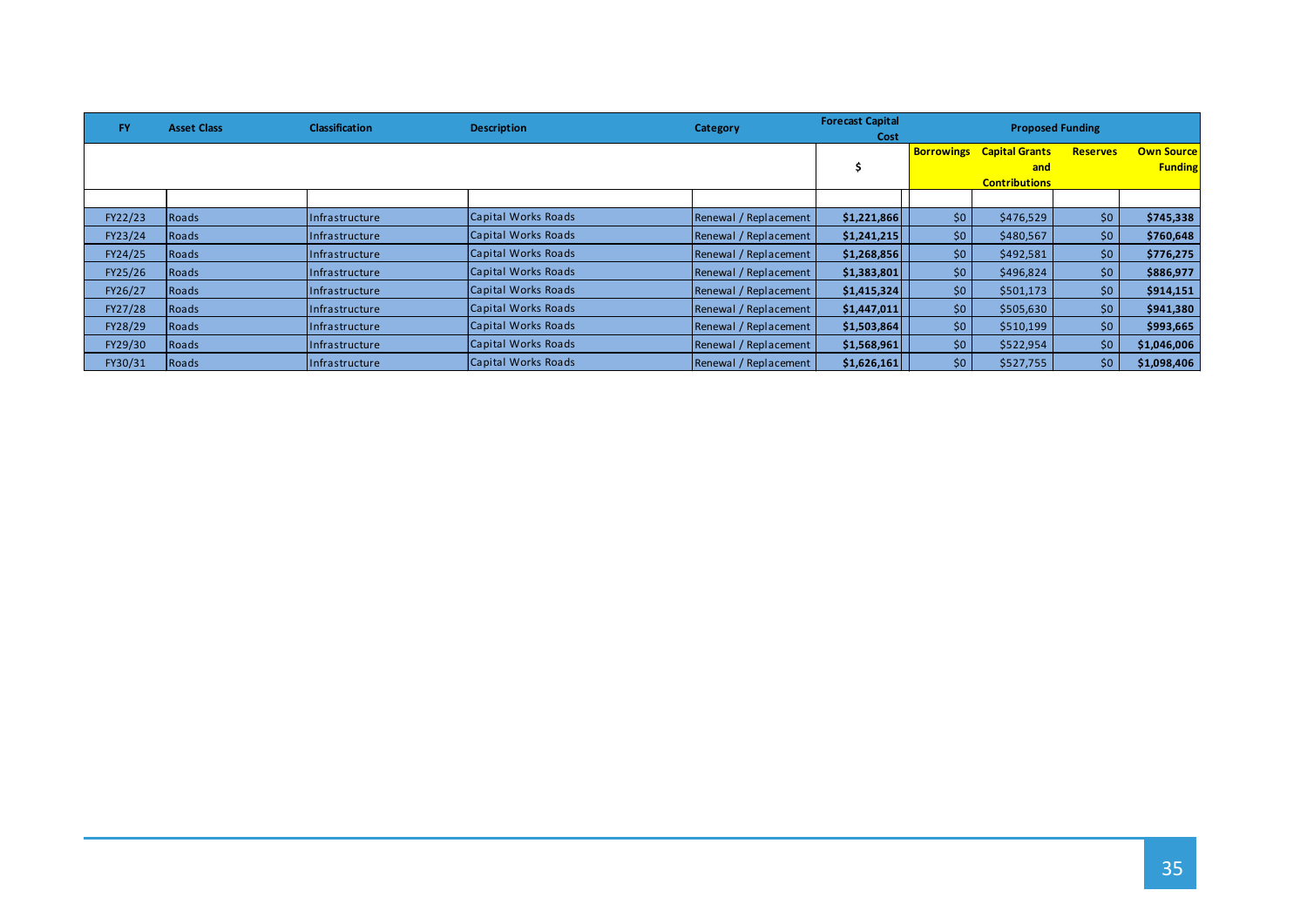| <b>FY</b> | <b>Asset Class</b> | <b>Classification</b> | <b>Description</b>  | Category              | <b>Forecast Capital</b><br>Cost | <b>Proposed Funding</b> |                                                                 |                 |                                     |
|-----------|--------------------|-----------------------|---------------------|-----------------------|---------------------------------|-------------------------|-----------------------------------------------------------------|-----------------|-------------------------------------|
|           |                    |                       |                     |                       |                                 |                         | <b>Borrowings</b> Capital Grants<br>and<br><b>Contributions</b> | <b>Reserves</b> | <b>Own Source</b><br><b>Funding</b> |
|           |                    |                       |                     |                       |                                 |                         |                                                                 |                 |                                     |
| FY22/23   | Roads              | Infrastructure        | Capital Works Roads | Renewal / Replacement | \$1,221,866                     | \$0                     | \$476,529                                                       | \$0             | \$745,338                           |
| FY23/24   | Roads              | Infrastructure        | Capital Works Roads | Renewal / Replacement | \$1,241,215                     | \$0                     | \$480,567                                                       | \$0             | \$760,648                           |
| FY24/25   | Roads              | Infrastructure        | Capital Works Roads | Renewal / Replacement | \$1,268,856                     | \$0\$                   | \$492,581                                                       | \$0             | \$776,275                           |
| FY25/26   | Roads              | Infrastructure        | Capital Works Roads | Renewal / Replacement | \$1,383,801                     | \$0                     | \$496,824                                                       | \$0\$           | \$886,977                           |
| FY26/27   | Roads              | Infrastructure        | Capital Works Roads | Renewal / Replacement | \$1,415,324                     | \$0                     | \$501,173                                                       | \$0\$           | \$914,151                           |
| FY27/28   | Roads              | Infrastructure        | Capital Works Roads | Renewal / Replacement | \$1,447,011                     | \$0                     | \$505,630                                                       | \$0             | \$941,380                           |
| FY28/29   | Roads              | Infrastructure        | Capital Works Roads | Renewal / Replacement | \$1,503,864                     | \$0                     | \$510,199                                                       | \$0\$           | \$993,665                           |
| FY29/30   | Roads              | Infrastructure        | Capital Works Roads | Renewal / Replacement | \$1,568,961                     | \$0                     | \$522,954                                                       | \$0             | \$1,046,006                         |
| FY30/31   | Roads              | Infrastructure        | Capital Works Roads | Renewal / Replacement | \$1,626,161                     | \$0\$                   | \$527,755                                                       | \$0\$           | \$1,098,406                         |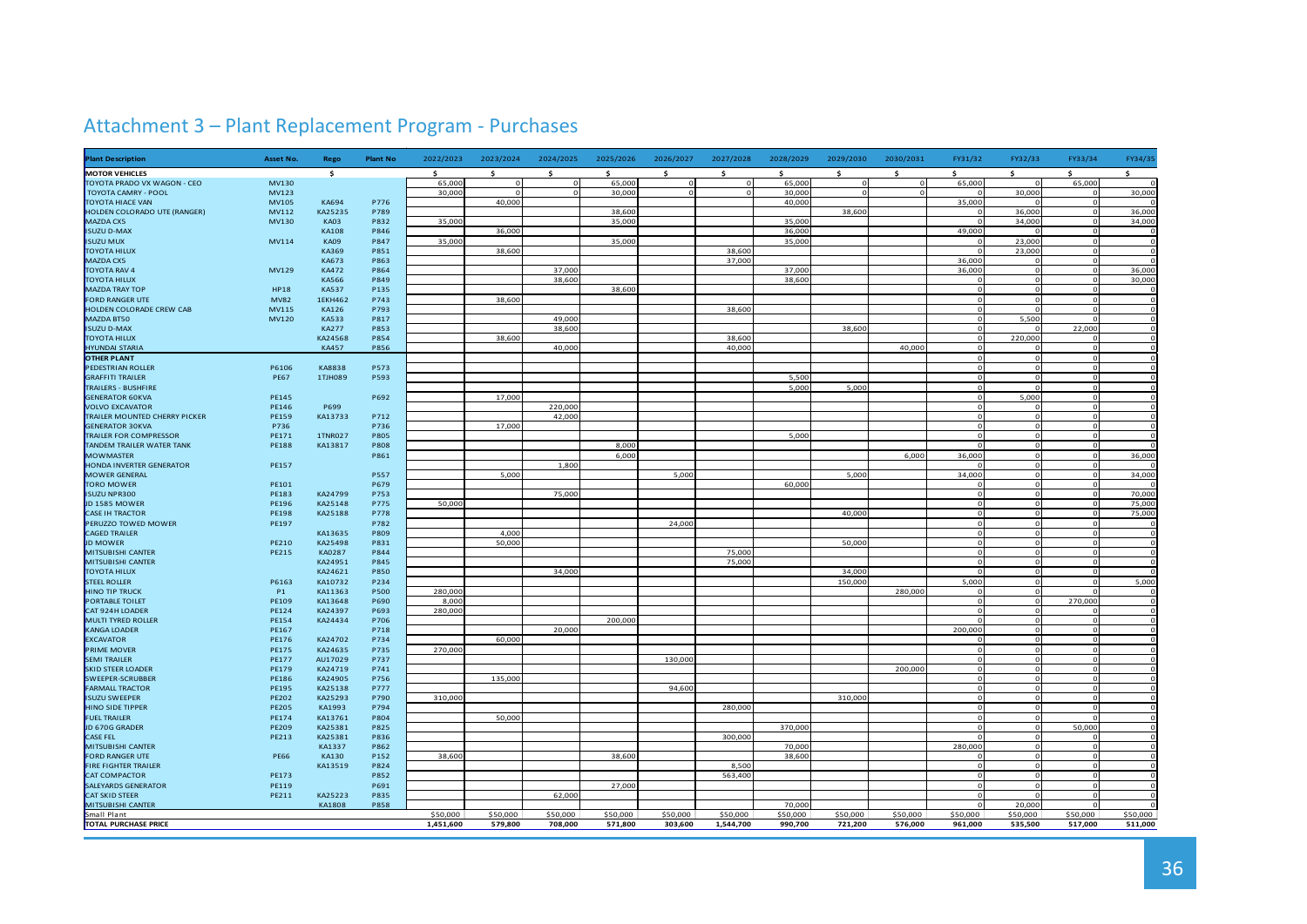<span id="page-35-0"></span>

| <b>Plant Description</b>                            | Asset No.             | Rego                         | <b>Plant No</b> | 2022/2023 | 2023/2024 | 2024/2025        | 2025/2026 | 2026/2027 | 2027/2028 | 2028/2029       | 2029/2030 | 2030/2031 | FY31/32             | FY32/33       | FY33/34             | FY34/35                |
|-----------------------------------------------------|-----------------------|------------------------------|-----------------|-----------|-----------|------------------|-----------|-----------|-----------|-----------------|-----------|-----------|---------------------|---------------|---------------------|------------------------|
| <b>MOTOR VEHICLES</b>                               |                       | -S                           |                 |           | Ŝ         |                  |           | -S        |           |                 | -S        |           | s.                  | \$.           | Ś                   | Ś                      |
| TOYOTA PRADO VX WAGON - CEO                         | MV130                 |                              |                 | 65,000    |           | $\Omega$         | 65,000    |           | $\Omega$  | 65,000          |           |           | 65,000              |               | 65,000              | $\circ$                |
| TOYOTA CAMRY - POOL                                 | <b>MV123</b>          |                              |                 | 30,000    | $\Omega$  | $\Omega$         | 30,000    |           | $\Omega$  | 30,000          |           |           | $\Omega$            | 30,000        | $\Omega$            | 30,000                 |
| <b>TOYOTA HIACE VAN</b>                             | <b>MV105</b>          | <b>KA694</b>                 | P776            |           | 40,000    |                  |           |           |           | 40,000          |           |           | 35,000              |               | $\Omega$            |                        |
| HOLDEN COLORADO UTE (RANGER)                        | <b>MV112</b>          | KA25235                      | P789            |           |           |                  | 38,600    |           |           |                 | 38,600    |           | $\Omega$            | 36,000        | $\Omega$            | 36,000                 |
| MAZDA CX5                                           | <b>MV130</b>          | <b>KA03</b>                  | P832            | 35,000    |           |                  | 35,000    |           |           | 35,00           |           |           | $\Omega$            | 34,000        | $\Omega$            | 34,000                 |
| <b>ISUZU D-MAX</b>                                  |                       | <b>KA108</b>                 | P846            |           | 36,000    |                  |           |           |           | 36,00           |           |           | 49,000              |               | $\Omega$            | $\mathbf 0$            |
| <b>ISUZU MUX</b>                                    | MV114                 | <b>KA09</b>                  | P847            | 35,000    |           |                  | 35,000    |           |           | 35,000          |           |           |                     | 23,000        |                     | $\mathbf 0$            |
| <b>TOYOTA HILUX</b>                                 |                       | <b>KA369</b>                 | P851            |           | 38,600    |                  |           |           | 38,600    |                 |           |           | $\Omega$            | 23,000        | $\Omega$            | $\Omega$               |
| MAZDA CX5                                           |                       | <b>KA673</b>                 | P863            |           |           |                  |           |           | 37,000    |                 |           |           | 36,000              |               | $\circ$<br>$\Omega$ | $\circ$                |
| <b>TOYOTA RAV 4</b><br><b>TOYOTA HILUX</b>          | <b>MV129</b>          | <b>KA472</b><br><b>KA566</b> | P864<br>P849    |           |           | 37,000<br>38,600 |           |           |           | 37,00<br>38,600 |           |           | 36,000<br>$\Omega$  |               | $\Omega$            | 36,000<br>30,000       |
| <b>MAZDA TRAY TOP</b>                               | <b>HP18</b>           | <b>KA537</b>                 | P135            |           |           |                  | 38,600    |           |           |                 |           |           | $\Omega$            |               |                     |                        |
| <b>FORD RANGER UTE</b>                              | <b>MV82</b>           | 1EKH462                      | P743            |           | 38,600    |                  |           |           |           |                 |           |           | $\Omega$            |               |                     | $\Omega$               |
| HOLDEN COLORADE CREW CAB                            | <b>MV115</b>          | <b>KA126</b>                 | P793            |           |           |                  |           |           | 38,600    |                 |           |           | $\Omega$            |               |                     | $\Omega$               |
| MAZDA BT50                                          | <b>MV120</b>          | <b>KA533</b>                 | P817            |           |           | 49,000           |           |           |           |                 |           |           | $\Omega$            | 5,500         | $\Omega$            | $\Omega$               |
| <b>ISUZU D-MAX</b>                                  |                       | <b>KA277</b>                 | P853            |           |           | 38,600           |           |           |           |                 | 38,600    |           | $\circ$             |               | 22,000              | $\mathbf 0$            |
| <b>TOYOTA HILUX</b>                                 |                       | KA24568                      | P854            |           | 38,600    |                  |           |           | 38,60     |                 |           |           | $\circ$             | 220,000       |                     | $\Omega$               |
| <b>HYUNDAI STARIA</b>                               |                       | <b>KA457</b>                 | P856            |           |           | 40,000           |           |           | 40,000    |                 |           | 40,000    | $\circ$             |               | $\Omega$            | $\circ$                |
| <b>OTHER PLANT</b>                                  |                       |                              |                 |           |           |                  |           |           |           |                 |           |           | $\Omega$            |               |                     | $\mathbf 0$            |
| PEDESTRIAN ROLLER                                   | P6106                 | <b>KA8838</b>                | P573            |           |           |                  |           |           |           |                 |           |           | $\circ$             |               | $\Omega$            | $\mathsf{o}$           |
| <b>GRAFFITI TRAILER</b>                             | <b>PE67</b>           | 1TJH089                      | P593            |           |           |                  |           |           |           | 5,50            |           |           | $\Omega$            | $\Omega$      | $\Omega$            | $\Omega$               |
| TRAILERS - BUSHFIRE                                 |                       |                              |                 |           |           |                  |           |           |           | 5,000           | 5,000     |           | $\Omega$            | $\Omega$      | $\Omega$            | $\mathsf{o}$           |
| <b>GENERATOR 60KVA</b>                              | <b>PE145</b>          |                              | P692            |           | 17,00     |                  |           |           |           |                 |           |           | $\circ$             | 5,000         | $\Omega$            | $\mathbf 0$            |
| <b>VOLVO EXCAVATOR</b>                              | PE146                 | P699                         |                 |           |           | 220,000          |           |           |           |                 |           |           | $\Omega$            |               | $\Omega$            | $\Omega$               |
| TRAILER MOUNTED CHERRY PICKER                       | <b>PE159</b>          | KA13733                      | P712            |           |           | 42.000           |           |           |           |                 |           |           | $\Omega$            | n             | $\Omega$            | $\Omega$               |
| <b>GENERATOR 30KVA</b>                              | P736                  |                              | P736            |           | 17,000    |                  |           |           |           |                 |           |           | $\circ$             |               |                     | $\Omega$               |
| <b>TRAILER FOR COMPRESSOR</b>                       | PE171                 | 1TNR027                      | P805            |           |           |                  |           |           |           | 5,000           |           |           | $\Omega$            |               |                     | $\Omega$               |
| TANDEM TRAILER WATER TANK                           | <b>PE188</b>          | KA13817                      | <b>P808</b>     |           |           |                  | 8,000     |           |           |                 |           |           | $\Omega$            | $\Omega$      | $\Omega$            | $\Omega$               |
| <b>MOWMASTER</b><br><b>HONDA INVERTER GENERATOR</b> | <b>PE157</b>          |                              | P861            |           |           | 1,800            | 6,000     |           |           |                 |           | 6,000     | 36,000              | $\Omega$      | $\circ$<br>$\Omega$ | 36,000                 |
| <b>MOWER GENERAL</b>                                |                       |                              | P557            |           | 5.000     |                  |           | 5,000     |           |                 | 5,000     |           | 34,000              |               | $\Omega$            | 34,000                 |
| <b>TORO MOWER</b>                                   | PE101                 |                              | P679            |           |           |                  |           |           |           | 60,000          |           |           |                     |               | $\Omega$            |                        |
| <b>ISUZU NPR300</b>                                 | PE183                 | KA24799                      | P753            |           |           | 75,000           |           |           |           |                 |           |           | $\mathbf 0$         |               |                     | 70,000                 |
| JD 1585 MOWER                                       | PE196                 | KA25148                      | P775            | 50,000    |           |                  |           |           |           |                 |           |           | $\Omega$            |               | $\Omega$            | 75,000                 |
| <b>CASE IH TRACTOR</b>                              | <b>PE198</b>          | KA25188                      | P778            |           |           |                  |           |           |           |                 | 40,000    |           | $\Omega$            | $\Omega$      | $\Omega$            | 75,000                 |
| PERUZZO TOWED MOWER                                 | PE197                 |                              | P782            |           |           |                  |           | 24,000    |           |                 |           |           | $\Omega$            | $\Omega$      | $\Omega$            | $\mathsf{o}$           |
| <b>CAGED TRAILER</b>                                |                       | KA13635                      | P809            |           | 4,000     |                  |           |           |           |                 |           |           | $\Omega$            |               | $\Omega$            | $\Omega$               |
| JD MOWER                                            | PE210                 | KA25498                      | P831            |           | 50,000    |                  |           |           |           |                 | 50.00     |           | $\Omega$            |               | $\Omega$            | $\Omega$               |
| MITSUBISHI CANTER                                   | <b>PE215</b>          | KA0287                       | P844            |           |           |                  |           |           | 75,000    |                 |           |           | $\circ$             |               |                     | $\mathbf 0$            |
| <b>MITSUBISHI CANTER</b>                            |                       | KA24951                      | P845            |           |           |                  |           |           | 75,000    |                 |           |           | $\Omega$            |               |                     | $\Omega$               |
| <b>TOYOTA HILUX</b>                                 |                       | KA24621                      | P850            |           |           | 34,000           |           |           |           |                 | 34,00     |           | $\Omega$            |               | $\Omega$            | $\Omega$               |
| <b>STEEL ROLLER</b>                                 | P6163                 | KA10732                      | P234            |           |           |                  |           |           |           |                 | 150,00    |           | 5,000               |               | $\Omega$            | 5,000                  |
| <b>HINO TIP TRUCK</b>                               | <b>P1</b>             | KA11363                      | <b>P500</b>     | 280,00    |           |                  |           |           |           |                 |           | 280,000   | $\Omega$            |               |                     | $\Omega$               |
| PORTABLE TOILET                                     | PE109                 | KA13648                      | P690            | 8,000     |           |                  |           |           |           |                 |           |           | $\Omega$            | $\Omega$      | 270,000             | $\Omega$               |
| CAT 924H LOADER                                     | PE124                 | KA24397                      | P693            | 280,000   |           |                  |           |           |           |                 |           |           | $\Omega$            | $\Omega$      |                     | $\Omega$               |
| <b>MULTI TYRED ROLLER</b>                           | <b>PE154</b><br>PE167 | KA24434                      | P706<br>P718    |           |           | 20,000           | 200,000   |           |           |                 |           |           | 200,000             |               |                     | $\mathbf 0$<br>$\circ$ |
| <b>KANGA LOADER</b><br><b>EXCAVATOR</b>             | PE176                 | KA24702                      | P734            |           | 60,000    |                  |           |           |           |                 |           |           | O                   |               | $\Omega$            | $\mathsf{o}$           |
| <b>PRIME MOVER</b>                                  | <b>PE175</b>          | KA24635                      | P735            | 270,000   |           |                  |           |           |           |                 |           |           | $\mathbf 0$         |               | $\Omega$            | $\mathsf{o}$           |
| <b>SEMI TRAILER</b>                                 | <b>PE177</b>          | AU17029                      | P737            |           |           |                  |           | 130,000   |           |                 |           |           | $\Omega$            | $\Omega$      | $\circ$             | $\mathsf{o}$           |
| <b>SKID STEER LOADER</b>                            | <b>PE179</b>          | KA24719                      | P741            |           |           |                  |           |           |           |                 |           | 200,000   | $\Omega$            |               | $\Omega$            | $\Omega$               |
| <b>SWEEPER-SCRUBBER</b>                             | PE186                 | KA24905                      | P756            |           | 135,000   |                  |           |           |           |                 |           |           | $\circ$             | $\Omega$      | $\Omega$            | $\Omega$               |
| <b>FARMALL TRACTOR</b>                              | <b>PE195</b>          | KA25138                      | P777            |           |           |                  |           | 94,600    |           |                 |           |           | $\Omega$            |               |                     | $\Omega$               |
| <b>ISUZU SWEEPER</b>                                | <b>PE202</b>          | KA25293                      | P790            | 310,000   |           |                  |           |           |           |                 | 310,000   |           | $\circ$             |               | $\Omega$            | $\mathbf 0$            |
| <b>HINO SIDE TIPPER</b>                             | <b>PE205</b>          | KA1993                       | P794            |           |           |                  |           |           | 280,000   |                 |           |           | $\Omega$            | $\Omega$      | $\Omega$            | $\mathsf{o}$           |
| <b>FUEL TRAILER</b>                                 | <b>PE174</b>          | KA13761                      | P804            |           | 50,000    |                  |           |           |           |                 |           |           | $\Omega$            | $\circ$       |                     | $\mathbf 0$            |
| JD 670G GRADER                                      | <b>PE209</b>          | KA25381                      | P825            |           |           |                  |           |           |           | 370,00          |           |           | $\Omega$            | $\Omega$      | 50,000              | $\Omega$               |
| <b>CASE FEL</b>                                     | PE213                 | KA25381                      | P836            |           |           |                  |           |           | 300,000   |                 |           |           | $\Omega$            | $\Omega$      |                     | $\mathbf 0$            |
| MITSUBISHI CANTER                                   |                       | KA1337                       | P862            |           |           |                  |           |           |           | 70,00           |           |           | 280,000             |               |                     | $\circ$                |
| <b>FORD RANGER UTE</b>                              | <b>PE66</b>           | KA130                        | P152            | 38,60     |           |                  | 38,600    |           |           | 38,60           |           |           |                     |               |                     |                        |
| <b>FIRE FIGHTER TRAILER</b>                         |                       | KA13519                      | P824            |           |           |                  |           |           | 8.500     |                 |           |           | $\Omega$            |               | $\Omega$            | $\mathbf 0$            |
| <b>CAT COMPACTOR</b>                                | PE173                 |                              | P852            |           |           |                  |           |           | 563,400   |                 |           |           | $\mathbf 0$         |               | 0                   | $\circ$                |
| <b>SALEYARDS GENERATOR</b>                          | PE119                 |                              | P691            |           |           |                  | 27,000    |           |           |                 |           |           | $\Omega$            | $\Omega$<br>C | $\circ$<br>$\Omega$ | $\circ$                |
| <b>CAT SKID STEER</b>                               | PE211                 | KA25223                      | P835<br>P858    |           |           | 62,000           |           |           |           | 70,000          |           |           | $\circ$<br>$\Omega$ | 20,000        | $\circ$             | $\Omega$<br>$\Omega$   |
| MITSUBISHI CANTER<br>Small Plant                    |                       | KA1808                       |                 | \$50,000  | \$50,000  | \$50,000         | \$50,000  | \$50,000  | \$50,000  | \$50,000        | \$50,000  | \$50,000  | \$50,000            | \$50,000      | \$50,000            | \$50,000               |
| <b>TOTAL PURCHASE PRICE</b>                         |                       |                              |                 | 1,451,600 | 579,800   | 708,000          | 571,800   | 303,600   | 1,544,700 | 990,700         | 721,200   | 576,000   | 961,000             | 535,500       | 517,000             | 511,000                |
|                                                     |                       |                              |                 |           |           |                  |           |           |           |                 |           |           |                     |               |                     |                        |

# Attachment 3 – Plant Replacement Program - Purchases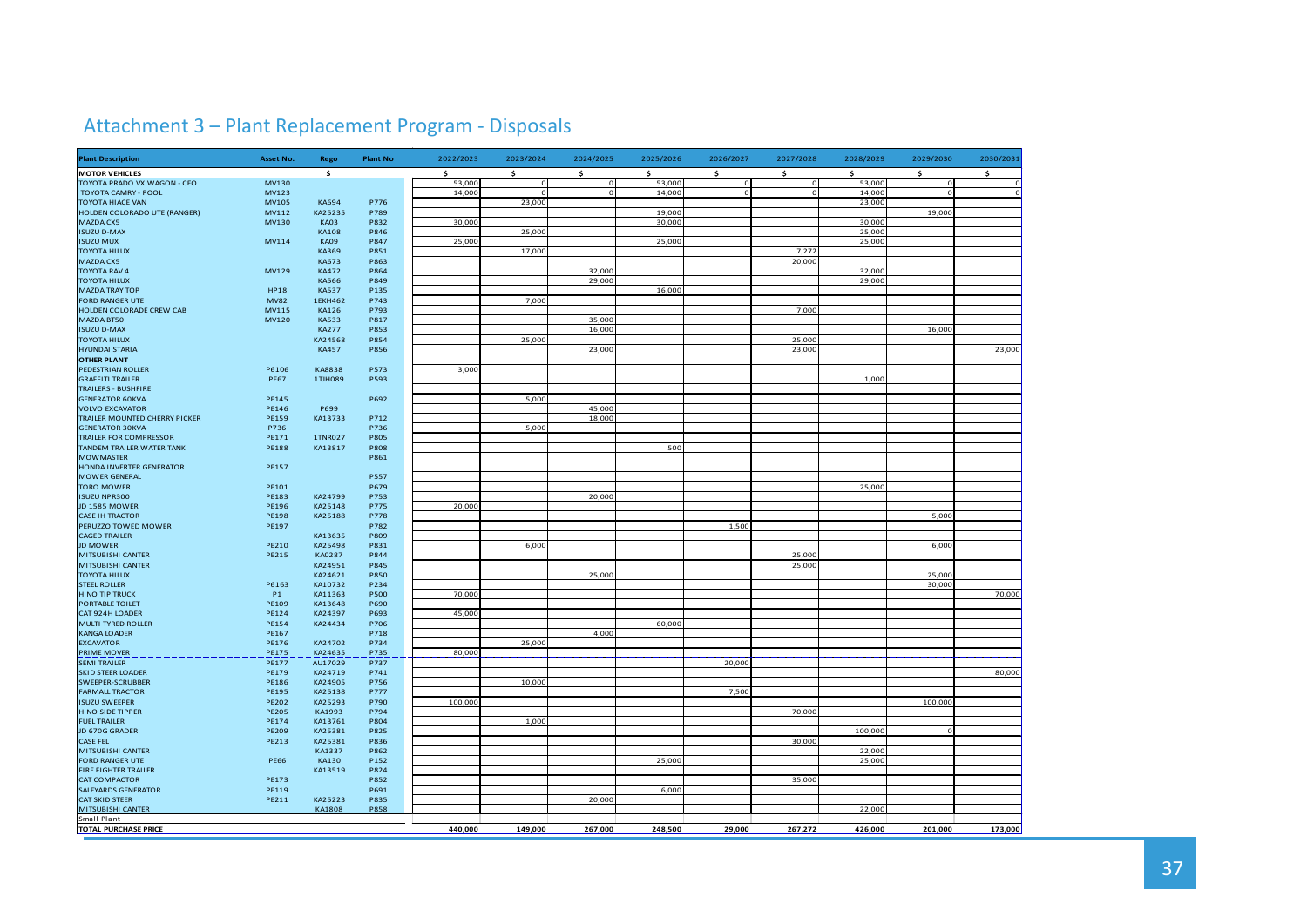<span id="page-36-0"></span>

| <b>Plant Description</b>                | Asset No.             | Rego                        | <b>Plant No</b> | 2022/2023            | 2023/2024 | 2024/2025 | 2025/2026 | 2026/2027 | 2027/2028 | 2028/2029            | 2029/2030 | 2030/2031    |
|-----------------------------------------|-----------------------|-----------------------------|-----------------|----------------------|-----------|-----------|-----------|-----------|-----------|----------------------|-----------|--------------|
| <b>MOTOR VEHICLES</b>                   |                       | \$                          |                 | $\ddot{\phantom{0}}$ | \$        | Š.        |           | \$        | \$        | $\ddot{\phantom{0}}$ | \$.       | Ś            |
| TOYOTA PRADO VX WAGON - CEO             | MV130                 |                             |                 | 53,000               | $\circ$   |           | 53,000    | o         | 0         | 53,000               | $\circ$   | $\mathsf 0$  |
| TOYOTA CAMRY - POOL                     | MV123                 |                             |                 | 14,000               | $\Omega$  | $\Omega$  | 14,000    | $\Omega$  | $\Omega$  | 14,000               | $\circ$   | $\mathsf{o}$ |
| <b>TOYOTA HIACE VAN</b>                 | <b>MV105</b>          | KA694                       | P776            |                      | 23,000    |           |           |           |           | 23,000               | 19,000    |              |
| HOLDEN COLORADO UTE (RANGER)            | MV112                 | KA25235                     | P789            | 30,000               |           |           | 19,000    |           |           | 30,000               |           |              |
| MAZDA CX5                               | MV130                 | <b>KA03</b>                 | P832            |                      | 25,000    |           | 30,000    |           |           | 25,000               |           |              |
| <b>ISUZU D-MAX</b><br><b>ISUZU MUX</b>  | MV114                 | <b>KA108</b><br><b>KA09</b> | P846<br>P847    | 25,000               |           |           | 25,000    |           |           |                      |           |              |
| <b>TOYOTA HILUX</b>                     |                       | KA369                       | P851            |                      | 17,000    |           |           |           | 7,272     | 25,000               |           |              |
| <b>MAZDA CX5</b>                        |                       | KA673                       | P863            |                      |           |           |           |           | 20,000    |                      |           |              |
| <b>TOYOTA RAV 4</b>                     | MV129                 | <b>KA472</b>                | P864            |                      |           | 32,000    |           |           |           | 32,000               |           |              |
| <b>TOYOTA HILUX</b>                     |                       | <b>KA566</b>                | P849            |                      |           | 29,000    |           |           |           | 29,000               |           |              |
| <b>MAZDA TRAY TOP</b>                   | <b>HP18</b>           | <b>KA537</b>                | P135            |                      |           |           | 16,000    |           |           |                      |           |              |
| <b>FORD RANGER UTE</b>                  | <b>MV82</b>           | 1EKH462                     | P743            |                      | 7,000     |           |           |           |           |                      |           |              |
| HOLDEN COLORADE CREW CAB                | MV115                 | KA126                       | P793            |                      |           |           |           |           | 7,000     |                      |           |              |
| <b>MAZDA BT50</b>                       | <b>MV120</b>          | KA533                       | P817            |                      |           | 35,000    |           |           |           |                      |           |              |
| <b>ISUZU D-MAX</b>                      |                       | <b>KA277</b>                | P853            |                      |           | 16,000    |           |           |           |                      | 16,000    |              |
| <b>TOYOTA HILUX</b>                     |                       | KA24568                     | P854            |                      | 25,000    |           |           |           | 25,000    |                      |           |              |
| <b>HYUNDAI STARIA</b>                   |                       | <b>KA457</b>                | P856            |                      |           | 23,000    |           |           | 23,000    |                      |           | 23,000       |
| <b>OTHER PLANT</b>                      |                       |                             |                 |                      |           |           |           |           |           |                      |           |              |
| PEDESTRIAN ROLLER                       | P6106                 | KA8838                      | P573            | 3,000                |           |           |           |           |           |                      |           |              |
| <b>GRAFFITI TRAILER</b>                 | <b>PE67</b>           | 1TJH089                     | P593            |                      |           |           |           |           |           | 1,000                |           |              |
| <b>TRAILERS - BUSHFIRE</b>              |                       |                             |                 |                      |           |           |           |           |           |                      |           |              |
| <b>GENERATOR 60KVA</b>                  | PE145                 |                             | P692            |                      | 5,000     |           |           |           |           |                      |           |              |
| <b>VOLVO EXCAVATOR</b>                  | PE146                 | P699                        |                 |                      |           | 45,000    |           |           |           |                      |           |              |
| TRAILER MOUNTED CHERRY PICKER           | PE159                 | KA13733                     | P712            |                      |           | 18,000    |           |           |           |                      |           |              |
| <b>GENERATOR 30KVA</b>                  | P736                  |                             | P736            |                      | 5,000     |           |           |           |           |                      |           |              |
| <b>TRAILER FOR COMPRESSOR</b>           | PE171                 | 1TNR027                     | P805            |                      |           |           |           |           |           |                      |           |              |
| <b>TANDEM TRAILER WATER TANK</b>        | <b>PE188</b>          | KA13817                     | <b>P808</b>     |                      |           |           | 500       |           |           |                      |           |              |
| <b>MOWMASTER</b>                        |                       |                             | P861            |                      |           |           |           |           |           |                      |           |              |
| HONDA INVERTER GENERATOR                | PE157                 |                             |                 |                      |           |           |           |           |           |                      |           |              |
| <b>MOWER GENERAL</b>                    |                       |                             | P557            |                      |           |           |           |           |           |                      |           |              |
| <b>TORO MOWER</b>                       | PE101                 |                             | P679            |                      |           |           |           |           |           | 25,000               |           |              |
| <b>ISUZU NPR300</b>                     | PE183                 | KA24799                     | P753            |                      |           | 20,000    |           |           |           |                      |           |              |
| JD 1585 MOWER<br><b>CASE IH TRACTOR</b> | PE196<br><b>PE198</b> | KA25148<br>KA25188          | P775<br>P778    | 20,000               |           |           |           |           |           |                      | 5,000     |              |
| PERUZZO TOWED MOWER                     | PE197                 |                             | P782            |                      |           |           |           | 1,500     |           |                      |           |              |
| <b>CAGED TRAILER</b>                    |                       | KA13635                     | P809            |                      |           |           |           |           |           |                      |           |              |
| <b>JD MOWER</b>                         | PE210                 | KA25498                     | P831            |                      | 6,000     |           |           |           |           |                      | 6,000     |              |
| MITSUBISHI CANTER                       | <b>PE215</b>          | KA0287                      | P844            |                      |           |           |           |           | 25,000    |                      |           |              |
| MITSUBISHI CANTER                       |                       | KA24951                     | P845            |                      |           |           |           |           | 25,000    |                      |           |              |
| <b>TOYOTA HILUX</b>                     |                       | KA24621                     | <b>P850</b>     |                      |           | 25,000    |           |           |           |                      | 25,000    |              |
| <b>STEEL ROLLER</b>                     | P6163                 | KA10732                     | P234            |                      |           |           |           |           |           |                      | 30,000    |              |
| <b>HINO TIP TRUCK</b>                   | <b>P1</b>             | KA11363                     | <b>P500</b>     | 70,000               |           |           |           |           |           |                      |           | 70,000       |
| <b>PORTABLE TOILET</b>                  | PE109                 | KA13648                     | P690            |                      |           |           |           |           |           |                      |           |              |
| CAT 924H LOADER                         | PE124                 | KA24397                     | P693            | 45,000               |           |           |           |           |           |                      |           |              |
| <b>MULTI TYRED ROLLER</b>               | PE154                 | KA24434                     | P706            |                      |           |           | 60,000    |           |           |                      |           |              |
| <b>KANGA LOADER</b>                     | PE167                 |                             | P718            |                      |           | 4,000     |           |           |           |                      |           |              |
| <b>EXCAVATOR</b>                        | PE176                 | KA24702                     | P734            |                      | 25,000    |           |           |           |           |                      |           |              |
| <b>PRIME MOVER</b>                      | PE175                 | KA24635                     | P735            | 80,000               |           |           |           |           |           |                      |           |              |
| <b>SEMI TRAILER</b>                     | <b>PE177</b>          | AU17029                     | P737            |                      |           |           |           | 20,000    |           |                      |           |              |
| <b>SKID STEER LOADER</b>                | PE179                 | KA24719                     | P741            |                      |           |           |           |           |           |                      |           | 80,000       |
| SWEEPER-SCRUBBER                        | <b>PE186</b>          | KA24905                     | P756            |                      | 10,000    |           |           |           |           |                      |           |              |
| <b>FARMALL TRACTOR</b>                  | PE195                 | KA25138                     | P777            |                      |           |           |           | 7,500     |           |                      |           |              |
| <b>ISUZU SWEEPER</b>                    | <b>PE202</b>          | KA25293                     | P790            | 100,000              |           |           |           |           |           |                      | 100,000   |              |
| <b>HINO SIDE TIPPER</b>                 | <b>PE205</b>          | KA1993                      | P794            |                      |           |           |           |           | 70,000    |                      |           |              |
| <b>FUEL TRAILER</b>                     | <b>PE174</b>          | KA13761                     | P804            |                      | 1,000     |           |           |           |           |                      |           |              |
| JD 670G GRADER                          | <b>PE209</b>          | KA25381                     | P825            |                      |           |           |           |           |           | 100,000              | $\Omega$  |              |
| <b>CASE FEL</b>                         | <b>PE213</b>          | KA25381                     | P836            |                      |           |           |           |           | 30,000    |                      |           |              |
| MITSUBISHI CANTER                       |                       | KA1337                      | P862            |                      |           |           |           |           |           | 22,000               |           |              |
| <b>FORD RANGER UTE</b>                  | <b>PE66</b>           | <b>KA130</b>                | P152            |                      |           |           | 25,000    |           |           | 25,000               |           |              |
| <b>FIRE FIGHTER TRAILER</b>             |                       | KA13519                     | P824            |                      |           |           |           |           |           |                      |           |              |
| <b>CAT COMPACTOR</b>                    | <b>PE173</b>          |                             | P852            |                      |           |           |           |           | 35,000    |                      |           |              |
| <b>SALEYARDS GENERATOR</b>              | PE119                 |                             | P691            |                      |           |           | 6,000     |           |           |                      |           |              |
| <b>CAT SKID STEER</b>                   | PE211                 | KA25223                     | P835            |                      |           | 20,000    |           |           |           |                      |           |              |
| MITSUBISHI CANTER<br>Small Plant        |                       | <b>KA1808</b>               | P858            |                      |           |           |           |           |           | 22,000               |           |              |
| <b>TOTAL PURCHASE PRICE</b>             |                       |                             |                 | 440,000              | 149,000   | 267,000   | 248,500   | 29,000    | 267,272   | 426,000              | 201,000   | 173,000      |
|                                         |                       |                             |                 |                      |           |           |           |           |           |                      |           |              |

# Attachment 3 – Plant Replacement Program - Disposals